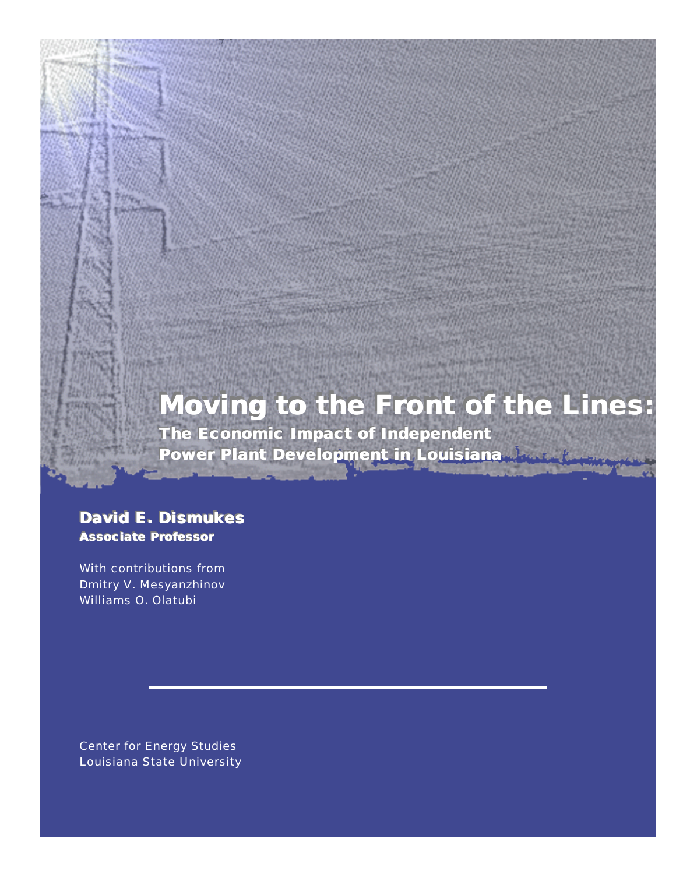# **Moving to the Front of the Lines:**

690

NON-N-N-THE MET

**The Economic Impact of Independent**

**Power Plant Development in Louisiana**

**Nunseles** 

光系列的后

**David E. Dismukes Associate Professor**

With contributions from Dmitry V. Mesyanzhinov Williams O. Olatubi

Center for Energy Studies Louisiana State University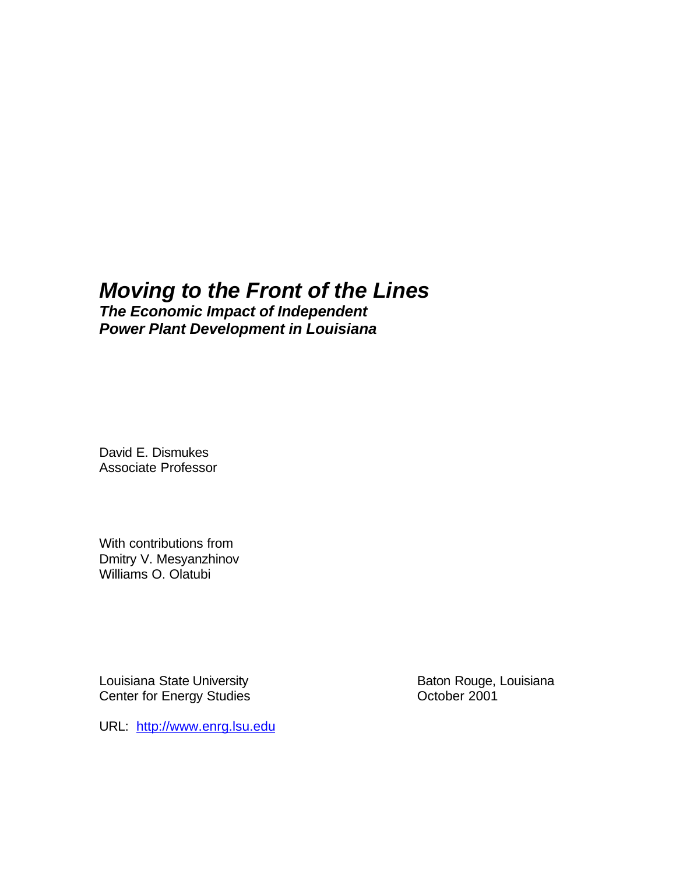# *Moving to the Front of the Lines*

## *The Economic Impact of Independent Power Plant Development in Louisiana*

David E. Dismukes Associate Professor

With contributions from Dmitry V. Mesyanzhinov Williams O. Olatubi

Louisiana State University<br>
Center for Energy Studies<br>
Center for Energy Studies<br>
Center 2001 Center for Energy Studies

URL: http://www.enrg.lsu.edu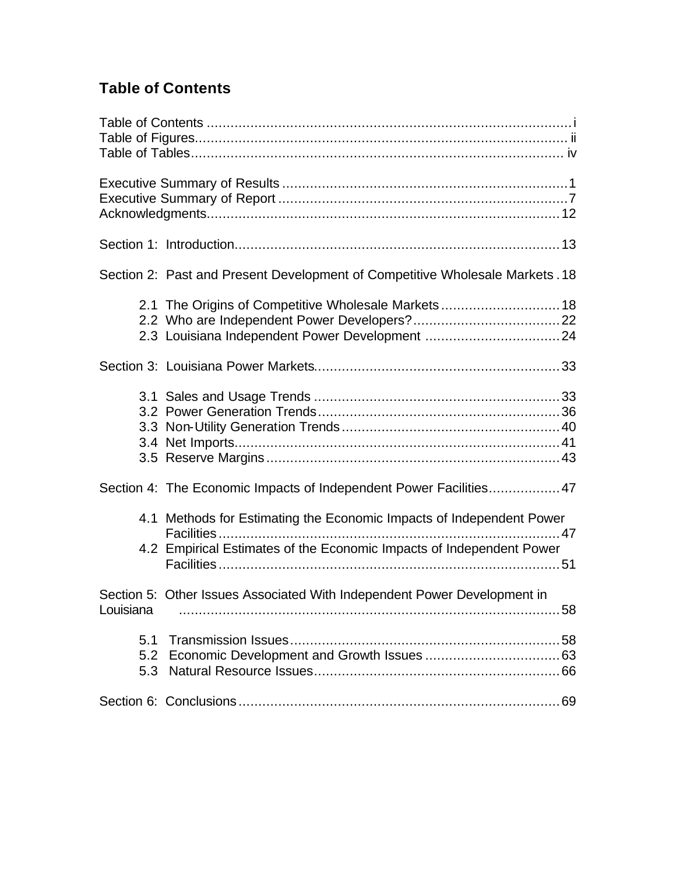## **Table of Contents**

|           | Section 2: Past and Present Development of Competitive Wholesale Markets . 18                                                                |
|-----------|----------------------------------------------------------------------------------------------------------------------------------------------|
|           | 2.1 The Origins of Competitive Wholesale Markets 18                                                                                          |
|           |                                                                                                                                              |
|           |                                                                                                                                              |
|           | Section 4: The Economic Impacts of Independent Power Facilities47                                                                            |
|           | 4.1 Methods for Estimating the Economic Impacts of Independent Power<br>4.2 Empirical Estimates of the Economic Impacts of Independent Power |
| Louisiana | Section 5: Other Issues Associated With Independent Power Development in                                                                     |
| 5.1       |                                                                                                                                              |
|           |                                                                                                                                              |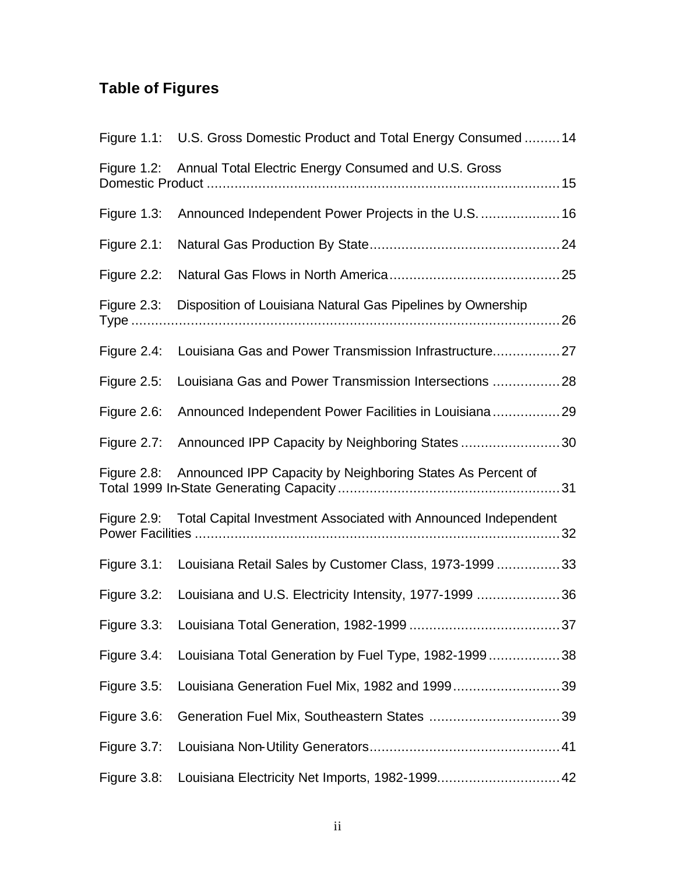# **Table of Figures**

|                | Figure 1.1: U.S. Gross Domestic Product and Total Energy Consumed  14      |  |
|----------------|----------------------------------------------------------------------------|--|
|                | Figure 1.2: Annual Total Electric Energy Consumed and U.S. Gross           |  |
| Figure $1.3$ : | Announced Independent Power Projects in the U.S.  16                       |  |
| Figure $2.1$ : |                                                                            |  |
| Figure 2.2:    |                                                                            |  |
| Figure $2.3$ : | Disposition of Louisiana Natural Gas Pipelines by Ownership                |  |
|                | Figure 2.4: Louisiana Gas and Power Transmission Infrastructure27          |  |
| Figure 2.5:    | Louisiana Gas and Power Transmission Intersections 28                      |  |
| Figure 2.6:    | Announced Independent Power Facilities in Louisiana29                      |  |
| Figure $2.7$ : | Announced IPP Capacity by Neighboring States30                             |  |
|                | Figure 2.8: Announced IPP Capacity by Neighboring States As Percent of     |  |
|                | Figure 2.9: Total Capital Investment Associated with Announced Independent |  |
|                | Figure 3.1: Louisiana Retail Sales by Customer Class, 1973-1999 33         |  |
|                | Figure 3.2: Louisiana and U.S. Electricity Intensity, 1977-1999 36         |  |
|                |                                                                            |  |
| Figure 3.4:    | Louisiana Total Generation by Fuel Type, 1982-199938                       |  |
| Figure 3.5:    | Louisiana Generation Fuel Mix, 1982 and 199939                             |  |
| Figure 3.6:    |                                                                            |  |
| Figure 3.7:    |                                                                            |  |
| Figure 3.8:    | Louisiana Electricity Net Imports, 1982-1999 42                            |  |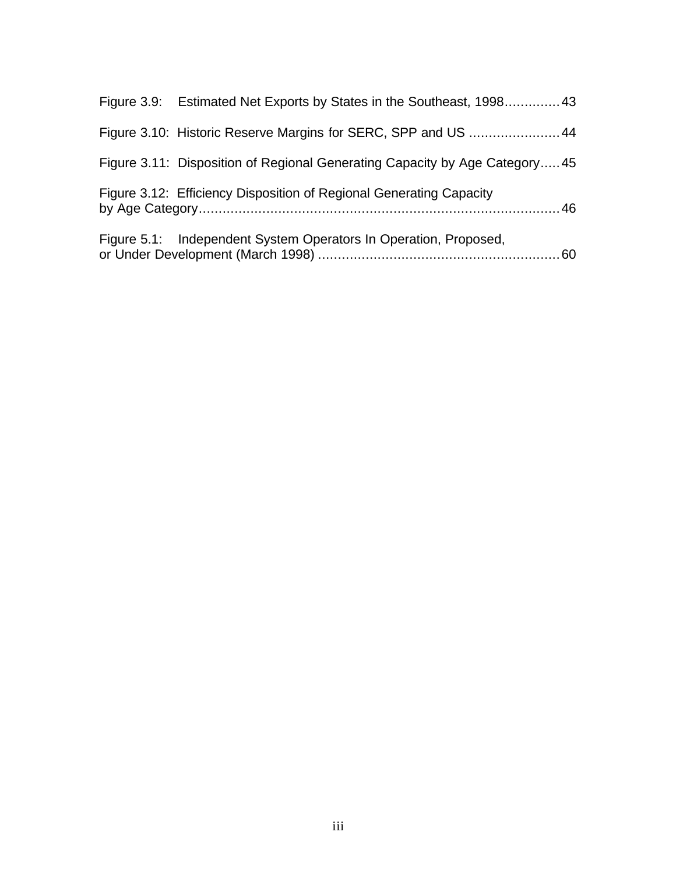| Figure 3.9: Estimated Net Exports by States in the Southeast, 199843       |  |
|----------------------------------------------------------------------------|--|
| Figure 3.10: Historic Reserve Margins for SERC, SPP and US  44             |  |
| Figure 3.11: Disposition of Regional Generating Capacity by Age Category45 |  |
| Figure 3.12: Efficiency Disposition of Regional Generating Capacity        |  |
| Figure 5.1: Independent System Operators In Operation, Proposed,           |  |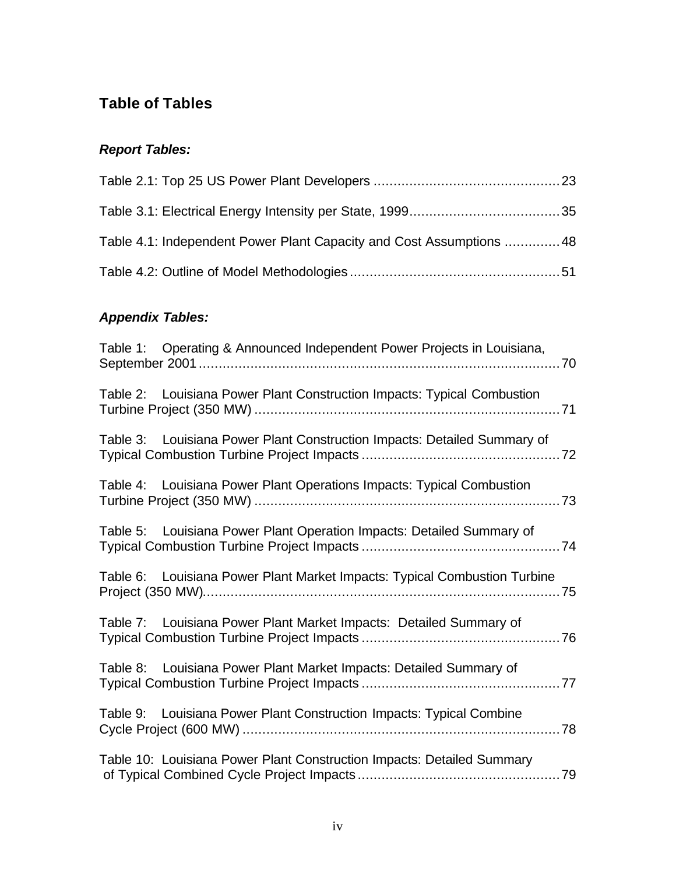### **Table of Tables**

# *Report Tables:*

| Table 4.1: Independent Power Plant Capacity and Cost Assumptions 48 |  |
|---------------------------------------------------------------------|--|
|                                                                     |  |

# *Appendix Tables:*

| Table 1: Operating & Announced Independent Power Projects in Louisiana,   |
|---------------------------------------------------------------------------|
| Table 2: Louisiana Power Plant Construction Impacts: Typical Combustion   |
| Table 3: Louisiana Power Plant Construction Impacts: Detailed Summary of  |
| Table 4: Louisiana Power Plant Operations Impacts: Typical Combustion     |
| Table 5: Louisiana Power Plant Operation Impacts: Detailed Summary of     |
| Table 6: Louisiana Power Plant Market Impacts: Typical Combustion Turbine |
| Table 7: Louisiana Power Plant Market Impacts: Detailed Summary of        |
| Table 8: Louisiana Power Plant Market Impacts: Detailed Summary of        |
| Table 9: Louisiana Power Plant Construction Impacts: Typical Combine      |
| Table 10: Louisiana Power Plant Construction Impacts: Detailed Summary    |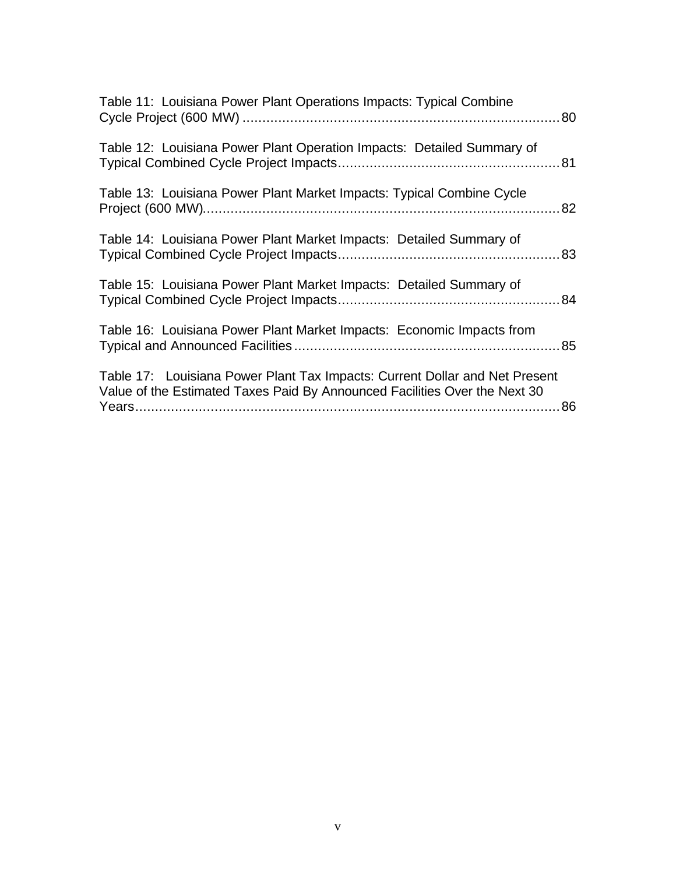| Table 11: Louisiana Power Plant Operations Impacts: Typical Combine                                                                                       |  |
|-----------------------------------------------------------------------------------------------------------------------------------------------------------|--|
| Table 12: Louisiana Power Plant Operation Impacts: Detailed Summary of                                                                                    |  |
| Table 13: Louisiana Power Plant Market Impacts: Typical Combine Cycle                                                                                     |  |
| Table 14: Louisiana Power Plant Market Impacts: Detailed Summary of                                                                                       |  |
| Table 15: Louisiana Power Plant Market Impacts: Detailed Summary of                                                                                       |  |
| Table 16: Louisiana Power Plant Market Impacts: Economic Impacts from                                                                                     |  |
| Table 17: Louisiana Power Plant Tax Impacts: Current Dollar and Net Present<br>Value of the Estimated Taxes Paid By Announced Facilities Over the Next 30 |  |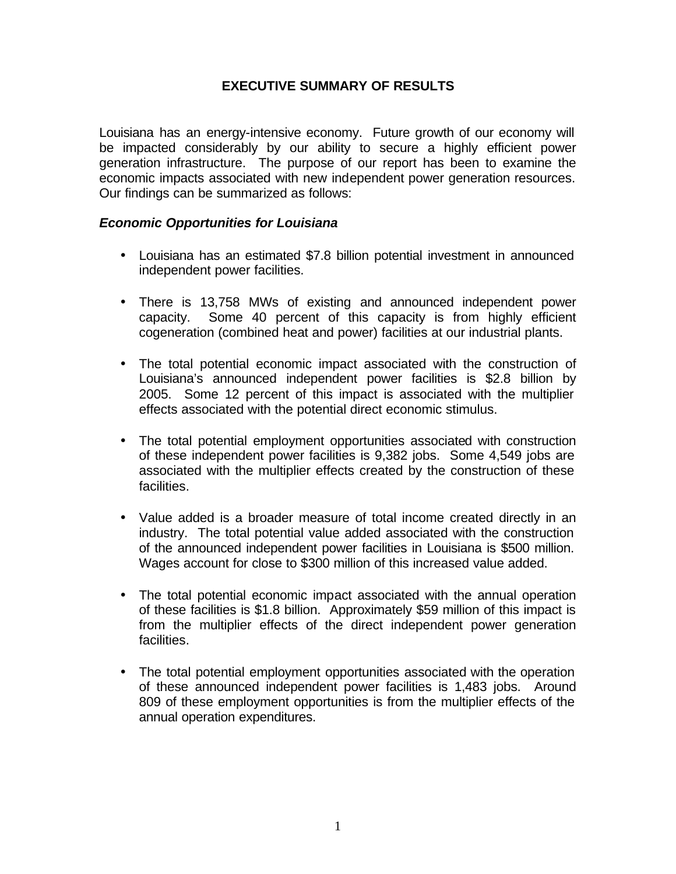#### **EXECUTIVE SUMMARY OF RESULTS**

Louisiana has an energy-intensive economy. Future growth of our economy will be impacted considerably by our ability to secure a highly efficient power generation infrastructure. The purpose of our report has been to examine the economic impacts associated with new independent power generation resources. Our findings can be summarized as follows:

#### *Economic Opportunities for Louisiana*

- Louisiana has an estimated \$7.8 billion potential investment in announced independent power facilities.
- There is 13,758 MWs of existing and announced independent power capacity. Some 40 percent of this capacity is from highly efficient cogeneration (combined heat and power) facilities at our industrial plants.
- The total potential economic impact associated with the construction of Louisiana's announced independent power facilities is \$2.8 billion by 2005. Some 12 percent of this impact is associated with the multiplier effects associated with the potential direct economic stimulus.
- The total potential employment opportunities associated with construction of these independent power facilities is 9,382 jobs. Some 4,549 jobs are associated with the multiplier effects created by the construction of these facilities.
- Value added is a broader measure of total income created directly in an industry. The total potential value added associated with the construction of the announced independent power facilities in Louisiana is \$500 million. Wages account for close to \$300 million of this increased value added.
- The total potential economic impact associated with the annual operation of these facilities is \$1.8 billion. Approximately \$59 million of this impact is from the multiplier effects of the direct independent power generation facilities.
- The total potential employment opportunities associated with the operation of these announced independent power facilities is 1,483 jobs. Around 809 of these employment opportunities is from the multiplier effects of the annual operation expenditures.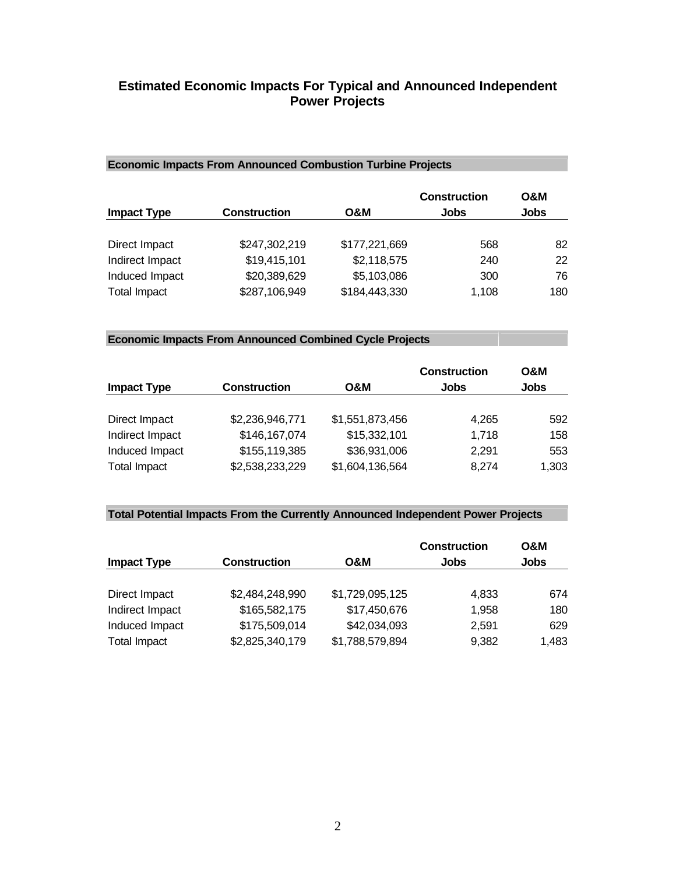#### **Estimated Economic Impacts For Typical and Announced Independent Power Projects**

# **Construction O&M Impact Type Construction O&M Jobs Jobs** Direct Impact  $$247,302,219$   $$177,221,669$  568 82 Indirect Impact \$19,415,101 \$2,118,575 240 22 Induced Impact  $$20,389,629$   $$5,103,086$  300 76 Total Impact  $$287,106,949$  \$184,443,330 1,108 180

#### **Economic Impacts From Announced Combined Cycle Projects**

**Economic Impacts From Announced Combustion Turbine Projects**

|                     |                     |                 | <b>Construction</b> | O&M         |
|---------------------|---------------------|-----------------|---------------------|-------------|
| <b>Impact Type</b>  | <b>Construction</b> | O&M             | Jobs                | <b>Jobs</b> |
|                     |                     |                 |                     |             |
| Direct Impact       | \$2,236,946,771     | \$1,551,873,456 | 4.265               | 592         |
| Indirect Impact     | \$146,167,074       | \$15,332,101    | 1,718               | 158         |
| Induced Impact      | \$155,119,385       | \$36,931,006    | 2,291               | 553         |
| <b>Total Impact</b> | \$2,538,233,229     | \$1,604,136,564 | 8,274               | 1,303       |

#### **Total Potential Impacts From the Currently Announced Independent Power Projects**

|                     |                     |                 | <b>Construction</b> | O&M         |
|---------------------|---------------------|-----------------|---------------------|-------------|
| <b>Impact Type</b>  | <b>Construction</b> | O&M             | Jobs                | <b>Jobs</b> |
| Direct Impact       | \$2,484,248,990     | \$1,729,095,125 | 4,833               | 674         |
| Indirect Impact     | \$165,582,175       | \$17,450,676    | 1,958               | 180         |
| Induced Impact      | \$175,509,014       | \$42,034,093    | 2,591               | 629         |
| <b>Total Impact</b> | \$2,825,340,179     | \$1,788,579,894 | 9,382               | 1,483       |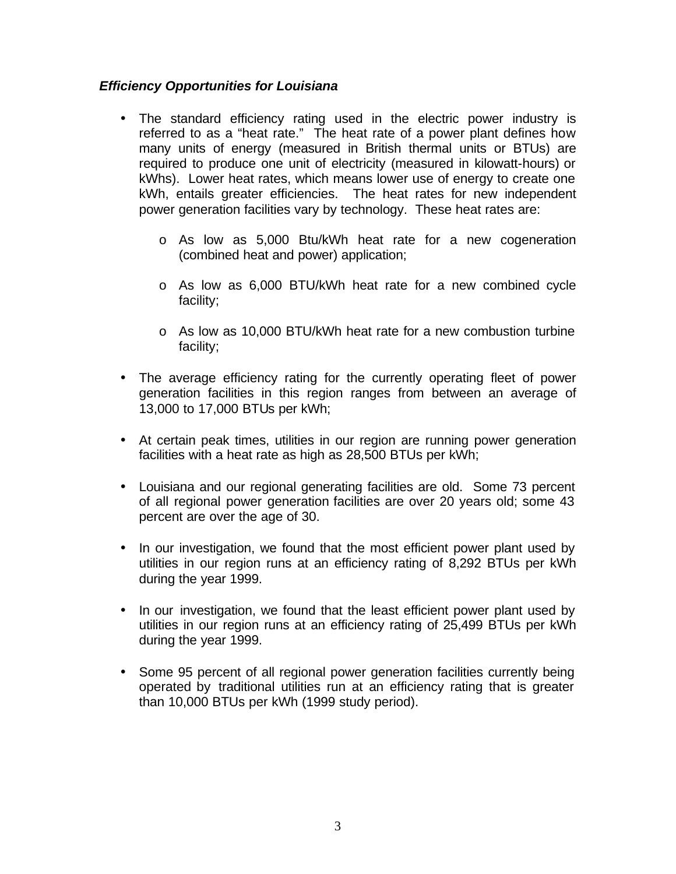#### *Efficiency Opportunities for Louisiana*

- The standard efficiency rating used in the electric power industry is referred to as a "heat rate." The heat rate of a power plant defines how many units of energy (measured in British thermal units or BTUs) are required to produce one unit of electricity (measured in kilowatt-hours) or kWhs). Lower heat rates, which means lower use of energy to create one kWh, entails greater efficiencies. The heat rates for new independent power generation facilities vary by technology. These heat rates are:
	- o As low as 5,000 Btu/kWh heat rate for a new cogeneration (combined heat and power) application;
	- o As low as 6,000 BTU/kWh heat rate for a new combined cycle facility;
	- o As low as 10,000 BTU/kWh heat rate for a new combustion turbine facility;
- The average efficiency rating for the currently operating fleet of power generation facilities in this region ranges from between an average of 13,000 to 17,000 BTUs per kWh;
- At certain peak times, utilities in our region are running power generation facilities with a heat rate as high as 28,500 BTUs per kWh;
- Louisiana and our regional generating facilities are old. Some 73 percent of all regional power generation facilities are over 20 years old; some 43 percent are over the age of 30.
- In our investigation, we found that the most efficient power plant used by utilities in our region runs at an efficiency rating of 8,292 BTUs per kWh during the year 1999.
- In our investigation, we found that the least efficient power plant used by utilities in our region runs at an efficiency rating of 25,499 BTUs per kWh during the year 1999.
- Some 95 percent of all regional power generation facilities currently being operated by traditional utilities run at an efficiency rating that is greater than 10,000 BTUs per kWh (1999 study period).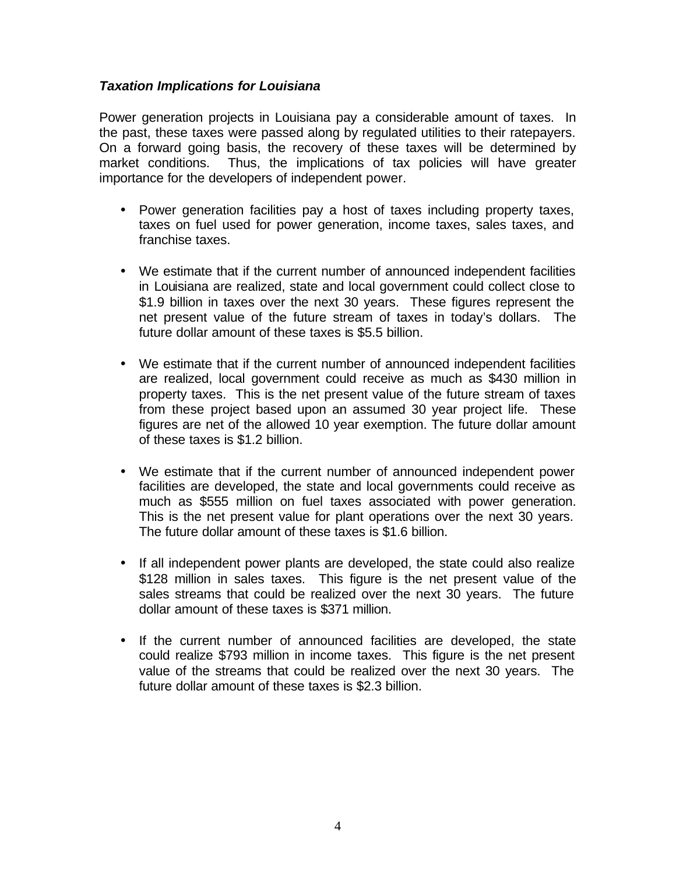#### *Taxation Implications for Louisiana*

Power generation projects in Louisiana pay a considerable amount of taxes. In the past, these taxes were passed along by regulated utilities to their ratepayers. On a forward going basis, the recovery of these taxes will be determined by market conditions. Thus, the implications of tax policies will have greater importance for the developers of independent power.

- Power generation facilities pay a host of taxes including property taxes, taxes on fuel used for power generation, income taxes, sales taxes, and franchise taxes.
- We estimate that if the current number of announced independent facilities in Louisiana are realized, state and local government could collect close to \$1.9 billion in taxes over the next 30 years. These figures represent the net present value of the future stream of taxes in today's dollars. The future dollar amount of these taxes is \$5.5 billion.
- We estimate that if the current number of announced independent facilities are realized, local government could receive as much as \$430 million in property taxes. This is the net present value of the future stream of taxes from these project based upon an assumed 30 year project life. These figures are net of the allowed 10 year exemption. The future dollar amount of these taxes is \$1.2 billion.
- We estimate that if the current number of announced independent power facilities are developed, the state and local governments could receive as much as \$555 million on fuel taxes associated with power generation. This is the net present value for plant operations over the next 30 years. The future dollar amount of these taxes is \$1.6 billion.
- If all independent power plants are developed, the state could also realize \$128 million in sales taxes. This figure is the net present value of the sales streams that could be realized over the next 30 years. The future dollar amount of these taxes is \$371 million.
- If the current number of announced facilities are developed, the state could realize \$793 million in income taxes. This figure is the net present value of the streams that could be realized over the next 30 years. The future dollar amount of these taxes is \$2.3 billion.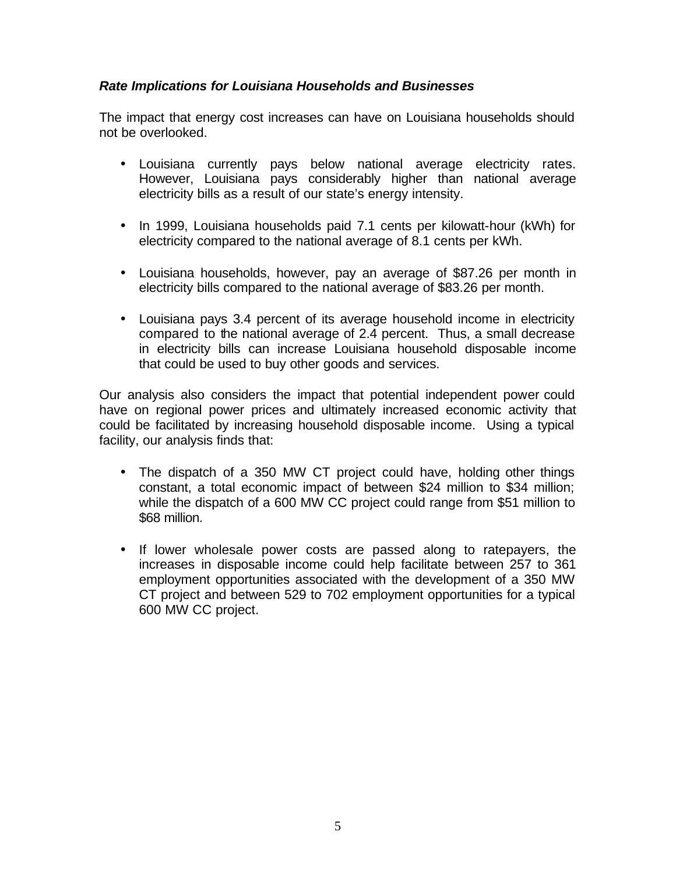#### *Rate Implications for Louisiana Households and Businesses*

The impact that energy cost increases can have on Louisiana households should not be overlooked.

- Louisiana currently pays below national average electricity rates. However, Louisiana pays considerably higher than national average electricity bills as a result of our state's energy intensity.
- In 1999, Louisiana households paid 7.1 cents per kilowatt-hour (kWh) for electricity compared to the national average of 8.1 cents per kWh.
- Louisiana households, however, pay an average of \$87.26 per month in electricity bills compared to the national average of \$83.26 per month.
- Louisiana pays 3.4 percent of its average household income in electricity compared to the national average of 2.4 percent. Thus, a small decrease in electricity bills can increase Louisiana household disposable income that could be used to buy other goods and services.

Our analysis also considers the impact that potential independent power could have on regional power prices and ultimately increased economic activity that could be facilitated by increasing household disposable income. Using a typical facility, our analysis finds that:

- The dispatch of a 350 MW CT project could have, holding other things constant, a total economic impact of between \$24 million to \$34 million; while the dispatch of a 600 MW CC project could range from \$51 million to \$68 million.
- If lower wholesale power costs are passed along to ratepayers, the increases in disposable income could help facilitate between 257 to 361 employment opportunities associated with the development of a 350 MW CT project and between 529 to 702 employment opportunities for a typical 600 MW CC project.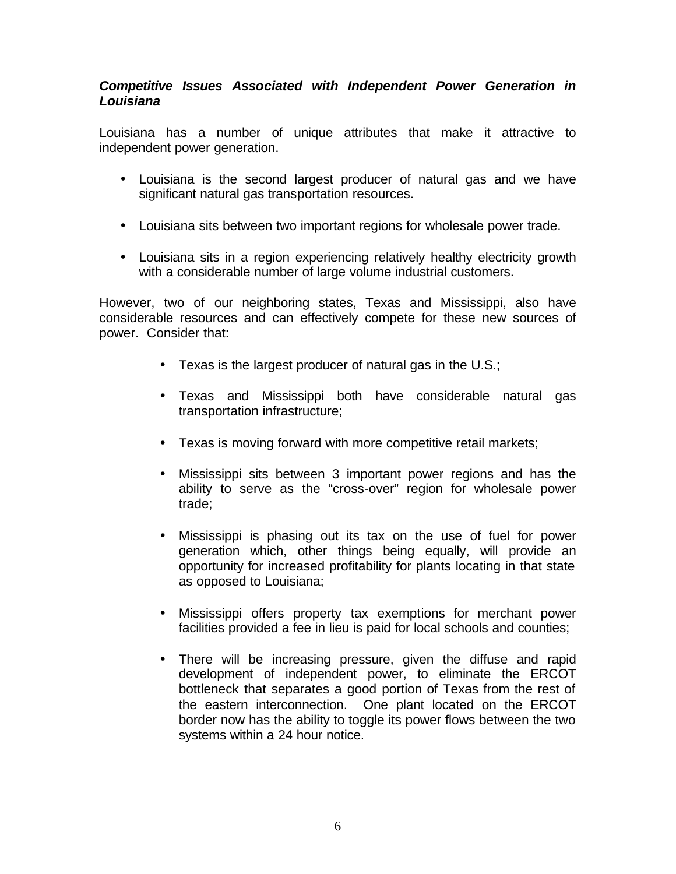#### *Competitive Issues Associated with Independent Power Generation in Louisiana*

Louisiana has a number of unique attributes that make it attractive to independent power generation.

- Louisiana is the second largest producer of natural gas and we have significant natural gas transportation resources.
- Louisiana sits between two important regions for wholesale power trade.
- Louisiana sits in a region experiencing relatively healthy electricity growth with a considerable number of large volume industrial customers.

However, two of our neighboring states, Texas and Mississippi, also have considerable resources and can effectively compete for these new sources of power. Consider that:

- Texas is the largest producer of natural gas in the U.S.;
- Texas and Mississippi both have considerable natural gas transportation infrastructure;
- Texas is moving forward with more competitive retail markets;
- Mississippi sits between 3 important power regions and has the ability to serve as the "cross-over" region for wholesale power trade;
- Mississippi is phasing out its tax on the use of fuel for power generation which, other things being equally, will provide an opportunity for increased profitability for plants locating in that state as opposed to Louisiana;
- Mississippi offers property tax exemptions for merchant power facilities provided a fee in lieu is paid for local schools and counties;
- There will be increasing pressure, given the diffuse and rapid development of independent power, to eliminate the ERCOT bottleneck that separates a good portion of Texas from the rest of the eastern interconnection. One plant located on the ERCOT border now has the ability to toggle its power flows between the two systems within a 24 hour notice.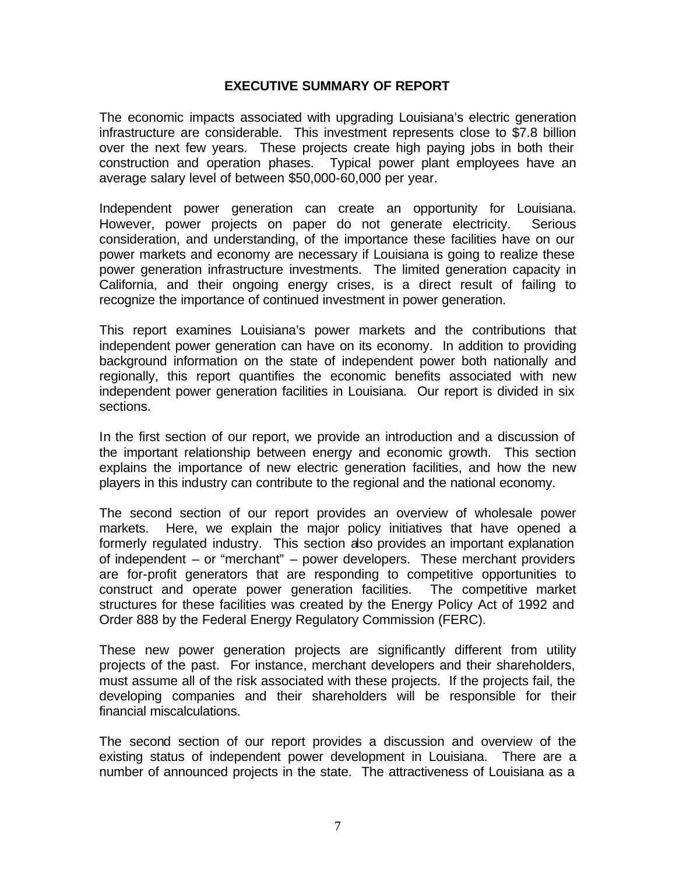#### **EXECUTIVE SUMMARY OF REPORT**

The economic impacts associated with upgrading Louisiana's electric generation infrastructure are considerable. This investment represents close to \$7.8 billion over the next few years. These projects create high paying jobs in both their construction and operation phases. Typical power plant employees have an average salary level of between \$50,000-60,000 per year.

Independent power generation can create an opportunity for Louisiana. However, power projects on paper do not generate electricity. Serious consideration, and understanding, of the importance these facilities have on our power markets and economy are necessary if Louisiana is going to realize these power generation infrastructure investments. The limited generation capacity in California, and their ongoing energy crises, is a direct result of failing to recognize the importance of continued investment in power generation.

This report examines Louisiana's power markets and the contributions that independent power generation can have on its economy. In addition to providing background information on the state of independent power both nationally and regionally, this report quantifies the economic benefits associated with new independent power generation facilities in Louisiana. Our report is divided in six sections.

In the first section of our report, we provide an introduction and a discussion of the important relationship between energy and economic growth. This section explains the importance of new electric generation facilities, and how the new players in this industry can contribute to the regional and the national economy.

The second section of our report provides an overview of wholesale power markets. Here, we explain the major policy initiatives that have opened a formerly regulated industry. This section also provides an important explanation of independent – or "merchant" – power developers. These merchant providers are for-profit generators that are responding to competitive opportunities to construct and operate power generation facilities. The competitive market structures for these facilities was created by the Energy Policy Act of 1992 and Order 888 by the Federal Energy Regulatory Commission (FERC).

These new power generation projects are significantly different from utility projects of the past. For instance, merchant developers and their shareholders, must assume all of the risk associated with these projects. If the projects fail, the developing companies and their shareholders will be responsible for their financial miscalculations.

The second section of our report provides a discussion and overview of the existing status of independent power development in Louisiana. There are a number of announced projects in the state. The attractiveness of Louisiana as a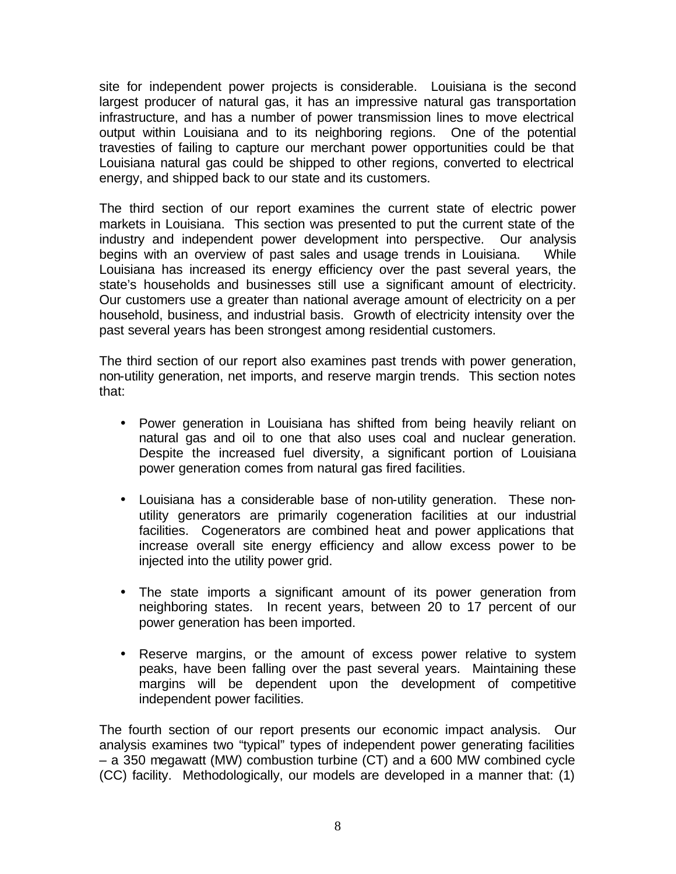site for independent power projects is considerable. Louisiana is the second largest producer of natural gas, it has an impressive natural gas transportation infrastructure, and has a number of power transmission lines to move electrical output within Louisiana and to its neighboring regions. One of the potential travesties of failing to capture our merchant power opportunities could be that Louisiana natural gas could be shipped to other regions, converted to electrical energy, and shipped back to our state and its customers.

The third section of our report examines the current state of electric power markets in Louisiana. This section was presented to put the current state of the industry and independent power development into perspective. Our analysis begins with an overview of past sales and usage trends in Louisiana. While Louisiana has increased its energy efficiency over the past several years, the state's households and businesses still use a significant amount of electricity. Our customers use a greater than national average amount of electricity on a per household, business, and industrial basis. Growth of electricity intensity over the past several years has been strongest among residential customers.

The third section of our report also examines past trends with power generation, non-utility generation, net imports, and reserve margin trends. This section notes that:

- Power generation in Louisiana has shifted from being heavily reliant on natural gas and oil to one that also uses coal and nuclear generation. Despite the increased fuel diversity, a significant portion of Louisiana power generation comes from natural gas fired facilities.
- Louisiana has a considerable base of non-utility generation. These nonutility generators are primarily cogeneration facilities at our industrial facilities. Cogenerators are combined heat and power applications that increase overall site energy efficiency and allow excess power to be injected into the utility power grid.
- The state imports a significant amount of its power generation from neighboring states. In recent years, between 20 to 17 percent of our power generation has been imported.
- Reserve margins, or the amount of excess power relative to system peaks, have been falling over the past several years. Maintaining these margins will be dependent upon the development of competitive independent power facilities.

The fourth section of our report presents our economic impact analysis. Our analysis examines two "typical" types of independent power generating facilities – a 350 megawatt (MW) combustion turbine (CT) and a 600 MW combined cycle (CC) facility. Methodologically, our models are developed in a manner that: (1)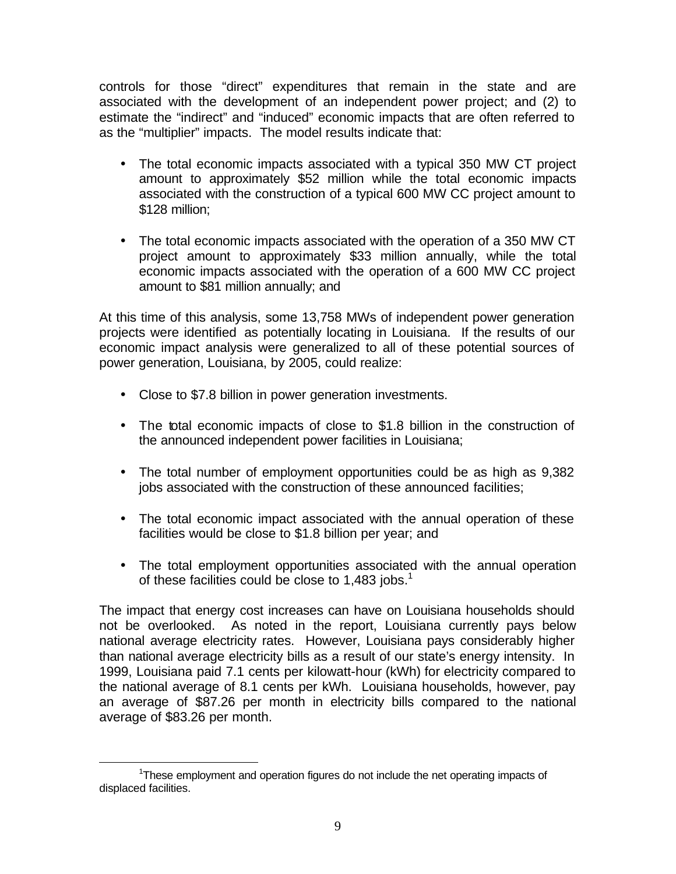controls for those "direct" expenditures that remain in the state and are associated with the development of an independent power project; and (2) to estimate the "indirect" and "induced" economic impacts that are often referred to as the "multiplier" impacts. The model results indicate that:

- The total economic impacts associated with a typical 350 MW CT project amount to approximately \$52 million while the total economic impacts associated with the construction of a typical 600 MW CC project amount to \$128 million;
- The total economic impacts associated with the operation of a 350 MW CT project amount to approximately \$33 million annually, while the total economic impacts associated with the operation of a 600 MW CC project amount to \$81 million annually; and

At this time of this analysis, some 13,758 MWs of independent power generation projects were identified as potentially locating in Louisiana. If the results of our economic impact analysis were generalized to all of these potential sources of power generation, Louisiana, by 2005, could realize:

- Close to \$7.8 billion in power generation investments.
- The total economic impacts of close to \$1.8 billion in the construction of the announced independent power facilities in Louisiana;
- The total number of employment opportunities could be as high as 9,382 jobs associated with the construction of these announced facilities;
- The total economic impact associated with the annual operation of these facilities would be close to \$1.8 billion per year; and
- The total employment opportunities associated with the annual operation of these facilities could be close to 1,483 jobs.<sup>1</sup>

The impact that energy cost increases can have on Louisiana households should not be overlooked. As noted in the report, Louisiana currently pays below national average electricity rates. However, Louisiana pays considerably higher than national average electricity bills as a result of our state's energy intensity. In 1999, Louisiana paid 7.1 cents per kilowatt-hour (kWh) for electricity compared to the national average of 8.1 cents per kWh. Louisiana households, however, pay an average of \$87.26 per month in electricity bills compared to the national average of \$83.26 per month.

 $\overline{a}$ 

<sup>&</sup>lt;sup>1</sup>These employment and operation figures do not include the net operating impacts of displaced facilities.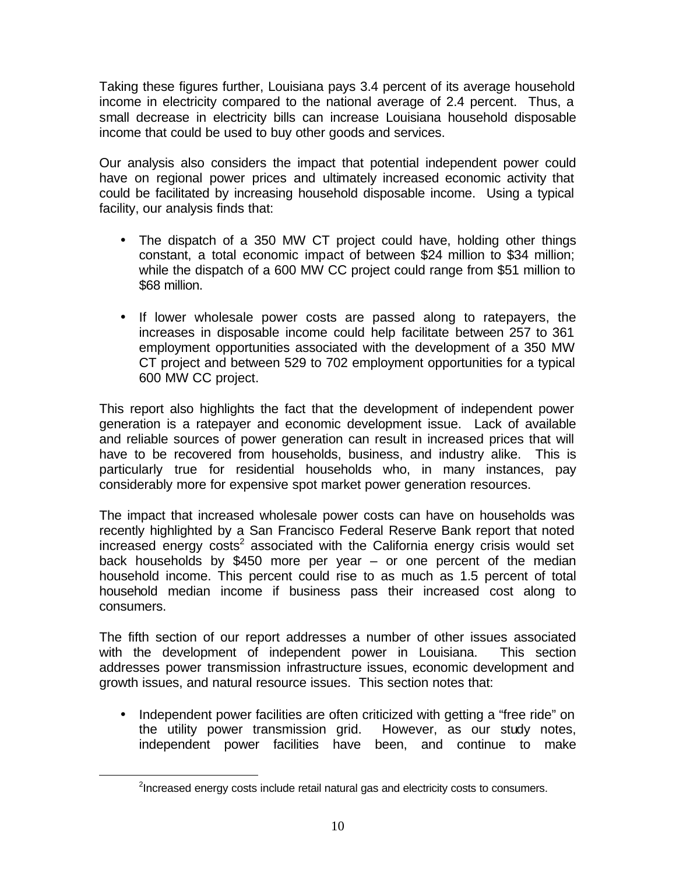Taking these figures further, Louisiana pays 3.4 percent of its average household income in electricity compared to the national average of 2.4 percent. Thus, a small decrease in electricity bills can increase Louisiana household disposable income that could be used to buy other goods and services.

Our analysis also considers the impact that potential independent power could have on regional power prices and ultimately increased economic activity that could be facilitated by increasing household disposable income. Using a typical facility, our analysis finds that:

- The dispatch of a 350 MW CT project could have, holding other things constant, a total economic impact of between \$24 million to \$34 million; while the dispatch of a 600 MW CC project could range from \$51 million to \$68 million.
- If lower wholesale power costs are passed along to ratepayers, the increases in disposable income could help facilitate between 257 to 361 employment opportunities associated with the development of a 350 MW CT project and between 529 to 702 employment opportunities for a typical 600 MW CC project.

This report also highlights the fact that the development of independent power generation is a ratepayer and economic development issue. Lack of available and reliable sources of power generation can result in increased prices that will have to be recovered from households, business, and industry alike. This is particularly true for residential households who, in many instances, pay considerably more for expensive spot market power generation resources.

The impact that increased wholesale power costs can have on households was recently highlighted by a San Francisco Federal Reserve Bank report that noted increased energy costs<sup>2</sup> associated with the California energy crisis would set back households by \$450 more per year – or one percent of the median household income. This percent could rise to as much as 1.5 percent of total household median income if business pass their increased cost along to consumers.

The fifth section of our report addresses a number of other issues associated with the development of independent power in Louisiana. This section addresses power transmission infrastructure issues, economic development and growth issues, and natural resource issues. This section notes that:

• Independent power facilities are often criticized with getting a "free ride" on the utility power transmission grid. However, as our study notes, independent power facilities have been, and continue to make

 $\overline{a}$ 

 $2$ Increased energy costs include retail natural gas and electricity costs to consumers.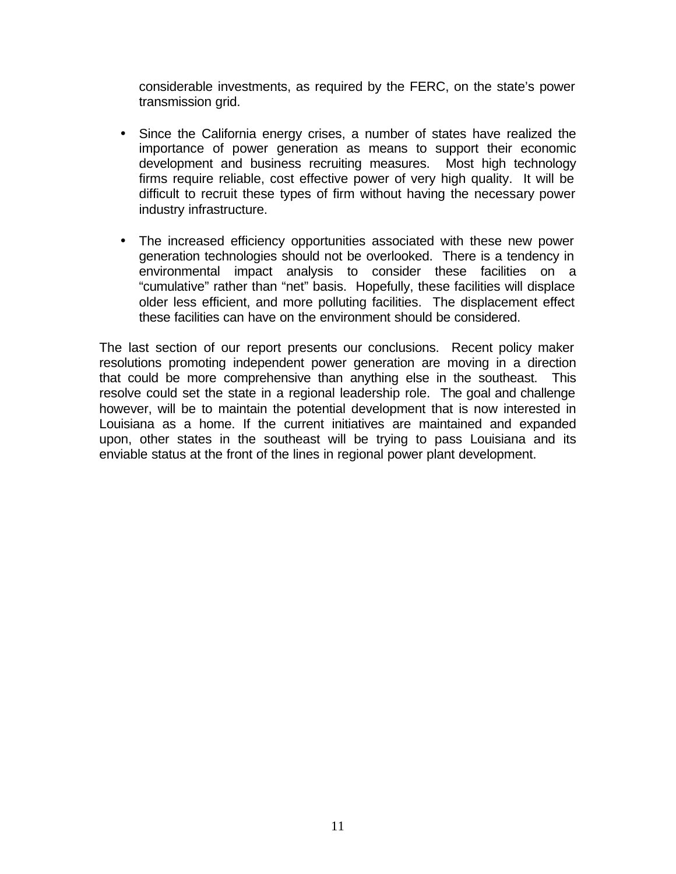considerable investments, as required by the FERC, on the state's power transmission grid.

- Since the California energy crises, a number of states have realized the importance of power generation as means to support their economic development and business recruiting measures. Most high technology firms require reliable, cost effective power of very high quality. It will be difficult to recruit these types of firm without having the necessary power industry infrastructure.
- The increased efficiency opportunities associated with these new power generation technologies should not be overlooked. There is a tendency in environmental impact analysis to consider these facilities on a "cumulative" rather than "net" basis. Hopefully, these facilities will displace older less efficient, and more polluting facilities. The displacement effect these facilities can have on the environment should be considered.

The last section of our report presents our conclusions. Recent policy maker resolutions promoting independent power generation are moving in a direction that could be more comprehensive than anything else in the southeast. This resolve could set the state in a regional leadership role. The goal and challenge however, will be to maintain the potential development that is now interested in Louisiana as a home. If the current initiatives are maintained and expanded upon, other states in the southeast will be trying to pass Louisiana and its enviable status at the front of the lines in regional power plant development.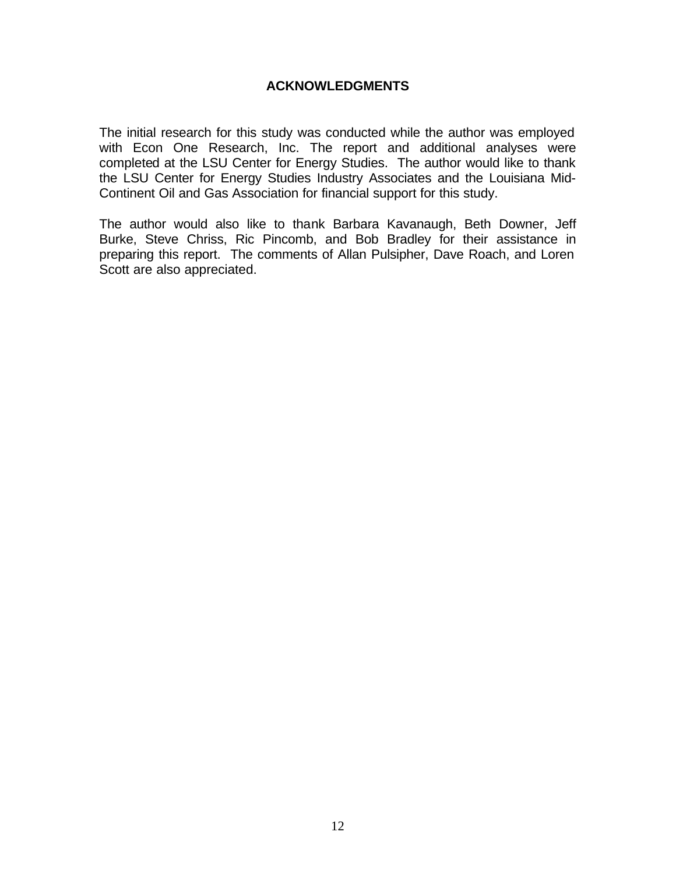#### **ACKNOWLEDGMENTS**

The initial research for this study was conducted while the author was employed with Econ One Research, Inc. The report and additional analyses were completed at the LSU Center for Energy Studies. The author would like to thank the LSU Center for Energy Studies Industry Associates and the Louisiana Mid-Continent Oil and Gas Association for financial support for this study.

The author would also like to thank Barbara Kavanaugh, Beth Downer, Jeff Burke, Steve Chriss, Ric Pincomb, and Bob Bradley for their assistance in preparing this report. The comments of Allan Pulsipher, Dave Roach, and Loren Scott are also appreciated.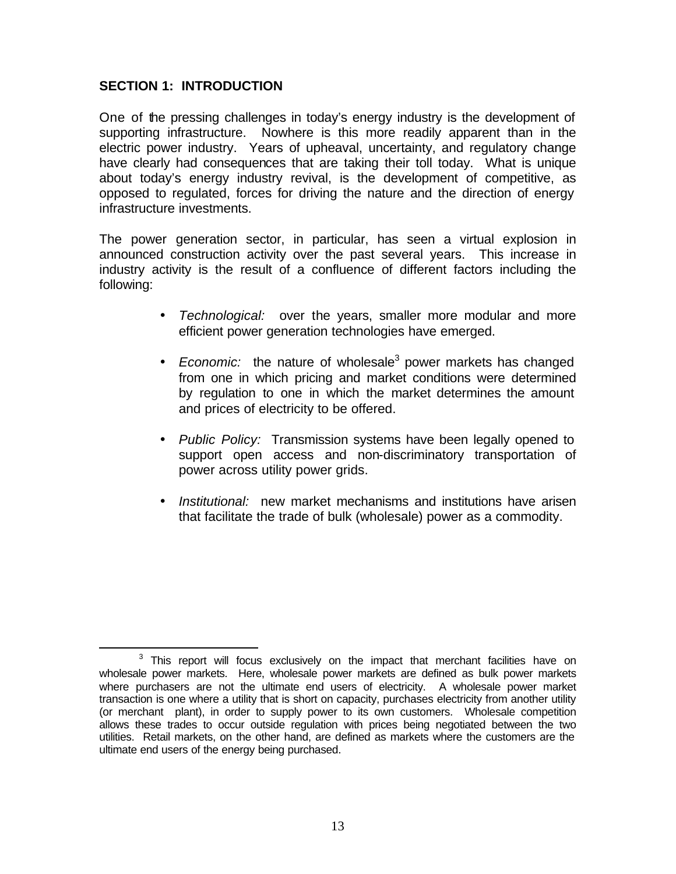#### **SECTION 1: INTRODUCTION**

 $\overline{a}$ 

One of the pressing challenges in today's energy industry is the development of supporting infrastructure. Nowhere is this more readily apparent than in the electric power industry. Years of upheaval, uncertainty, and regulatory change have clearly had consequences that are taking their toll today. What is unique about today's energy industry revival, is the development of competitive, as opposed to regulated, forces for driving the nature and the direction of energy infrastructure investments.

The power generation sector, in particular, has seen a virtual explosion in announced construction activity over the past several years. This increase in industry activity is the result of a confluence of different factors including the following:

- *Technological:* over the years, smaller more modular and more efficient power generation technologies have emerged.
- *Economic:* the nature of wholesale<sup>3</sup> power markets has changed from one in which pricing and market conditions were determined by regulation to one in which the market determines the amount and prices of electricity to be offered.
- *Public Policy:* Transmission systems have been legally opened to support open access and non-discriminatory transportation of power across utility power grids.
- *Institutional:* new market mechanisms and institutions have arisen that facilitate the trade of bulk (wholesale) power as a commodity.

 $3$  This report will focus exclusively on the impact that merchant facilities have on wholesale power markets. Here, wholesale power markets are defined as bulk power markets where purchasers are not the ultimate end users of electricity. A wholesale power market transaction is one where a utility that is short on capacity, purchases electricity from another utility (or merchant plant), in order to supply power to its own customers. Wholesale competition allows these trades to occur outside regulation with prices being negotiated between the two utilities. Retail markets, on the other hand, are defined as markets where the customers are the ultimate end users of the energy being purchased.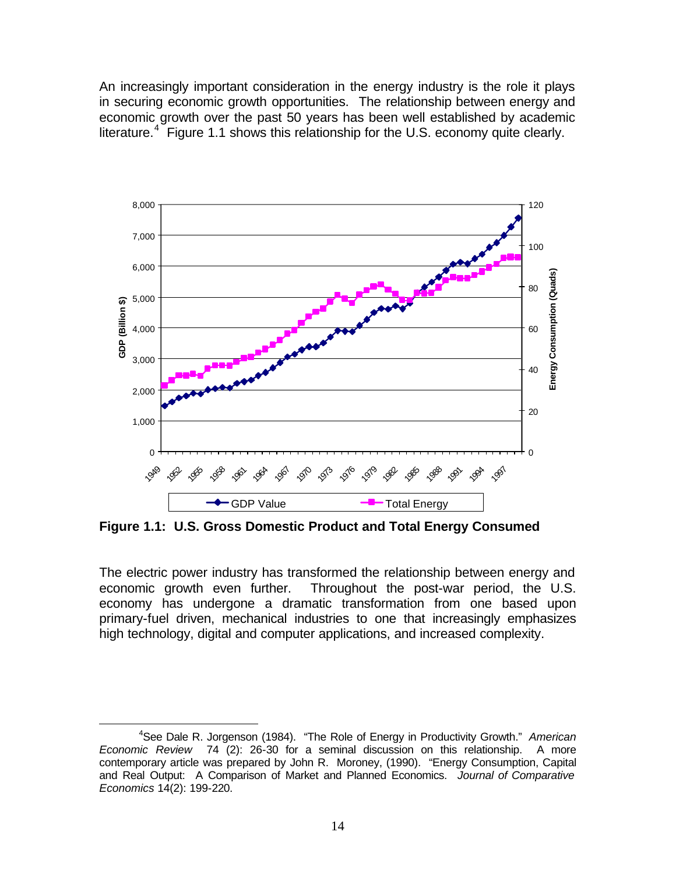An increasingly important consideration in the energy industry is the role it plays in securing economic growth opportunities. The relationship between energy and economic growth over the past 50 years has been well established by academic literature.<sup>4</sup> Figure 1.1 shows this relationship for the U.S. economy quite clearly.



**Figure 1.1: U.S. Gross Domestic Product and Total Energy Consumed** 

The electric power industry has transformed the relationship between energy and economic growth even further. Throughout the post-war period, the U.S. economy has undergone a dramatic transformation from one based upon primary-fuel driven, mechanical industries to one that increasingly emphasizes high technology, digital and computer applications, and increased complexity.

 $\overline{a}$ 

<sup>4</sup>See Dale R. Jorgenson (1984). "The Role of Energy in Productivity Growth." *American Economic Review* 74 (2): 26-30 for a seminal discussion on this relationship. A more contemporary article was prepared by John R. Moroney, (1990). "Energy Consumption, Capital and Real Output: A Comparison of Market and Planned Economics. *Journal of Comparative Economics* 14(2): 199-220.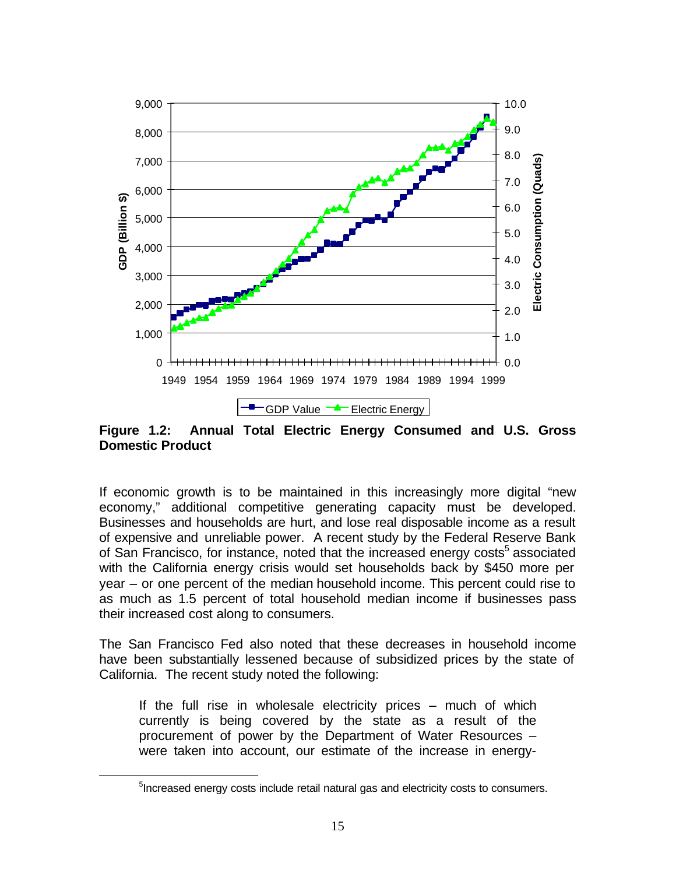

**Figure 1.2: Annual Total Electric Energy Consumed and U.S. Gross Domestic Product**

If economic growth is to be maintained in this increasingly more digital "new economy," additional competitive generating capacity must be developed. Businesses and households are hurt, and lose real disposable income as a result of expensive and unreliable power. A recent study by the Federal Reserve Bank of San Francisco, for instance, noted that the increased energy costs<sup>5</sup> associated with the California energy crisis would set households back by \$450 more per year – or one percent of the median household income. This percent could rise to as much as 1.5 percent of total household median income if businesses pass their increased cost along to consumers.

The San Francisco Fed also noted that these decreases in household income have been substantially lessened because of subsidized prices by the state of California. The recent study noted the following:

If the full rise in wholesale electricity prices – much of which currently is being covered by the state as a result of the procurement of power by the Department of Water Resources – were taken into account, our estimate of the increase in energy-

 $\overline{a}$ 

<sup>&</sup>lt;sup>5</sup>Increased energy costs include retail natural gas and electricity costs to consumers.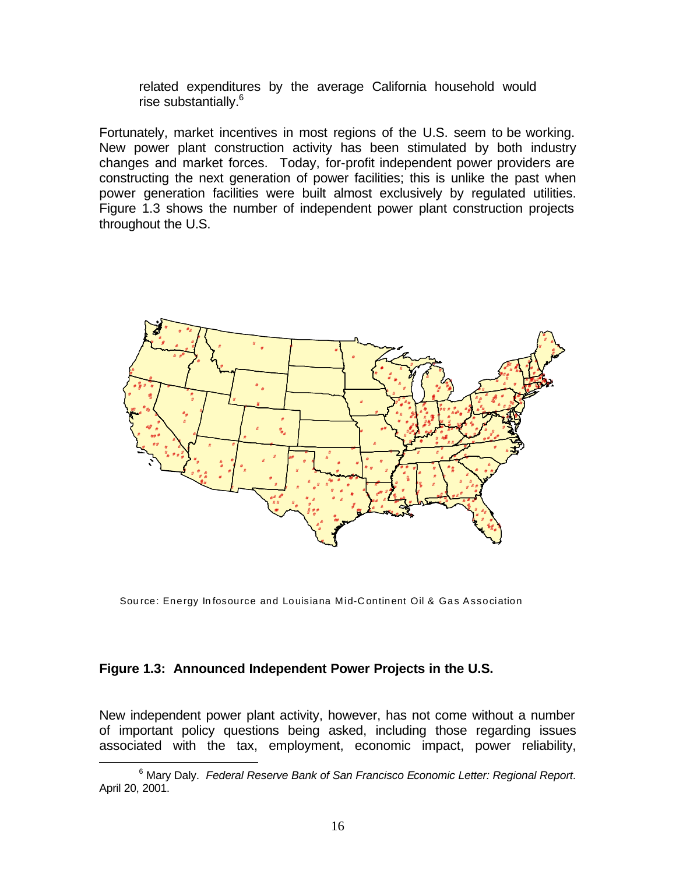related expenditures by the average California household would rise substantially.<sup>6</sup>

Fortunately, market incentives in most regions of the U.S. seem to be working. New power plant construction activity has been stimulated by both industry changes and market forces. Today, for-profit independent power providers are constructing the next generation of power facilities; this is unlike the past when power generation facilities were built almost exclusively by regulated utilities. Figure 1.3 shows the number of independent power plant construction projects throughout the U.S.



Source: Energy Infosource and Louisiana Mid-Continent Oil & Gas Association

#### **Figure 1.3: Announced Independent Power Projects in the U.S.**

 $\overline{a}$ 

New independent power plant activity, however, has not come without a number of important policy questions being asked, including those regarding issues associated with the tax, employment, economic impact, power reliability,

<sup>6</sup> Mary Daly. *Federal Reserve Bank of San Francisco Economic Letter: Regional Report*. April 20, 2001.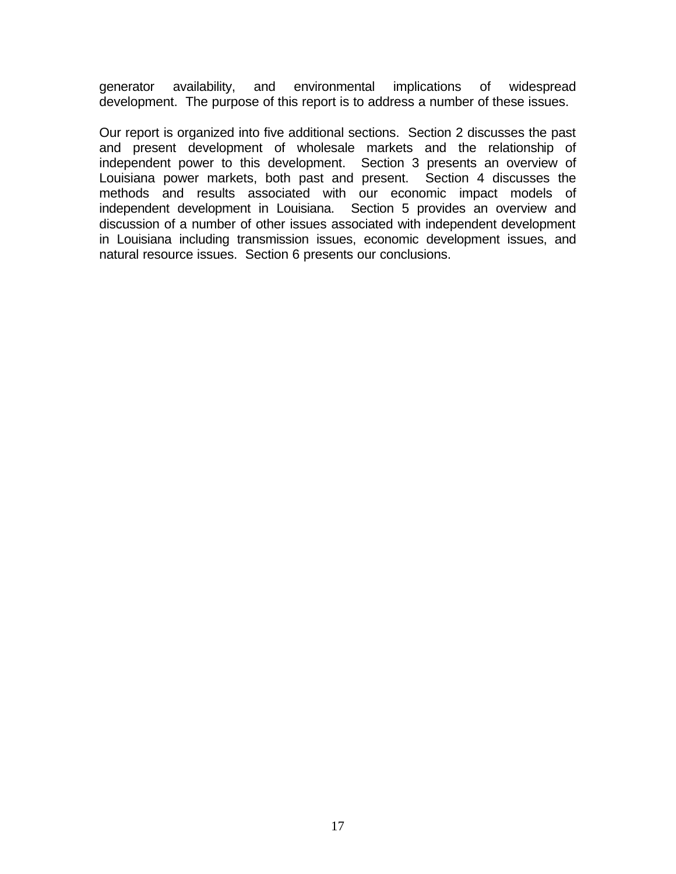generator availability, and environmental implications of widespread development. The purpose of this report is to address a number of these issues.

Our report is organized into five additional sections. Section 2 discusses the past and present development of wholesale markets and the relationship of independent power to this development. Section 3 presents an overview of Louisiana power markets, both past and present. Section 4 discusses the methods and results associated with our economic impact models of independent development in Louisiana. Section 5 provides an overview and discussion of a number of other issues associated with independent development in Louisiana including transmission issues, economic development issues, and natural resource issues. Section 6 presents our conclusions.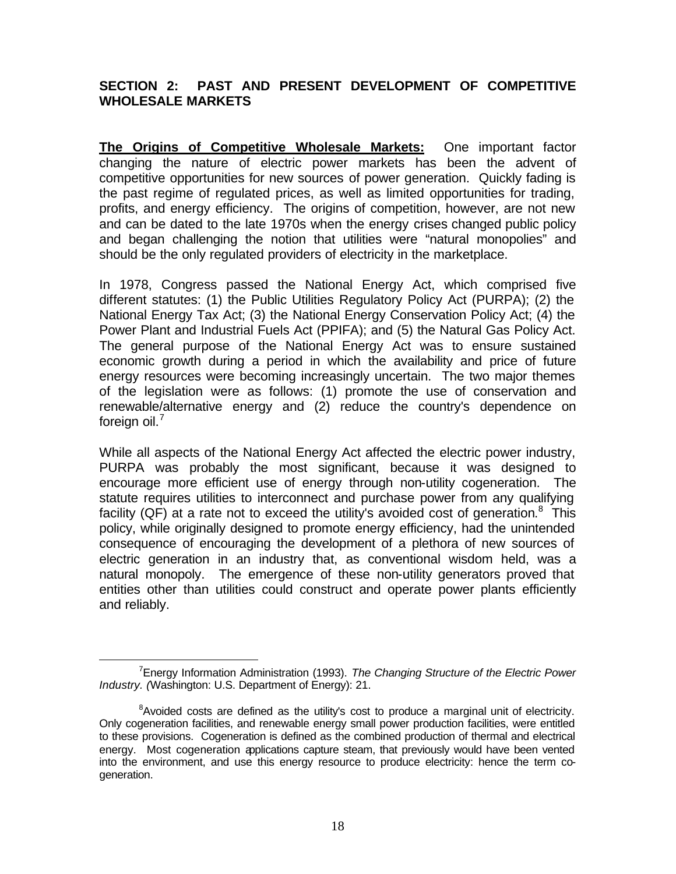#### **SECTION 2: PAST AND PRESENT DEVELOPMENT OF COMPETITIVE WHOLESALE MARKETS**

**The Origins of Competitive Wholesale Markets:** One important factor changing the nature of electric power markets has been the advent of competitive opportunities for new sources of power generation. Quickly fading is the past regime of regulated prices, as well as limited opportunities for trading, profits, and energy efficiency. The origins of competition, however, are not new and can be dated to the late 1970s when the energy crises changed public policy and began challenging the notion that utilities were "natural monopolies" and should be the only regulated providers of electricity in the marketplace.

In 1978, Congress passed the National Energy Act, which comprised five different statutes: (1) the Public Utilities Regulatory Policy Act (PURPA); (2) the National Energy Tax Act; (3) the National Energy Conservation Policy Act; (4) the Power Plant and Industrial Fuels Act (PPIFA); and (5) the Natural Gas Policy Act. The general purpose of the National Energy Act was to ensure sustained economic growth during a period in which the availability and price of future energy resources were becoming increasingly uncertain. The two major themes of the legislation were as follows: (1) promote the use of conservation and renewable/alternative energy and (2) reduce the country's dependence on foreign oil. $<sup>7</sup>$ </sup>

While all aspects of the National Energy Act affected the electric power industry, PURPA was probably the most significant, because it was designed to encourage more efficient use of energy through non-utility cogeneration. The statute requires utilities to interconnect and purchase power from any qualifying facility (QF) at a rate not to exceed the utility's avoided cost of generation.<sup>8</sup> This policy, while originally designed to promote energy efficiency, had the unintended consequence of encouraging the development of a plethora of new sources of electric generation in an industry that, as conventional wisdom held, was a natural monopoly. The emergence of these non-utility generators proved that entities other than utilities could construct and operate power plants efficiently and reliably.

 $\overline{a}$ 

<sup>7</sup>Energy Information Administration (1993). *The Changing Structure of the Electric Power Industry. (*Washington: U.S. Department of Energy): 21.

<sup>&</sup>lt;sup>8</sup>Avoided costs are defined as the utility's cost to produce a marginal unit of electricity. Only cogeneration facilities, and renewable energy small power production facilities, were entitled to these provisions. Cogeneration is defined as the combined production of thermal and electrical energy. Most cogeneration applications capture steam, that previously would have been vented into the environment, and use this energy resource to produce electricity: hence the term cogeneration.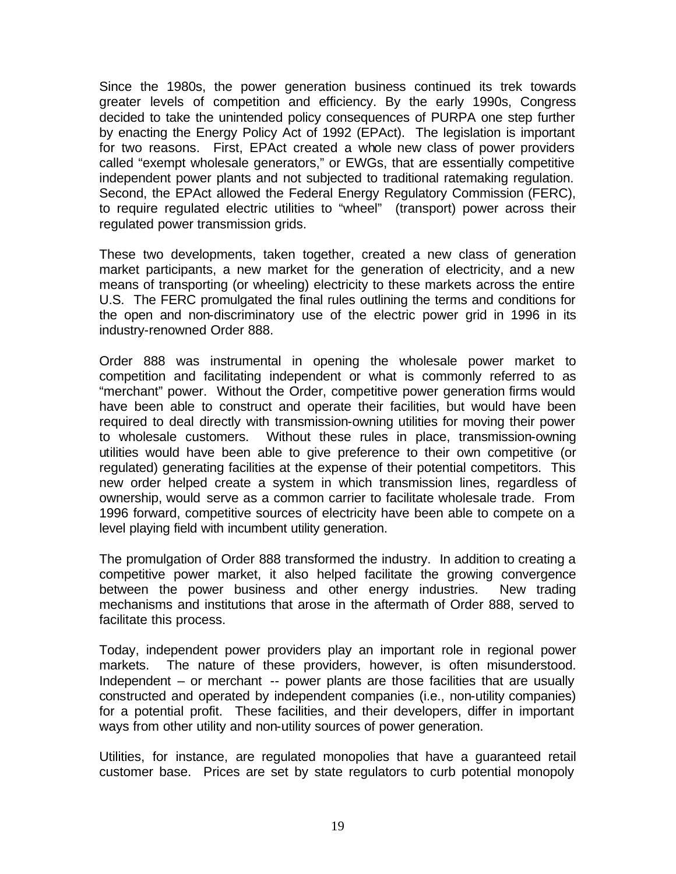Since the 1980s, the power generation business continued its trek towards greater levels of competition and efficiency. By the early 1990s, Congress decided to take the unintended policy consequences of PURPA one step further by enacting the Energy Policy Act of 1992 (EPAct). The legislation is important for two reasons. First, EPAct created a whole new class of power providers called "exempt wholesale generators," or EWGs, that are essentially competitive independent power plants and not subjected to traditional ratemaking regulation. Second, the EPAct allowed the Federal Energy Regulatory Commission (FERC), to require regulated electric utilities to "wheel" (transport) power across their regulated power transmission grids.

These two developments, taken together, created a new class of generation market participants, a new market for the generation of electricity, and a new means of transporting (or wheeling) electricity to these markets across the entire U.S. The FERC promulgated the final rules outlining the terms and conditions for the open and non-discriminatory use of the electric power grid in 1996 in its industry-renowned Order 888.

Order 888 was instrumental in opening the wholesale power market to competition and facilitating independent or what is commonly referred to as "merchant" power. Without the Order, competitive power generation firms would have been able to construct and operate their facilities, but would have been required to deal directly with transmission-owning utilities for moving their power to wholesale customers. Without these rules in place, transmission-owning utilities would have been able to give preference to their own competitive (or regulated) generating facilities at the expense of their potential competitors. This new order helped create a system in which transmission lines, regardless of ownership, would serve as a common carrier to facilitate wholesale trade. From 1996 forward, competitive sources of electricity have been able to compete on a level playing field with incumbent utility generation.

The promulgation of Order 888 transformed the industry. In addition to creating a competitive power market, it also helped facilitate the growing convergence between the power business and other energy industries. New trading mechanisms and institutions that arose in the aftermath of Order 888, served to facilitate this process.

Today, independent power providers play an important role in regional power markets. The nature of these providers, however, is often misunderstood. Independent – or merchant -- power plants are those facilities that are usually constructed and operated by independent companies (i.e., non-utility companies) for a potential profit. These facilities, and their developers, differ in important ways from other utility and non-utility sources of power generation.

Utilities, for instance, are regulated monopolies that have a guaranteed retail customer base. Prices are set by state regulators to curb potential monopoly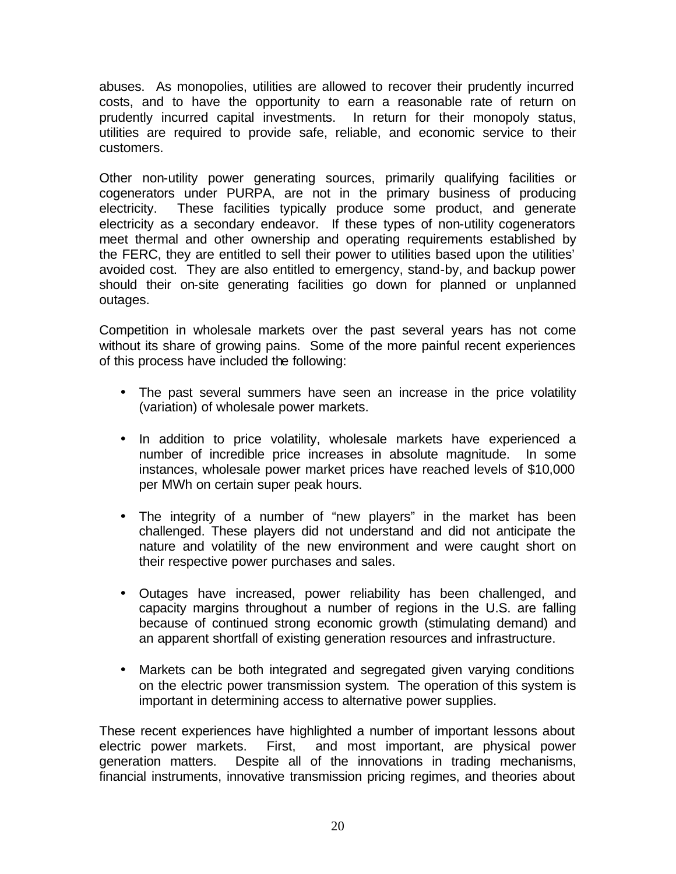abuses. As monopolies, utilities are allowed to recover their prudently incurred costs, and to have the opportunity to earn a reasonable rate of return on prudently incurred capital investments. In return for their monopoly status, utilities are required to provide safe, reliable, and economic service to their customers.

Other non-utility power generating sources, primarily qualifying facilities or cogenerators under PURPA, are not in the primary business of producing electricity. These facilities typically produce some product, and generate electricity as a secondary endeavor. If these types of non-utility cogenerators meet thermal and other ownership and operating requirements established by the FERC, they are entitled to sell their power to utilities based upon the utilities' avoided cost. They are also entitled to emergency, stand-by, and backup power should their on-site generating facilities go down for planned or unplanned outages.

Competition in wholesale markets over the past several years has not come without its share of growing pains. Some of the more painful recent experiences of this process have included the following:

- The past several summers have seen an increase in the price volatility (variation) of wholesale power markets.
- In addition to price volatility, wholesale markets have experienced a number of incredible price increases in absolute magnitude. In some instances, wholesale power market prices have reached levels of \$10,000 per MWh on certain super peak hours.
- The integrity of a number of "new players" in the market has been challenged. These players did not understand and did not anticipate the nature and volatility of the new environment and were caught short on their respective power purchases and sales.
- Outages have increased, power reliability has been challenged, and capacity margins throughout a number of regions in the U.S. are falling because of continued strong economic growth (stimulating demand) and an apparent shortfall of existing generation resources and infrastructure.
- Markets can be both integrated and segregated given varying conditions on the electric power transmission system. The operation of this system is important in determining access to alternative power supplies.

These recent experiences have highlighted a number of important lessons about electric power markets. First, and most important, are physical power generation matters. Despite all of the innovations in trading mechanisms, financial instruments, innovative transmission pricing regimes, and theories about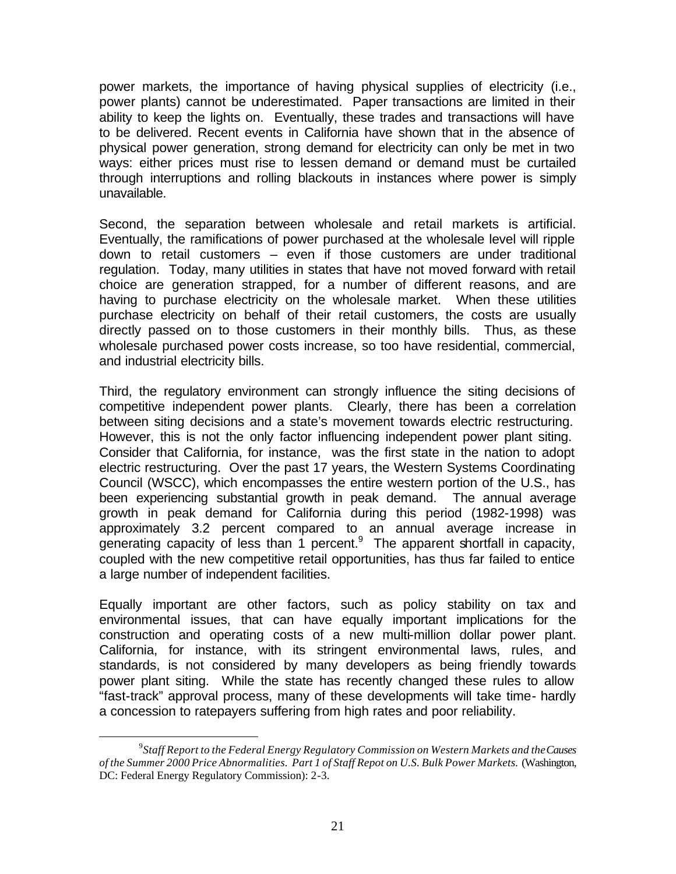power markets, the importance of having physical supplies of electricity (i.e., power plants) cannot be underestimated. Paper transactions are limited in their ability to keep the lights on. Eventually, these trades and transactions will have to be delivered. Recent events in California have shown that in the absence of physical power generation, strong demand for electricity can only be met in two ways: either prices must rise to lessen demand or demand must be curtailed through interruptions and rolling blackouts in instances where power is simply unavailable.

Second, the separation between wholesale and retail markets is artificial. Eventually, the ramifications of power purchased at the wholesale level will ripple down to retail customers – even if those customers are under traditional regulation. Today, many utilities in states that have not moved forward with retail choice are generation strapped, for a number of different reasons, and are having to purchase electricity on the wholesale market. When these utilities purchase electricity on behalf of their retail customers, the costs are usually directly passed on to those customers in their monthly bills. Thus, as these wholesale purchased power costs increase, so too have residential, commercial, and industrial electricity bills.

Third, the regulatory environment can strongly influence the siting decisions of competitive independent power plants. Clearly, there has been a correlation between siting decisions and a state's movement towards electric restructuring. However, this is not the only factor influencing independent power plant siting. Consider that California, for instance, was the first state in the nation to adopt electric restructuring. Over the past 17 years, the Western Systems Coordinating Council (WSCC), which encompasses the entire western portion of the U.S., has been experiencing substantial growth in peak demand. The annual average growth in peak demand for California during this period (1982-1998) was approximately 3.2 percent compared to an annual average increase in generating capacity of less than 1 percent. $9$  The apparent shortfall in capacity, coupled with the new competitive retail opportunities, has thus far failed to entice a large number of independent facilities.

Equally important are other factors, such as policy stability on tax and environmental issues, that can have equally important implications for the construction and operating costs of a new multi-million dollar power plant. California, for instance, with its stringent environmental laws, rules, and standards, is not considered by many developers as being friendly towards power plant siting. While the state has recently changed these rules to allow "fast-track" approval process, many of these developments will take time- hardly a concession to ratepayers suffering from high rates and poor reliability.

 $\overline{a}$ 

<sup>9</sup> *Staff Report to the Federal Energy Regulatory Commission on Western Markets and the Causes of the Summer 2000 Price Abnormalities. Part 1 of Staff Repot on U.S. Bulk Power Markets.* (Washington, DC: Federal Energy Regulatory Commission): 2-3.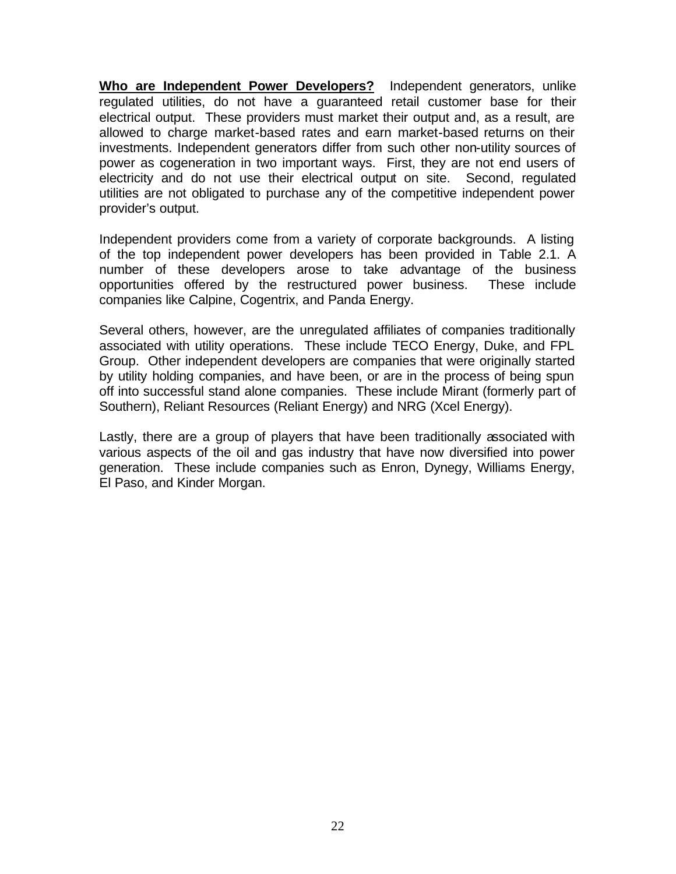**Who are Independent Power Developers?** Independent generators, unlike regulated utilities, do not have a guaranteed retail customer base for their electrical output. These providers must market their output and, as a result, are allowed to charge market-based rates and earn market-based returns on their investments. Independent generators differ from such other non-utility sources of power as cogeneration in two important ways. First, they are not end users of electricity and do not use their electrical output on site. Second, regulated utilities are not obligated to purchase any of the competitive independent power provider's output.

Independent providers come from a variety of corporate backgrounds. A listing of the top independent power developers has been provided in Table 2.1. A number of these developers arose to take advantage of the business opportunities offered by the restructured power business. These include companies like Calpine, Cogentrix, and Panda Energy.

Several others, however, are the unregulated affiliates of companies traditionally associated with utility operations. These include TECO Energy, Duke, and FPL Group. Other independent developers are companies that were originally started by utility holding companies, and have been, or are in the process of being spun off into successful stand alone companies. These include Mirant (formerly part of Southern), Reliant Resources (Reliant Energy) and NRG (Xcel Energy).

Lastly, there are a group of players that have been traditionally associated with various aspects of the oil and gas industry that have now diversified into power generation. These include companies such as Enron, Dynegy, Williams Energy, El Paso, and Kinder Morgan.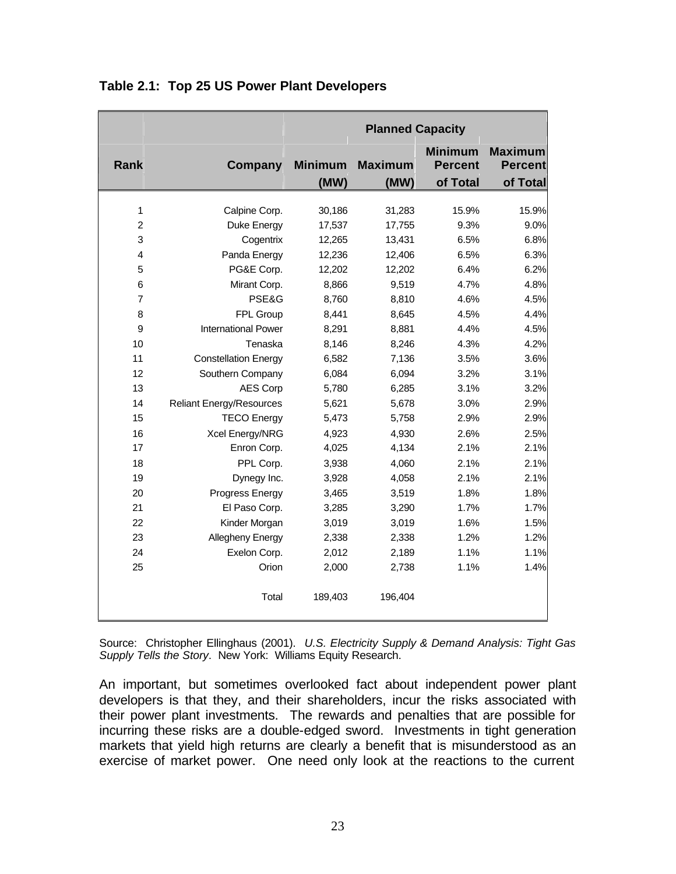|                |                                 | <b>Planned Capacity</b> |                        |                                              |                                              |
|----------------|---------------------------------|-------------------------|------------------------|----------------------------------------------|----------------------------------------------|
| <b>Rank</b>    | Company                         | <b>Minimum</b><br>(MW)  | <b>Maximum</b><br>(MW) | <b>Minimum</b><br><b>Percent</b><br>of Total | <b>Maximum</b><br><b>Percent</b><br>of Total |
|                |                                 |                         |                        |                                              |                                              |
| 1              | Calpine Corp.                   | 30,186                  | 31,283                 | 15.9%                                        | 15.9%                                        |
| $\overline{c}$ | Duke Energy                     | 17,537                  | 17,755                 | 9.3%                                         | 9.0%                                         |
| 3              | Cogentrix                       | 12,265                  | 13,431                 | 6.5%                                         | 6.8%                                         |
| $\overline{4}$ | Panda Energy                    | 12,236                  | 12,406                 | 6.5%                                         | 6.3%                                         |
| 5              | PG&E Corp.                      | 12,202                  | 12,202                 | 6.4%                                         | 6.2%                                         |
| 6              | Mirant Corp.                    | 8,866                   | 9,519                  | 4.7%                                         | 4.8%                                         |
| $\overline{7}$ | PSE&G                           | 8,760                   | 8,810                  | 4.6%                                         | 4.5%                                         |
| 8              | FPL Group                       | 8,441                   | 8,645                  | 4.5%                                         | 4.4%                                         |
| 9              | <b>International Power</b>      | 8,291                   | 8,881                  | 4.4%                                         | 4.5%                                         |
| 10             | Tenaska                         | 8,146                   | 8,246                  | 4.3%                                         | 4.2%                                         |
| 11             | <b>Constellation Energy</b>     | 6,582                   | 7,136                  | 3.5%                                         | 3.6%                                         |
| 12             | Southern Company                | 6,084                   | 6,094                  | 3.2%                                         | 3.1%                                         |
| 13             | <b>AES Corp</b>                 | 5,780                   | 6,285                  | 3.1%                                         | 3.2%                                         |
| 14             | <b>Reliant Energy/Resources</b> | 5,621                   | 5,678                  | 3.0%                                         | 2.9%                                         |
| 15             | <b>TECO Energy</b>              | 5,473                   | 5,758                  | 2.9%                                         | 2.9%                                         |
| 16             | Xcel Energy/NRG                 | 4,923                   | 4,930                  | 2.6%                                         | 2.5%                                         |
| 17             | Enron Corp.                     | 4,025                   | 4,134                  | 2.1%                                         | 2.1%                                         |
| 18             | PPL Corp.                       | 3,938                   | 4,060                  | 2.1%                                         | 2.1%                                         |
| 19             | Dynegy Inc.                     | 3,928                   | 4,058                  | 2.1%                                         | 2.1%                                         |
| 20             | Progress Energy                 | 3,465                   | 3.519                  | 1.8%                                         | 1.8%                                         |
| 21             | El Paso Corp.                   | 3,285                   | 3,290                  | 1.7%                                         | 1.7%                                         |
| 22             | Kinder Morgan                   | 3,019                   | 3,019                  | 1.6%                                         | 1.5%                                         |
| 23             | Allegheny Energy                | 2,338                   | 2,338                  | 1.2%                                         | 1.2%                                         |
| 24             | Exelon Corp.                    | 2,012                   | 2,189                  | 1.1%                                         | 1.1%                                         |
| 25             | Orion                           | 2,000                   | 2,738                  | 1.1%                                         | 1.4%                                         |
|                | Total                           | 189,403                 | 196,404                |                                              |                                              |

|  |  | Table 2.1: Top 25 US Power Plant Developers |  |
|--|--|---------------------------------------------|--|
|--|--|---------------------------------------------|--|

Source: Christopher Ellinghaus (2001). *U.S. Electricity Supply & Demand Analysis: Tight Gas Supply Tells the Story*. New York: Williams Equity Research.

An important, but sometimes overlooked fact about independent power plant developers is that they, and their shareholders, incur the risks associated with their power plant investments. The rewards and penalties that are possible for incurring these risks are a double-edged sword. Investments in tight generation markets that yield high returns are clearly a benefit that is misunderstood as an exercise of market power. One need only look at the reactions to the current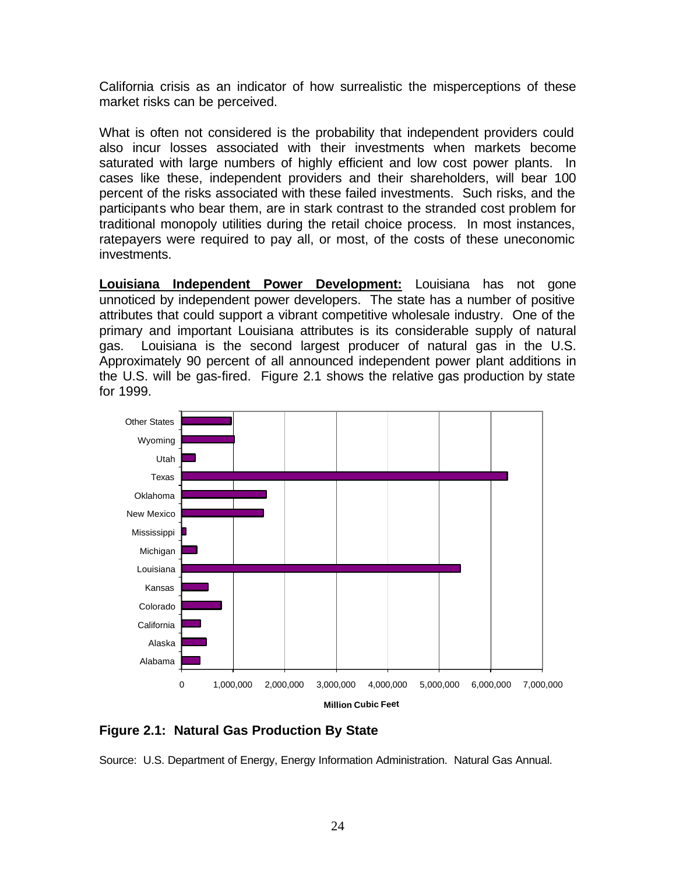California crisis as an indicator of how surrealistic the misperceptions of these market risks can be perceived.

What is often not considered is the probability that independent providers could also incur losses associated with their investments when markets become saturated with large numbers of highly efficient and low cost power plants. In cases like these, independent providers and their shareholders, will bear 100 percent of the risks associated with these failed investments. Such risks, and the participants who bear them, are in stark contrast to the stranded cost problem for traditional monopoly utilities during the retail choice process. In most instances, ratepayers were required to pay all, or most, of the costs of these uneconomic investments.

**Louisiana Independent Power Development:** Louisiana has not gone unnoticed by independent power developers. The state has a number of positive attributes that could support a vibrant competitive wholesale industry. One of the primary and important Louisiana attributes is its considerable supply of natural gas. Louisiana is the second largest producer of natural gas in the U.S. Approximately 90 percent of all announced independent power plant additions in the U.S. will be gas-fired. Figure 2.1 shows the relative gas production by state for 1999.



**Figure 2.1: Natural Gas Production By State**

Source: U.S. Department of Energy, Energy Information Administration. Natural Gas Annual.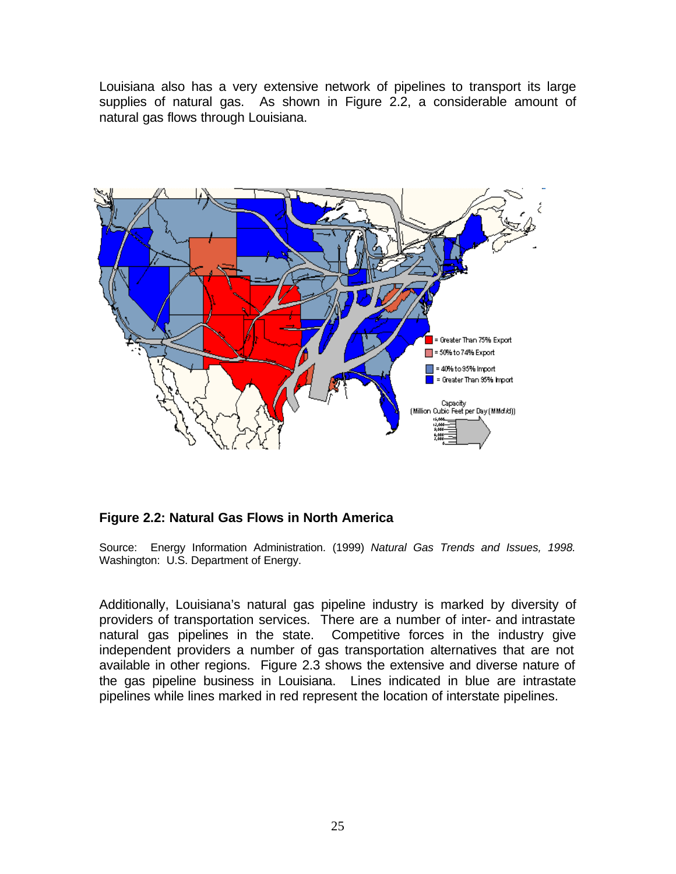Louisiana also has a very extensive network of pipelines to transport its large supplies of natural gas. As shown in Figure 2.2, a considerable amount of natural gas flows through Louisiana.



#### **Figure 2.2: Natural Gas Flows in North America**

Source: Energy Information Administration. (1999) *Natural Gas Trends and Issues, 1998.* Washington: U.S. Department of Energy.

Additionally, Louisiana's natural gas pipeline industry is marked by diversity of providers of transportation services. There are a number of inter- and intrastate natural gas pipelines in the state. Competitive forces in the industry give independent providers a number of gas transportation alternatives that are not available in other regions. Figure 2.3 shows the extensive and diverse nature of the gas pipeline business in Louisiana. Lines indicated in blue are intrastate pipelines while lines marked in red represent the location of interstate pipelines.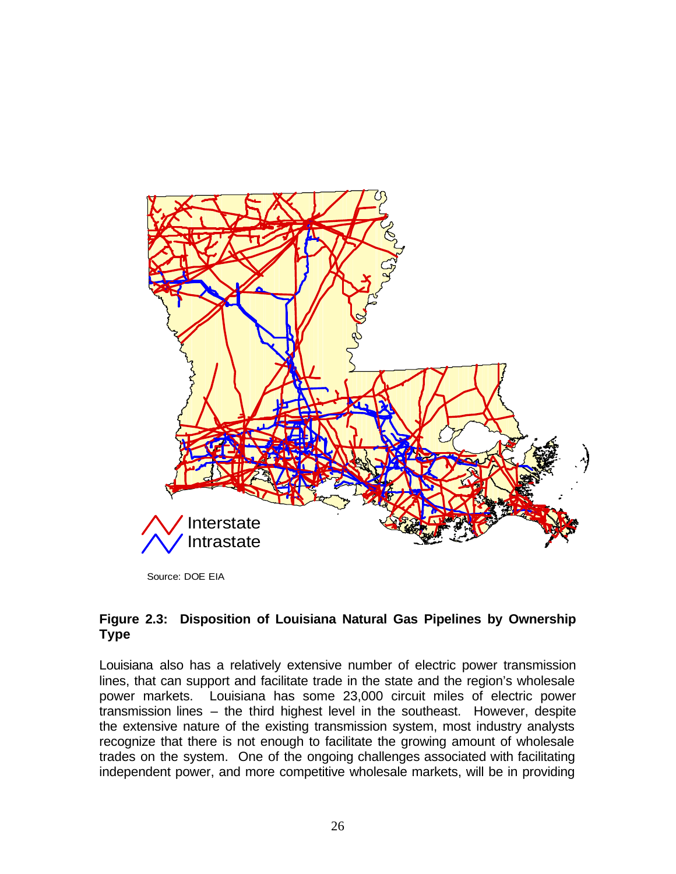

Source: DOE EIA

#### **Figure 2.3: Disposition of Louisiana Natural Gas Pipelines by Ownership Type**

Louisiana also has a relatively extensive number of electric power transmission lines, that can support and facilitate trade in the state and the region's wholesale power markets. Louisiana has some 23,000 circuit miles of electric power transmission lines – the third highest level in the southeast. However, despite the extensive nature of the existing transmission system, most industry analysts recognize that there is not enough to facilitate the growing amount of wholesale trades on the system. One of the ongoing challenges associated with facilitating independent power, and more competitive wholesale markets, will be in providing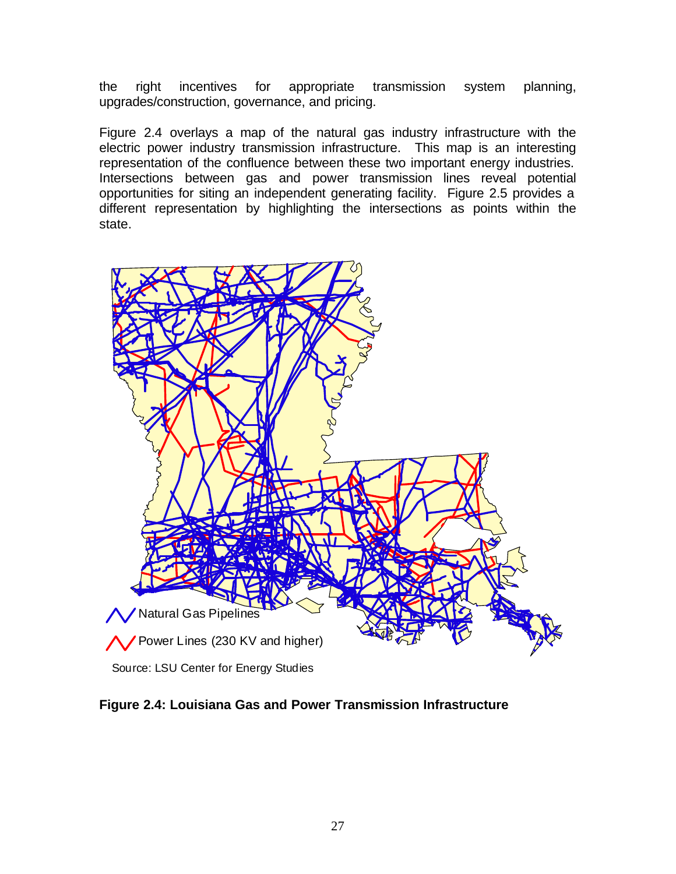the right incentives for appropriate transmission system planning, upgrades/construction, governance, and pricing.

Figure 2.4 overlays a map of the natural gas industry infrastructure with the electric power industry transmission infrastructure. This map is an interesting representation of the confluence between these two important energy industries. Intersections between gas and power transmission lines reveal potential opportunities for siting an independent generating facility. Figure 2.5 provides a different representation by highlighting the intersections as points within the state.



**Figure 2.4: Louisiana Gas and Power Transmission Infrastructure**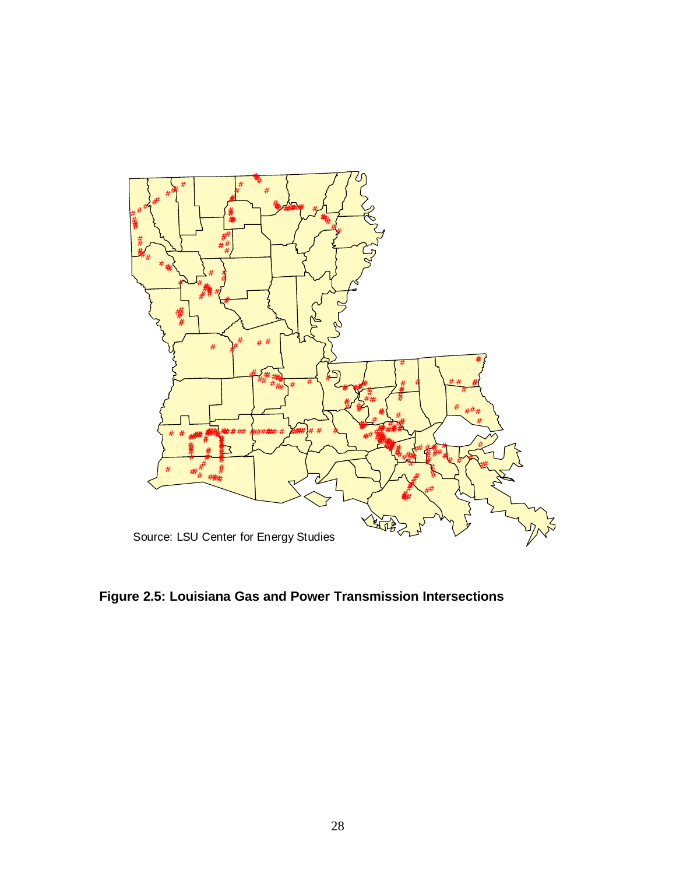

Figure 2.5: Louisiana Gas and Power Transmission Intersections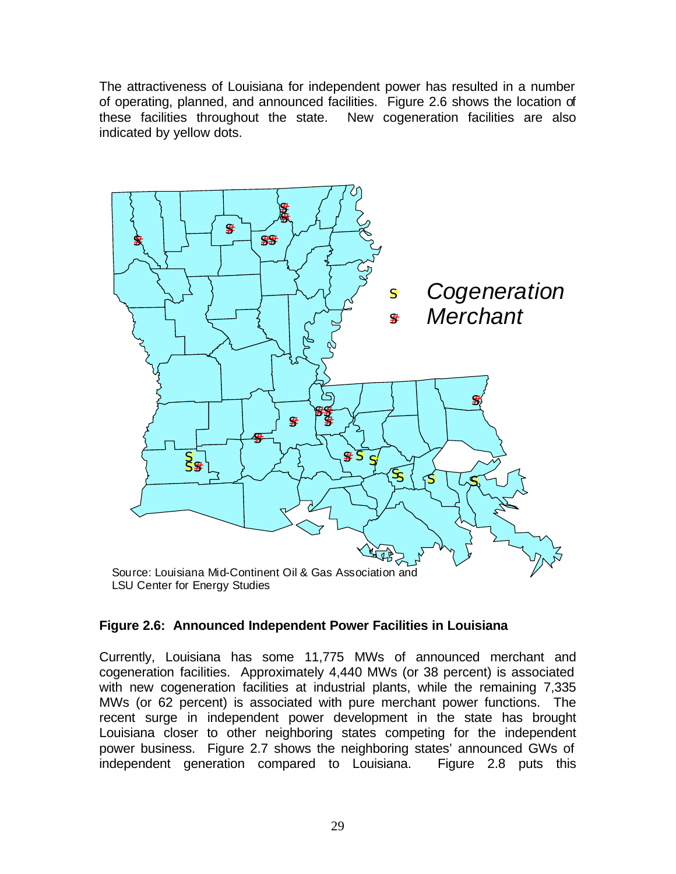The attractiveness of Louisiana for independent power has resulted in a number of operating, planned, and announced facilities. Figure 2.6 shows the location of these facilities throughout the state. New cogeneration facilities are also indicated by yellow dots.



#### **Figure 2.6: Announced Independent Power Facilities in Louisiana**

Currently, Louisiana has some 11,775 MWs of announced merchant and cogeneration facilities. Approximately 4,440 MWs (or 38 percent) is associated with new cogeneration facilities at industrial plants, while the remaining 7,335 MWs (or 62 percent) is associated with pure merchant power functions. The recent surge in independent power development in the state has brought Louisiana closer to other neighboring states competing for the independent power business. Figure 2.7 shows the neighboring states' announced GWs of independent generation compared to Louisiana. Figure 2.8 puts this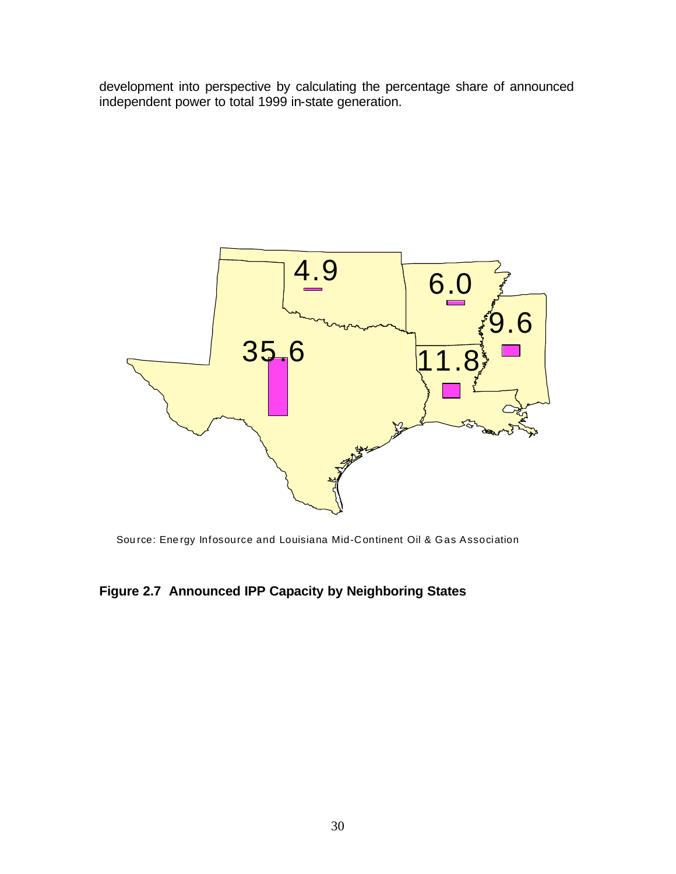development into perspective by calculating the percentage share of announced independent power to total 1999 in-state generation.



Sou rce: Ene rgy Infosource and Louisiana Mid-Continent Oil & Gas Association

# **Figure 2.7 Announced IPP Capacity by Neighboring States**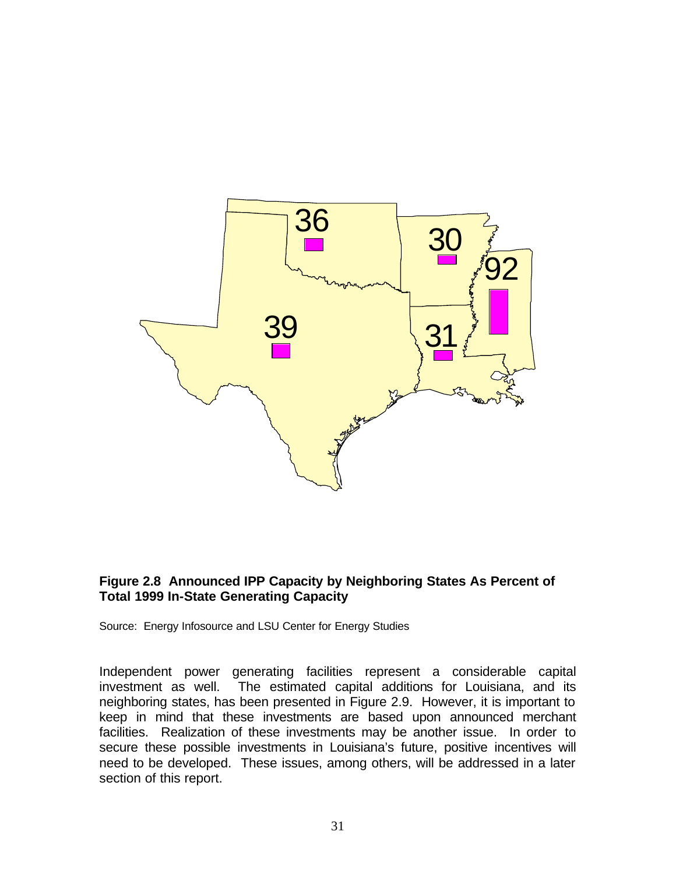

### **Figure 2.8 Announced IPP Capacity by Neighboring States As Percent of Total 1999 In-State Generating Capacity**

Source: Energy Infosource and LSU Center for Energy Studies

Independent power generating facilities represent a considerable capital investment as well. The estimated capital additions for Louisiana, and its neighboring states, has been presented in Figure 2.9. However, it is important to keep in mind that these investments are based upon announced merchant facilities. Realization of these investments may be another issue. In order to secure these possible investments in Louisiana's future, positive incentives will need to be developed. These issues, among others, will be addressed in a later section of this report.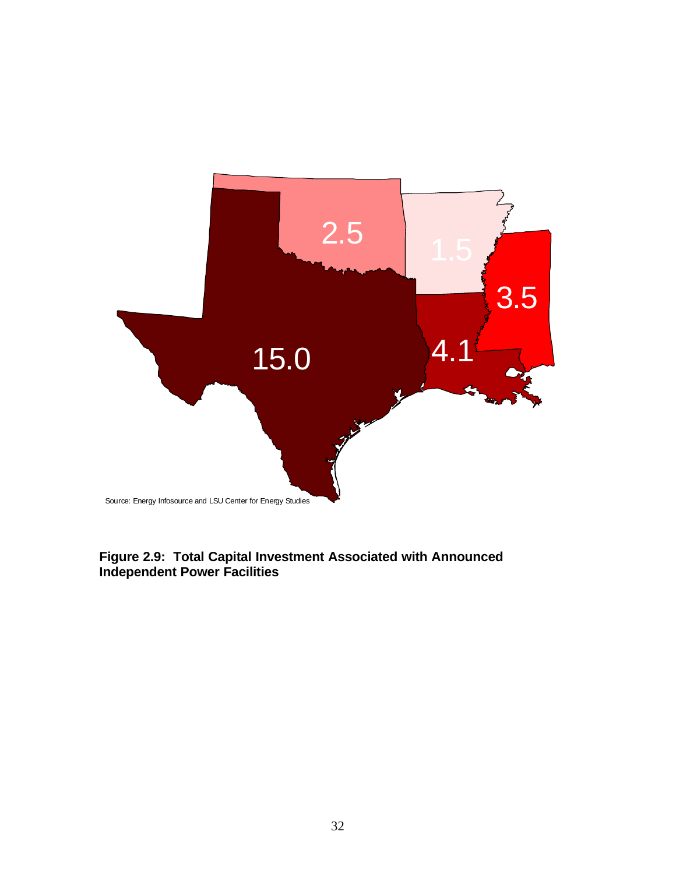

## **Figure 2.9: Total Capital Investment Associated with Announced Independent Power Facilities**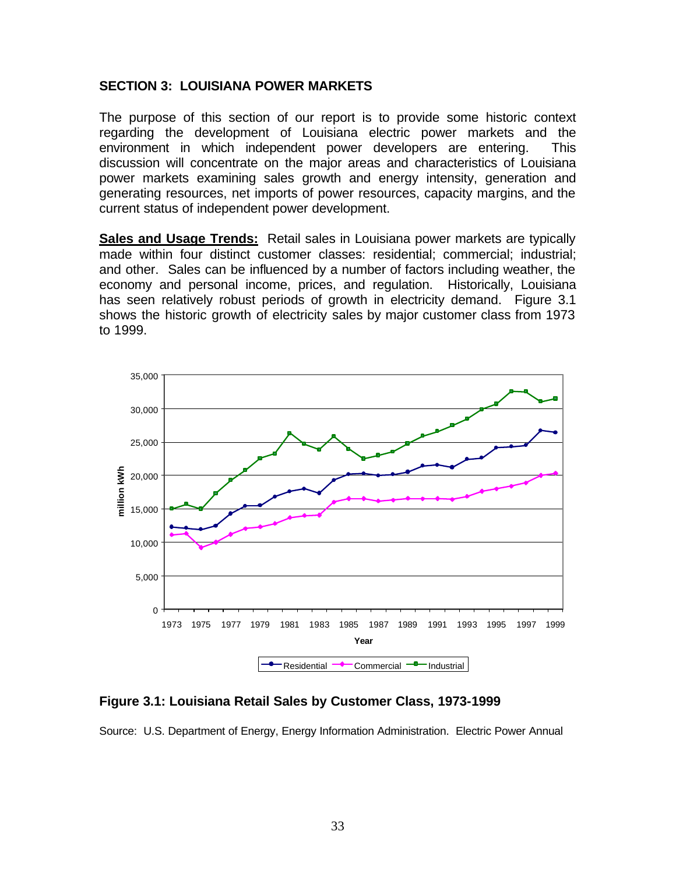#### **SECTION 3: LOUISIANA POWER MARKETS**

The purpose of this section of our report is to provide some historic context regarding the development of Louisiana electric power markets and the environment in which independent power developers are entering. This discussion will concentrate on the major areas and characteristics of Louisiana power markets examining sales growth and energy intensity, generation and generating resources, net imports of power resources, capacity margins, and the current status of independent power development.

**Sales and Usage Trends:** Retail sales in Louisiana power markets are typically made within four distinct customer classes: residential; commercial; industrial; and other. Sales can be influenced by a number of factors including weather, the economy and personal income, prices, and regulation. Historically, Louisiana has seen relatively robust periods of growth in electricity demand. Figure 3.1 shows the historic growth of electricity sales by major customer class from 1973 to 1999.



### **Figure 3.1: Louisiana Retail Sales by Customer Class, 1973-1999**

Source: U.S. Department of Energy, Energy Information Administration. Electric Power Annual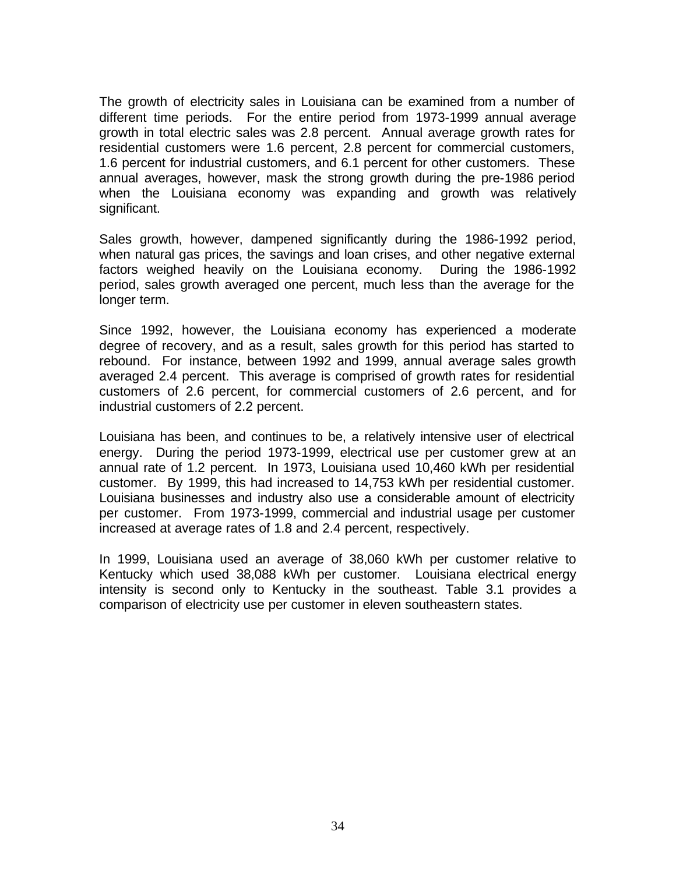The growth of electricity sales in Louisiana can be examined from a number of different time periods. For the entire period from 1973-1999 annual average growth in total electric sales was 2.8 percent. Annual average growth rates for residential customers were 1.6 percent, 2.8 percent for commercial customers, 1.6 percent for industrial customers, and 6.1 percent for other customers. These annual averages, however, mask the strong growth during the pre-1986 period when the Louisiana economy was expanding and growth was relatively significant.

Sales growth, however, dampened significantly during the 1986-1992 period, when natural gas prices, the savings and loan crises, and other negative external factors weighed heavily on the Louisiana economy. During the 1986-1992 period, sales growth averaged one percent, much less than the average for the longer term.

Since 1992, however, the Louisiana economy has experienced a moderate degree of recovery, and as a result, sales growth for this period has started to rebound. For instance, between 1992 and 1999, annual average sales growth averaged 2.4 percent. This average is comprised of growth rates for residential customers of 2.6 percent, for commercial customers of 2.6 percent, and for industrial customers of 2.2 percent.

Louisiana has been, and continues to be, a relatively intensive user of electrical energy. During the period 1973-1999, electrical use per customer grew at an annual rate of 1.2 percent. In 1973, Louisiana used 10,460 kWh per residential customer. By 1999, this had increased to 14,753 kWh per residential customer. Louisiana businesses and industry also use a considerable amount of electricity per customer. From 1973-1999, commercial and industrial usage per customer increased at average rates of 1.8 and 2.4 percent, respectively.

In 1999, Louisiana used an average of 38,060 kWh per customer relative to Kentucky which used 38,088 kWh per customer. Louisiana electrical energy intensity is second only to Kentucky in the southeast. Table 3.1 provides a comparison of electricity use per customer in eleven southeastern states.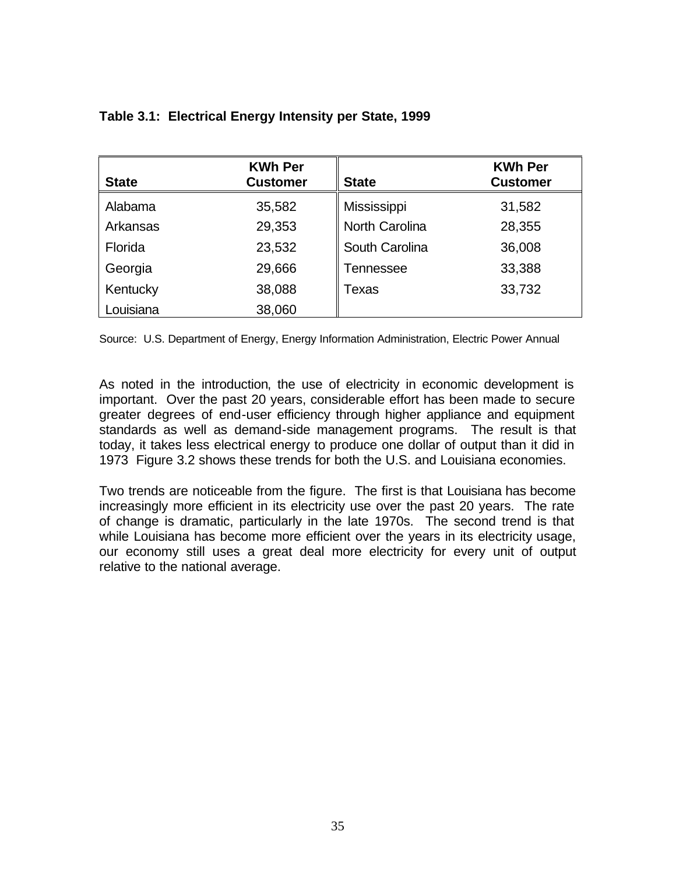| <b>State</b> | <b>KWh Per</b><br><b>Customer</b> | <b>State</b>          | <b>KWh Per</b><br><b>Customer</b> |
|--------------|-----------------------------------|-----------------------|-----------------------------------|
| Alabama      | 35,582                            | Mississippi           | 31,582                            |
| Arkansas     | 29,353                            | <b>North Carolina</b> | 28,355                            |
| Florida      | 23,532                            | South Carolina        | 36,008                            |
| Georgia      | 29,666                            | Tennessee             | 33,388                            |
| Kentucky     | 38,088                            | Texas                 | 33,732                            |
| ouisiana     | 38,060                            |                       |                                   |

#### **Table 3.1: Electrical Energy Intensity per State, 1999**

Source: U.S. Department of Energy, Energy Information Administration, Electric Power Annual

As noted in the introduction, the use of electricity in economic development is important. Over the past 20 years, considerable effort has been made to secure greater degrees of end-user efficiency through higher appliance and equipment standards as well as demand-side management programs. The result is that today, it takes less electrical energy to produce one dollar of output than it did in 1973 Figure 3.2 shows these trends for both the U.S. and Louisiana economies.

Two trends are noticeable from the figure. The first is that Louisiana has become increasingly more efficient in its electricity use over the past 20 years. The rate of change is dramatic, particularly in the late 1970s. The second trend is that while Louisiana has become more efficient over the years in its electricity usage, our economy still uses a great deal more electricity for every unit of output relative to the national average.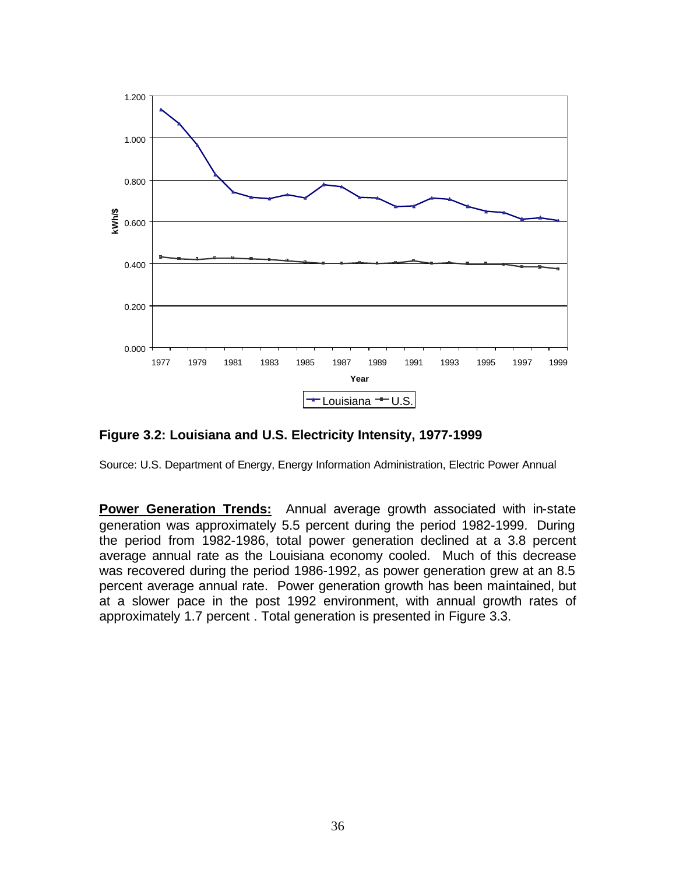

**Figure 3.2: Louisiana and U.S. Electricity Intensity, 1977-1999**

Source: U.S. Department of Energy, Energy Information Administration, Electric Power Annual

**Power Generation Trends:** Annual average growth associated with in-state generation was approximately 5.5 percent during the period 1982-1999. During the period from 1982-1986, total power generation declined at a 3.8 percent average annual rate as the Louisiana economy cooled. Much of this decrease was recovered during the period 1986-1992, as power generation grew at an 8.5 percent average annual rate. Power generation growth has been maintained, but at a slower pace in the post 1992 environment, with annual growth rates of approximately 1.7 percent . Total generation is presented in Figure 3.3.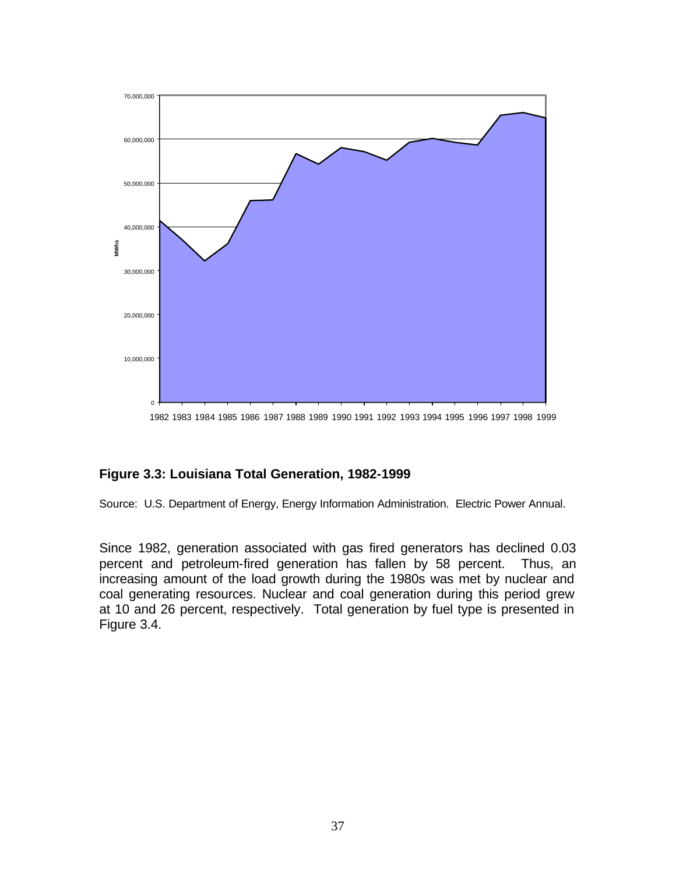

#### 1982 1983 1984 1985 1986 1987 1988 1989 1990 1991 1992 1993 1994 1995 1996 1997 1998 1999

#### **Figure 3.3: Louisiana Total Generation, 1982-1999**

Source: U.S. Department of Energy, Energy Information Administration. Electric Power Annual.

Since 1982, generation associated with gas fired generators has declined 0.03 percent and petroleum-fired generation has fallen by 58 percent. Thus, an increasing amount of the load growth during the 1980s was met by nuclear and coal generating resources. Nuclear and coal generation during this period grew at 10 and 26 percent, respectively. Total generation by fuel type is presented in Figure 3.4.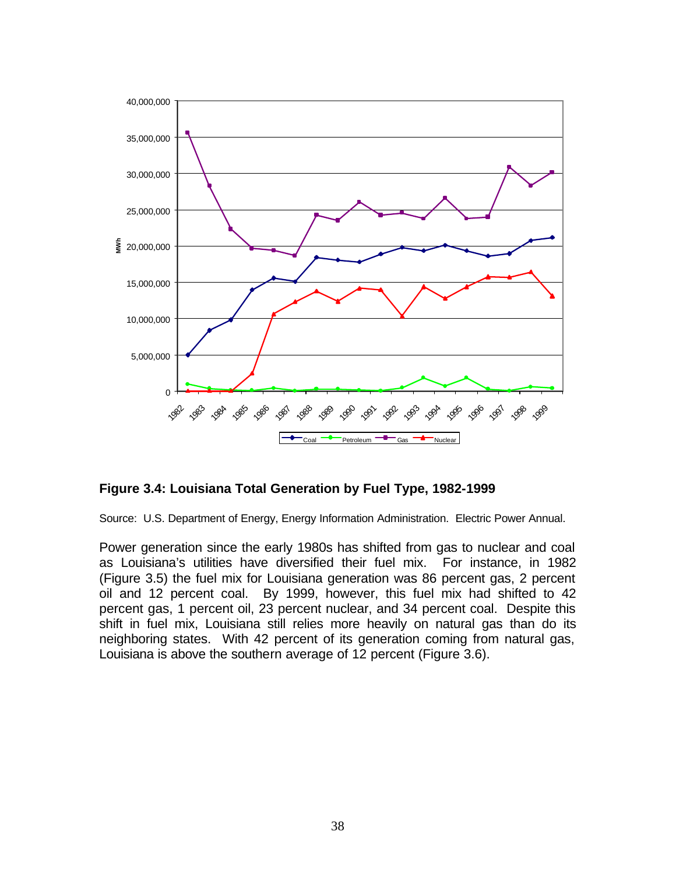

### **Figure 3.4: Louisiana Total Generation by Fuel Type, 1982-1999**

Source: U.S. Department of Energy, Energy Information Administration. Electric Power Annual.

Power generation since the early 1980s has shifted from gas to nuclear and coal as Louisiana's utilities have diversified their fuel mix. For instance, in 1982 (Figure 3.5) the fuel mix for Louisiana generation was 86 percent gas, 2 percent oil and 12 percent coal. By 1999, however, this fuel mix had shifted to 42 percent gas, 1 percent oil, 23 percent nuclear, and 34 percent coal. Despite this shift in fuel mix, Louisiana still relies more heavily on natural gas than do its neighboring states. With 42 percent of its generation coming from natural gas, Louisiana is above the southern average of 12 percent (Figure 3.6).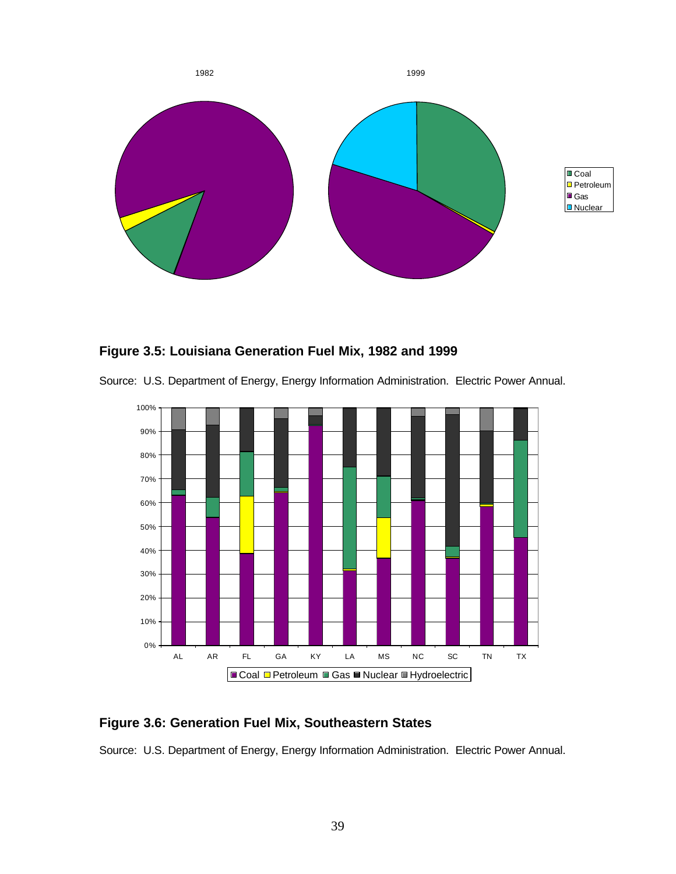

**Figure 3.5: Louisiana Generation Fuel Mix, 1982 and 1999**

Source: U.S. Department of Energy, Energy Information Administration. Electric Power Annual.



### **Figure 3.6: Generation Fuel Mix, Southeastern States**

Source: U.S. Department of Energy, Energy Information Administration. Electric Power Annual.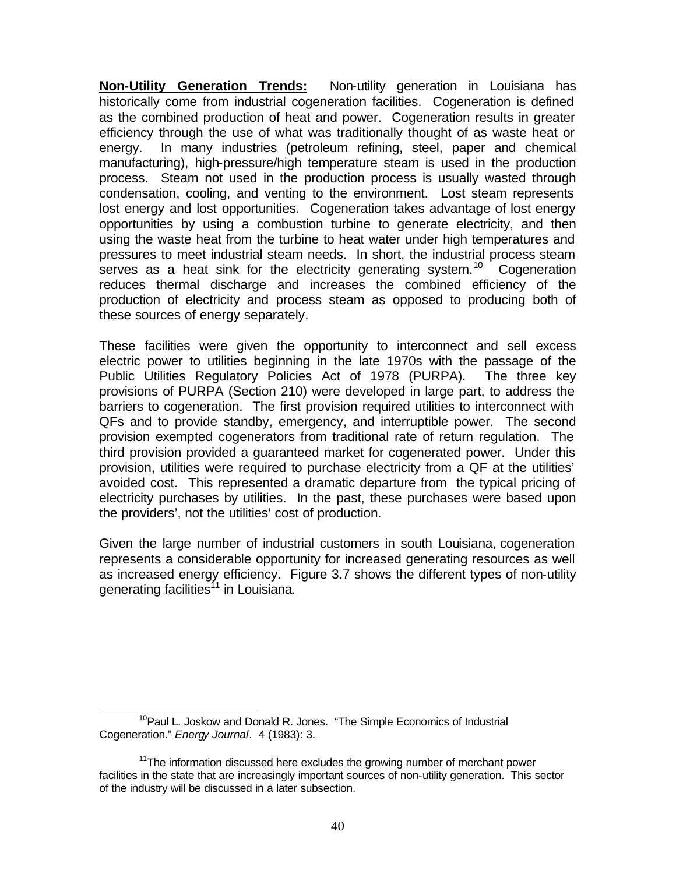**Non-Utility Generation Trends:** Non-utility generation in Louisiana has historically come from industrial cogeneration facilities. Cogeneration is defined as the combined production of heat and power. Cogeneration results in greater efficiency through the use of what was traditionally thought of as waste heat or energy. In many industries (petroleum refining, steel, paper and chemical manufacturing), high-pressure/high temperature steam is used in the production process. Steam not used in the production process is usually wasted through condensation, cooling, and venting to the environment. Lost steam represents lost energy and lost opportunities. Cogeneration takes advantage of lost energy opportunities by using a combustion turbine to generate electricity, and then using the waste heat from the turbine to heat water under high temperatures and pressures to meet industrial steam needs. In short, the industrial process steam serves as a heat sink for the electricity generating system.<sup>10</sup> Cogeneration reduces thermal discharge and increases the combined efficiency of the production of electricity and process steam as opposed to producing both of these sources of energy separately.

These facilities were given the opportunity to interconnect and sell excess electric power to utilities beginning in the late 1970s with the passage of the Public Utilities Regulatory Policies Act of 1978 (PURPA). The three key provisions of PURPA (Section 210) were developed in large part, to address the barriers to cogeneration. The first provision required utilities to interconnect with QFs and to provide standby, emergency, and interruptible power. The second provision exempted cogenerators from traditional rate of return regulation. The third provision provided a guaranteed market for cogenerated power. Under this provision, utilities were required to purchase electricity from a QF at the utilities' avoided cost. This represented a dramatic departure from the typical pricing of electricity purchases by utilities. In the past, these purchases were based upon the providers', not the utilities' cost of production.

Given the large number of industrial customers in south Louisiana, cogeneration represents a considerable opportunity for increased generating resources as well as increased energy efficiency. Figure 3.7 shows the different types of non-utility generating facilities<sup>11</sup> in Louisiana.

1

<sup>&</sup>lt;sup>10</sup>Paul L. Joskow and Donald R. Jones. "The Simple Economics of Industrial Cogeneration." *Energy Journal*. 4 (1983): 3.

 $11$ <sup>The information discussed here excludes the growing number of merchant power</sup> facilities in the state that are increasingly important sources of non-utility generation. This sector of the industry will be discussed in a later subsection.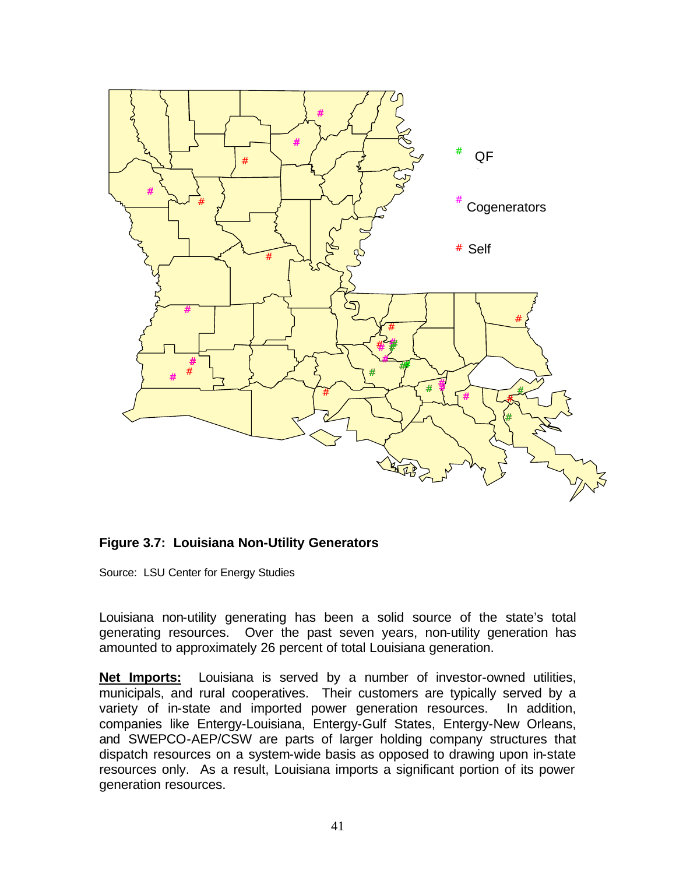

### **Figure 3.7: Louisiana Non-Utility Generators**

Source: LSU Center for Energy Studies

Louisiana non-utility generating has been a solid source of the state's total generating resources. Over the past seven years, non-utility generation has amounted to approximately 26 percent of total Louisiana generation.

**Net Imports:** Louisiana is served by a number of investor-owned utilities, municipals, and rural cooperatives. Their customers are typically served by a variety of in-state and imported power generation resources. In addition, companies like Entergy-Louisiana, Entergy-Gulf States, Entergy-New Orleans, and SWEPCO-AEP/CSW are parts of larger holding company structures that dispatch resources on a system-wide basis as opposed to drawing upon in-state resources only. As a result, Louisiana imports a significant portion of its power generation resources.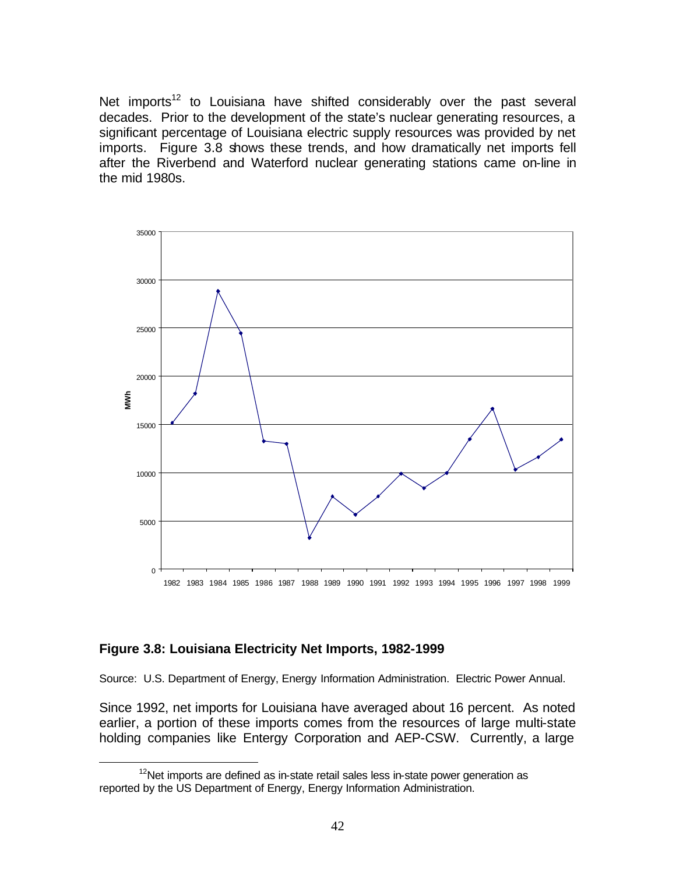Net imports<sup>12</sup> to Louisiana have shifted considerably over the past several decades. Prior to the development of the state's nuclear generating resources, a significant percentage of Louisiana electric supply resources was provided by net imports. Figure 3.8 shows these trends, and how dramatically net imports fell after the Riverbend and Waterford nuclear generating stations came on-line in the mid 1980s.



### **Figure 3.8: Louisiana Electricity Net Imports, 1982-1999**

 $\overline{a}$ 

Source: U.S. Department of Energy, Energy Information Administration. Electric Power Annual.

Since 1992, net imports for Louisiana have averaged about 16 percent. As noted earlier, a portion of these imports comes from the resources of large multi-state holding companies like Entergy Corporation and AEP-CSW. Currently, a large

 $12$ Net imports are defined as in-state retail sales less in-state power generation as reported by the US Department of Energy, Energy Information Administration.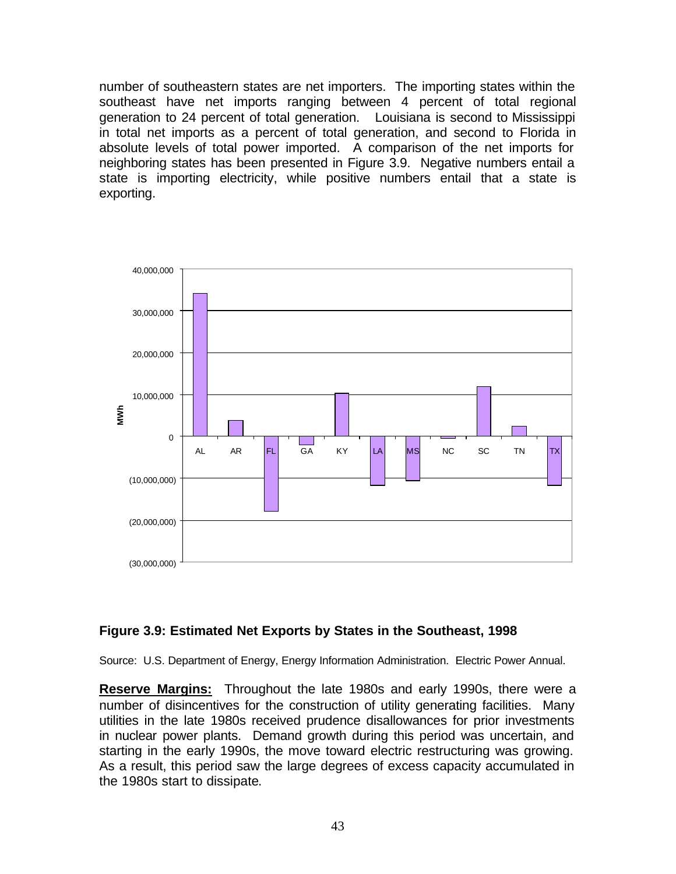number of southeastern states are net importers. The importing states within the southeast have net imports ranging between 4 percent of total regional generation to 24 percent of total generation. Louisiana is second to Mississippi in total net imports as a percent of total generation, and second to Florida in absolute levels of total power imported. A comparison of the net imports for neighboring states has been presented in Figure 3.9. Negative numbers entail a state is importing electricity, while positive numbers entail that a state is exporting.



### **Figure 3.9: Estimated Net Exports by States in the Southeast, 1998**

Source: U.S. Department of Energy, Energy Information Administration. Electric Power Annual.

**Reserve Margins:** Throughout the late 1980s and early 1990s, there were a number of disincentives for the construction of utility generating facilities. Many utilities in the late 1980s received prudence disallowances for prior investments in nuclear power plants. Demand growth during this period was uncertain, and starting in the early 1990s, the move toward electric restructuring was growing. As a result, this period saw the large degrees of excess capacity accumulated in the 1980s start to dissipate.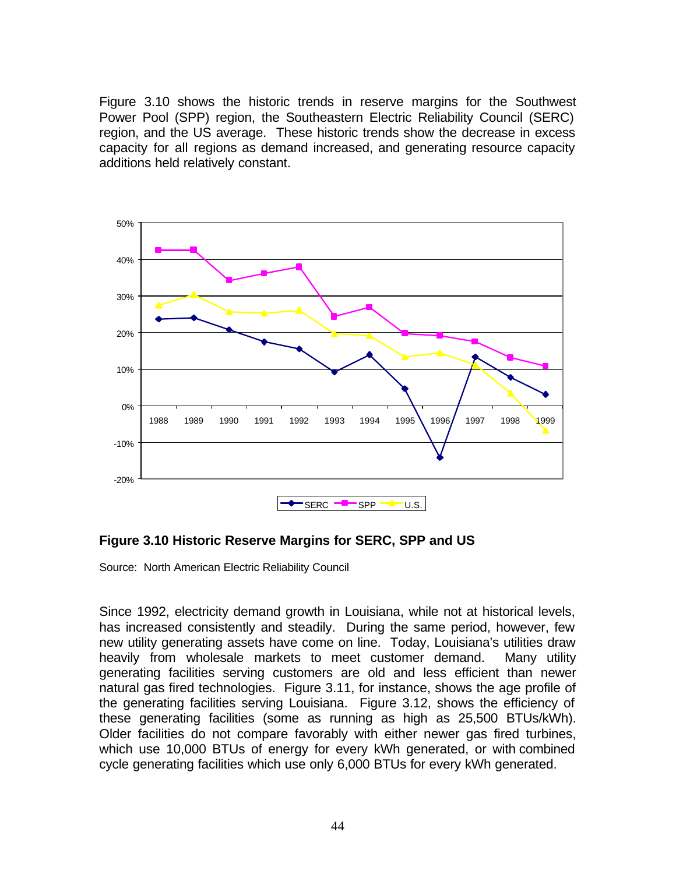Figure 3.10 shows the historic trends in reserve margins for the Southwest Power Pool (SPP) region, the Southeastern Electric Reliability Council (SERC) region, and the US average. These historic trends show the decrease in excess capacity for all regions as demand increased, and generating resource capacity additions held relatively constant.



### **Figure 3.10 Historic Reserve Margins for SERC, SPP and US**

Source: North American Electric Reliability Council

Since 1992, electricity demand growth in Louisiana, while not at historical levels, has increased consistently and steadily. During the same period, however, few new utility generating assets have come on line. Today, Louisiana's utilities draw heavily from wholesale markets to meet customer demand. Many utility generating facilities serving customers are old and less efficient than newer natural gas fired technologies. Figure 3.11, for instance, shows the age profile of the generating facilities serving Louisiana. Figure 3.12, shows the efficiency of these generating facilities (some as running as high as 25,500 BTUs/kWh). Older facilities do not compare favorably with either newer gas fired turbines, which use 10,000 BTUs of energy for every kWh generated, or with combined cycle generating facilities which use only 6,000 BTUs for every kWh generated.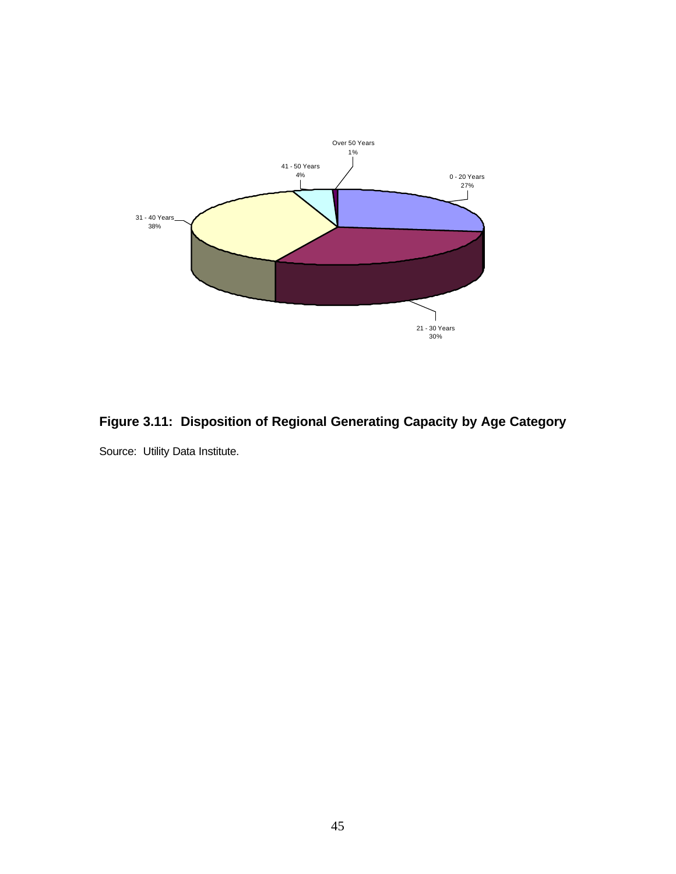

**Figure 3.11: Disposition of Regional Generating Capacity by Age Category**

Source: Utility Data Institute.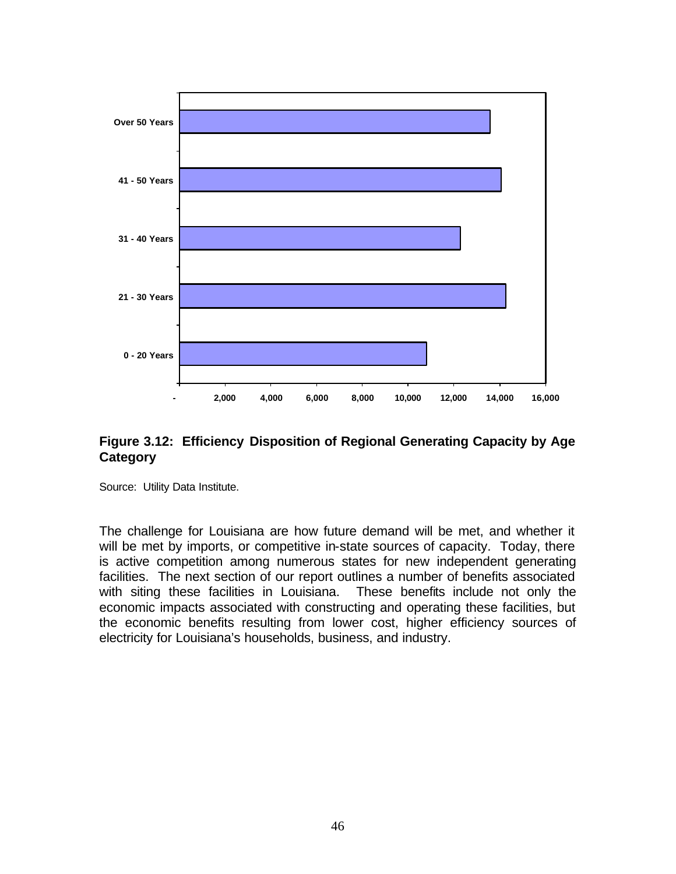

# **Figure 3.12: Efficiency Disposition of Regional Generating Capacity by Age Category**

Source: Utility Data Institute.

The challenge for Louisiana are how future demand will be met, and whether it will be met by imports, or competitive in-state sources of capacity. Today, there is active competition among numerous states for new independent generating facilities. The next section of our report outlines a number of benefits associated with siting these facilities in Louisiana. These benefits include not only the economic impacts associated with constructing and operating these facilities, but the economic benefits resulting from lower cost, higher efficiency sources of electricity for Louisiana's households, business, and industry.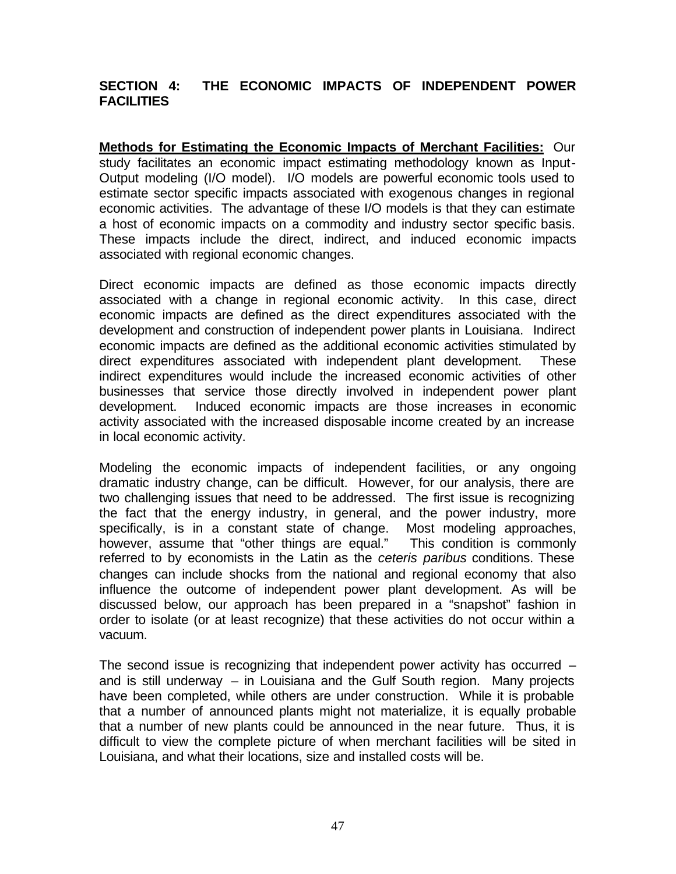# **SECTION 4: THE ECONOMIC IMPACTS OF INDEPENDENT POWER FACILITIES**

**Methods for Estimating the Economic Impacts of Merchant Facilities:** Our study facilitates an economic impact estimating methodology known as Input-Output modeling (I/O model). I/O models are powerful economic tools used to estimate sector specific impacts associated with exogenous changes in regional economic activities. The advantage of these I/O models is that they can estimate a host of economic impacts on a commodity and industry sector specific basis. These impacts include the direct, indirect, and induced economic impacts associated with regional economic changes.

Direct economic impacts are defined as those economic impacts directly associated with a change in regional economic activity. In this case, direct economic impacts are defined as the direct expenditures associated with the development and construction of independent power plants in Louisiana. Indirect economic impacts are defined as the additional economic activities stimulated by direct expenditures associated with independent plant development. These indirect expenditures would include the increased economic activities of other businesses that service those directly involved in independent power plant development. Induced economic impacts are those increases in economic activity associated with the increased disposable income created by an increase in local economic activity.

Modeling the economic impacts of independent facilities, or any ongoing dramatic industry change, can be difficult. However, for our analysis, there are two challenging issues that need to be addressed. The first issue is recognizing the fact that the energy industry, in general, and the power industry, more specifically, is in a constant state of change. Most modeling approaches, however, assume that "other things are equal." This condition is commonly referred to by economists in the Latin as the *ceteris paribus* conditions. These changes can include shocks from the national and regional economy that also influence the outcome of independent power plant development. As will be discussed below, our approach has been prepared in a "snapshot" fashion in order to isolate (or at least recognize) that these activities do not occur within a vacuum.

The second issue is recognizing that independent power activity has occurred – and is still underway – in Louisiana and the Gulf South region. Many projects have been completed, while others are under construction. While it is probable that a number of announced plants might not materialize, it is equally probable that a number of new plants could be announced in the near future. Thus, it is difficult to view the complete picture of when merchant facilities will be sited in Louisiana, and what their locations, size and installed costs will be.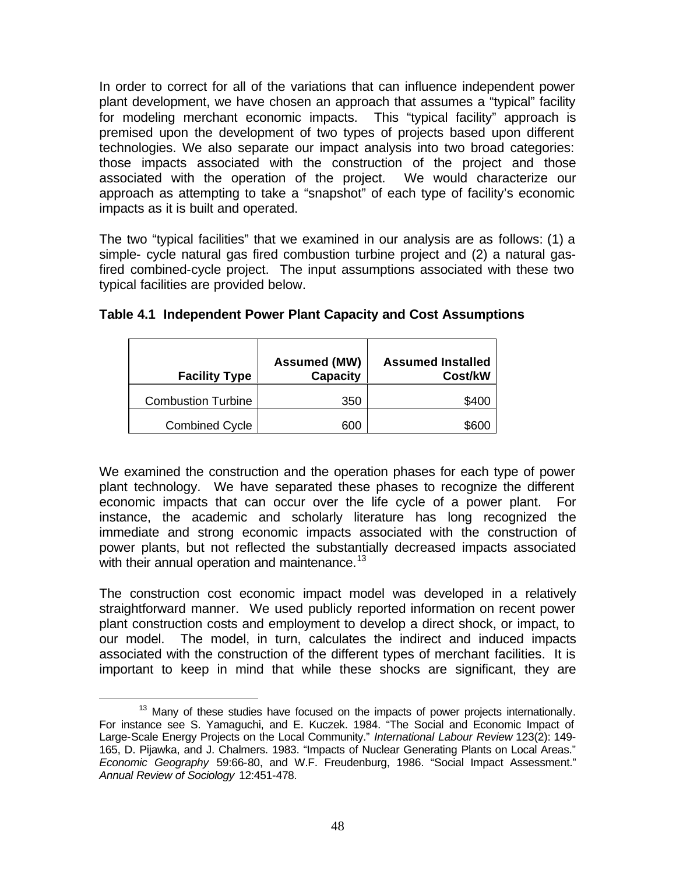In order to correct for all of the variations that can influence independent power plant development, we have chosen an approach that assumes a "typical" facility for modeling merchant economic impacts. This "typical facility" approach is premised upon the development of two types of projects based upon different technologies. We also separate our impact analysis into two broad categories: those impacts associated with the construction of the project and those associated with the operation of the project. We would characterize our approach as attempting to take a "snapshot" of each type of facility's economic impacts as it is built and operated.

The two "typical facilities" that we examined in our analysis are as follows: (1) a simple- cycle natural gas fired combustion turbine project and (2) a natural gasfired combined-cycle project. The input assumptions associated with these two typical facilities are provided below.

| <b>Facility Type</b>      | <b>Assumed (MW)</b><br><b>Capacity</b> | <b>Assumed Installed</b><br>Cost/kW |
|---------------------------|----------------------------------------|-------------------------------------|
| <b>Combustion Turbine</b> | 350                                    | \$400                               |
| <b>Combined Cycle</b>     | 600                                    | \$600                               |

# **Table 4.1 Independent Power Plant Capacity and Cost Assumptions**

We examined the construction and the operation phases for each type of power plant technology. We have separated these phases to recognize the different economic impacts that can occur over the life cycle of a power plant. For instance, the academic and scholarly literature has long recognized the immediate and strong economic impacts associated with the construction of power plants, but not reflected the substantially decreased impacts associated with their annual operation and maintenance.<sup>13</sup>

The construction cost economic impact model was developed in a relatively straightforward manner. We used publicly reported information on recent power plant construction costs and employment to develop a direct shock, or impact, to our model. The model, in turn, calculates the indirect and induced impacts associated with the construction of the different types of merchant facilities. It is important to keep in mind that while these shocks are significant, they are

1

 $\overline{\Gamma}$ 

<sup>&</sup>lt;sup>13</sup> Many of these studies have focused on the impacts of power projects internationally. For instance see S. Yamaguchi, and E. Kuczek. 1984. "The Social and Economic Impact of Large-Scale Energy Projects on the Local Community." *International Labour Review* 123(2): 149- 165, D. Pijawka, and J. Chalmers. 1983. "Impacts of Nuclear Generating Plants on Local Areas." *Economic Geography* 59:66-80, and W.F. Freudenburg, 1986. "Social Impact Assessment." *Annual Review of Sociology* 12:451-478.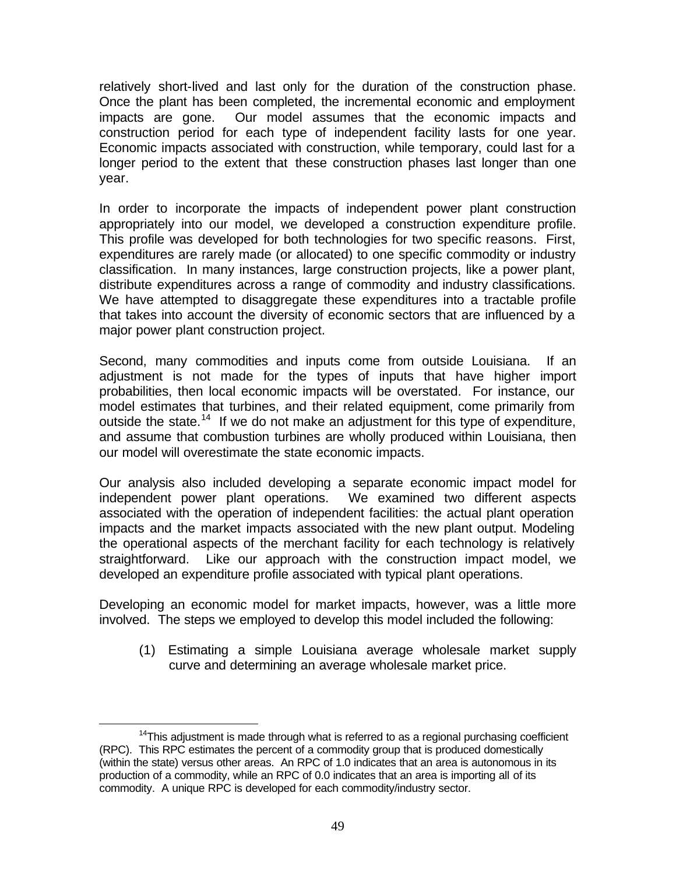relatively short-lived and last only for the duration of the construction phase. Once the plant has been completed, the incremental economic and employment impacts are gone. Our model assumes that the economic impacts and construction period for each type of independent facility lasts for one year. Economic impacts associated with construction, while temporary, could last for a longer period to the extent that these construction phases last longer than one year.

In order to incorporate the impacts of independent power plant construction appropriately into our model, we developed a construction expenditure profile. This profile was developed for both technologies for two specific reasons. First, expenditures are rarely made (or allocated) to one specific commodity or industry classification. In many instances, large construction projects, like a power plant, distribute expenditures across a range of commodity and industry classifications. We have attempted to disaggregate these expenditures into a tractable profile that takes into account the diversity of economic sectors that are influenced by a major power plant construction project.

Second, many commodities and inputs come from outside Louisiana. If an adjustment is not made for the types of inputs that have higher import probabilities, then local economic impacts will be overstated. For instance, our model estimates that turbines, and their related equipment, come primarily from outside the state.<sup>14</sup> If we do not make an adjustment for this type of expenditure, and assume that combustion turbines are wholly produced within Louisiana, then our model will overestimate the state economic impacts.

Our analysis also included developing a separate economic impact model for independent power plant operations. We examined two different aspects associated with the operation of independent facilities: the actual plant operation impacts and the market impacts associated with the new plant output. Modeling the operational aspects of the merchant facility for each technology is relatively straightforward. Like our approach with the construction impact model, we developed an expenditure profile associated with typical plant operations.

Developing an economic model for market impacts, however, was a little more involved. The steps we employed to develop this model included the following:

(1) Estimating a simple Louisiana average wholesale market supply curve and determining an average wholesale market price.

1

 $14$ This adjustment is made through what is referred to as a regional purchasing coefficient (RPC). This RPC estimates the percent of a commodity group that is produced domestically (within the state) versus other areas. An RPC of 1.0 indicates that an area is autonomous in its production of a commodity, while an RPC of 0.0 indicates that an area is importing all of its commodity. A unique RPC is developed for each commodity/industry sector.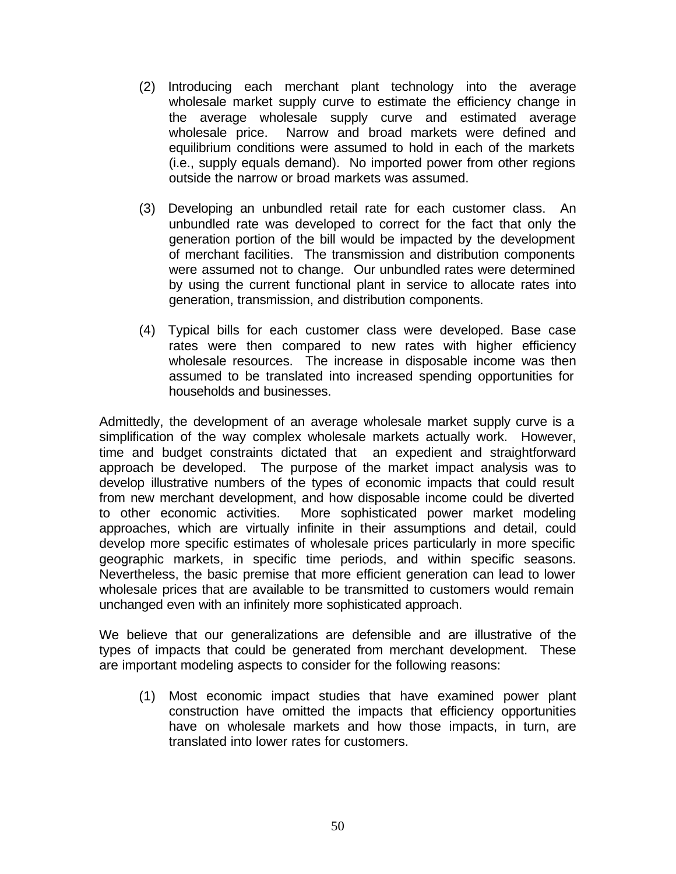- (2) Introducing each merchant plant technology into the average wholesale market supply curve to estimate the efficiency change in the average wholesale supply curve and estimated average wholesale price. Narrow and broad markets were defined and equilibrium conditions were assumed to hold in each of the markets (i.e., supply equals demand). No imported power from other regions outside the narrow or broad markets was assumed.
- (3) Developing an unbundled retail rate for each customer class. An unbundled rate was developed to correct for the fact that only the generation portion of the bill would be impacted by the development of merchant facilities. The transmission and distribution components were assumed not to change. Our unbundled rates were determined by using the current functional plant in service to allocate rates into generation, transmission, and distribution components.
- (4) Typical bills for each customer class were developed. Base case rates were then compared to new rates with higher efficiency wholesale resources. The increase in disposable income was then assumed to be translated into increased spending opportunities for households and businesses.

Admittedly, the development of an average wholesale market supply curve is a simplification of the way complex wholesale markets actually work. However, time and budget constraints dictated that an expedient and straightforward approach be developed. The purpose of the market impact analysis was to develop illustrative numbers of the types of economic impacts that could result from new merchant development, and how disposable income could be diverted to other economic activities. More sophisticated power market modeling approaches, which are virtually infinite in their assumptions and detail, could develop more specific estimates of wholesale prices particularly in more specific geographic markets, in specific time periods, and within specific seasons. Nevertheless, the basic premise that more efficient generation can lead to lower wholesale prices that are available to be transmitted to customers would remain unchanged even with an infinitely more sophisticated approach.

We believe that our generalizations are defensible and are illustrative of the types of impacts that could be generated from merchant development. These are important modeling aspects to consider for the following reasons:

(1) Most economic impact studies that have examined power plant construction have omitted the impacts that efficiency opportunities have on wholesale markets and how those impacts, in turn, are translated into lower rates for customers.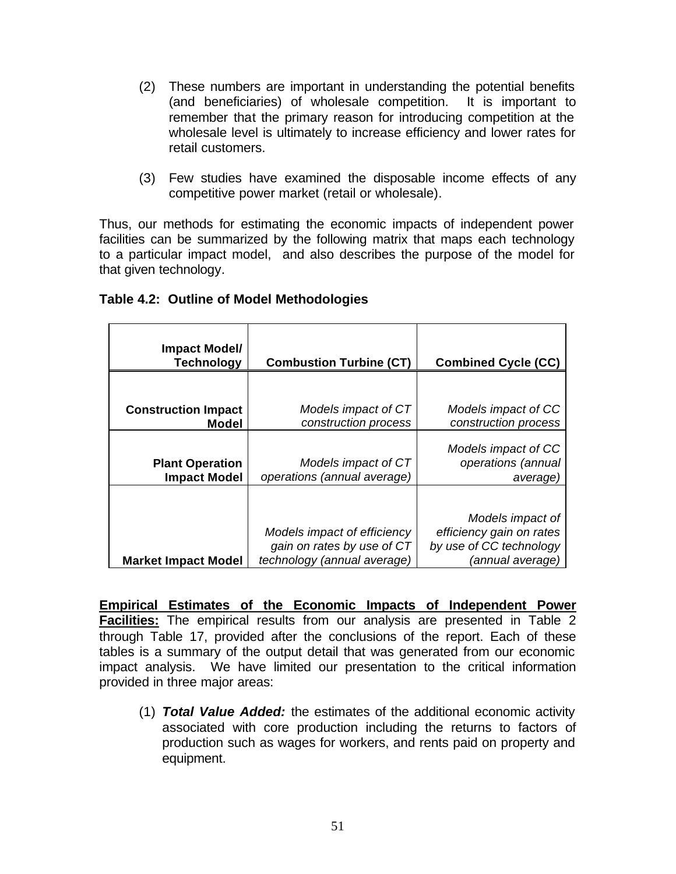- (2) These numbers are important in understanding the potential benefits (and beneficiaries) of wholesale competition. It is important to remember that the primary reason for introducing competition at the wholesale level is ultimately to increase efficiency and lower rates for retail customers.
- (3) Few studies have examined the disposable income effects of any competitive power market (retail or wholesale).

Thus, our methods for estimating the economic impacts of independent power facilities can be summarized by the following matrix that maps each technology to a particular impact model, and also describes the purpose of the model for that given technology.

| <b>Impact Model/</b><br><b>Technology</b> | <b>Combustion Turbine (CT)</b>                            | <b>Combined Cycle (CC)</b>                                        |
|-------------------------------------------|-----------------------------------------------------------|-------------------------------------------------------------------|
| <b>Construction Impact</b>                | Models impact of CT                                       | Models impact of CC                                               |
| Model<br><b>Plant Operation</b>           | construction process<br>Models impact of CT               | construction process<br>Models impact of CC<br>operations (annual |
| <b>Impact Model</b>                       | operations (annual average)                               | average)                                                          |
|                                           | Models impact of efficiency                               | Models impact of<br>efficiency gain on rates                      |
| <b>Market Impact Model</b>                | gain on rates by use of CT<br>technology (annual average) | by use of CC technology<br>(annual average)                       |

# **Table 4.2: Outline of Model Methodologies**

**Empirical Estimates of the Economic Impacts of Independent Power Facilities:** The empirical results from our analysis are presented in Table 2 through Table 17, provided after the conclusions of the report. Each of these tables is a summary of the output detail that was generated from our economic impact analysis. We have limited our presentation to the critical information provided in three major areas:

(1) *Total Value Added:* the estimates of the additional economic activity associated with core production including the returns to factors of production such as wages for workers, and rents paid on property and equipment.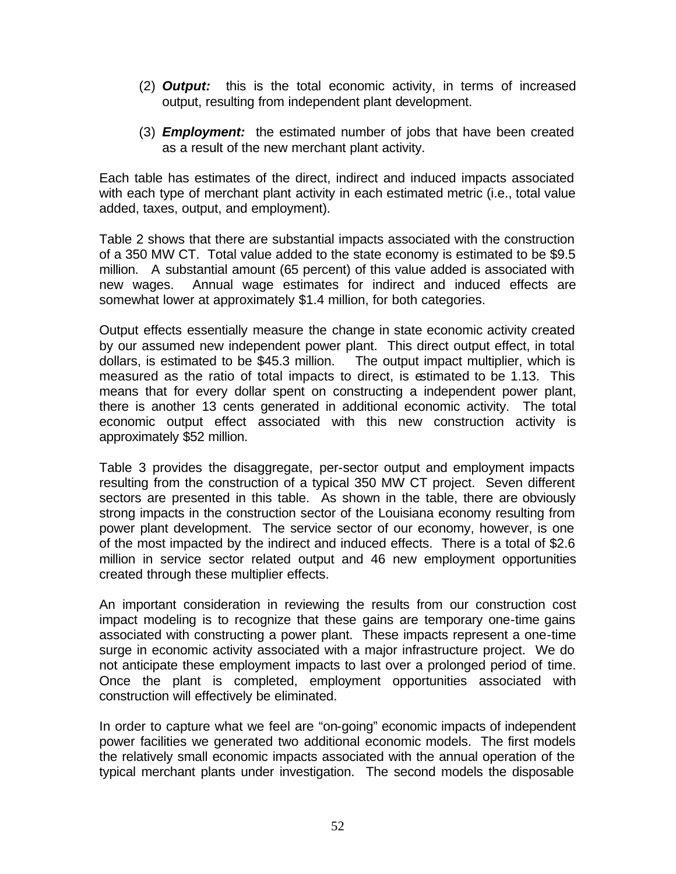- (2) *Output:* this is the total economic activity, in terms of increased output, resulting from independent plant development.
- (3) *Employment:* the estimated number of jobs that have been created as a result of the new merchant plant activity.

Each table has estimates of the direct, indirect and induced impacts associated with each type of merchant plant activity in each estimated metric (i.e., total value added, taxes, output, and employment).

Table 2 shows that there are substantial impacts associated with the construction of a 350 MW CT. Total value added to the state economy is estimated to be \$9.5 million. A substantial amount (65 percent) of this value added is associated with new wages. Annual wage estimates for indirect and induced effects are somewhat lower at approximately \$1.4 million, for both categories.

Output effects essentially measure the change in state economic activity created by our assumed new independent power plant. This direct output effect, in total dollars, is estimated to be \$45.3 million. The output impact multiplier, which is measured as the ratio of total impacts to direct, is estimated to be 1.13. This means that for every dollar spent on constructing a independent power plant, there is another 13 cents generated in additional economic activity. The total economic output effect associated with this new construction activity is approximately \$52 million.

Table 3 provides the disaggregate, per-sector output and employment impacts resulting from the construction of a typical 350 MW CT project. Seven different sectors are presented in this table. As shown in the table, there are obviously strong impacts in the construction sector of the Louisiana economy resulting from power plant development. The service sector of our economy, however, is one of the most impacted by the indirect and induced effects. There is a total of \$2.6 million in service sector related output and 46 new employment opportunities created through these multiplier effects.

An important consideration in reviewing the results from our construction cost impact modeling is to recognize that these gains are temporary one-time gains associated with constructing a power plant. These impacts represent a one-time surge in economic activity associated with a major infrastructure project. We do not anticipate these employment impacts to last over a prolonged period of time. Once the plant is completed, employment opportunities associated with construction will effectively be eliminated.

In order to capture what we feel are "on-going" economic impacts of independent power facilities we generated two additional economic models. The first models the relatively small economic impacts associated with the annual operation of the typical merchant plants under investigation. The second models the disposable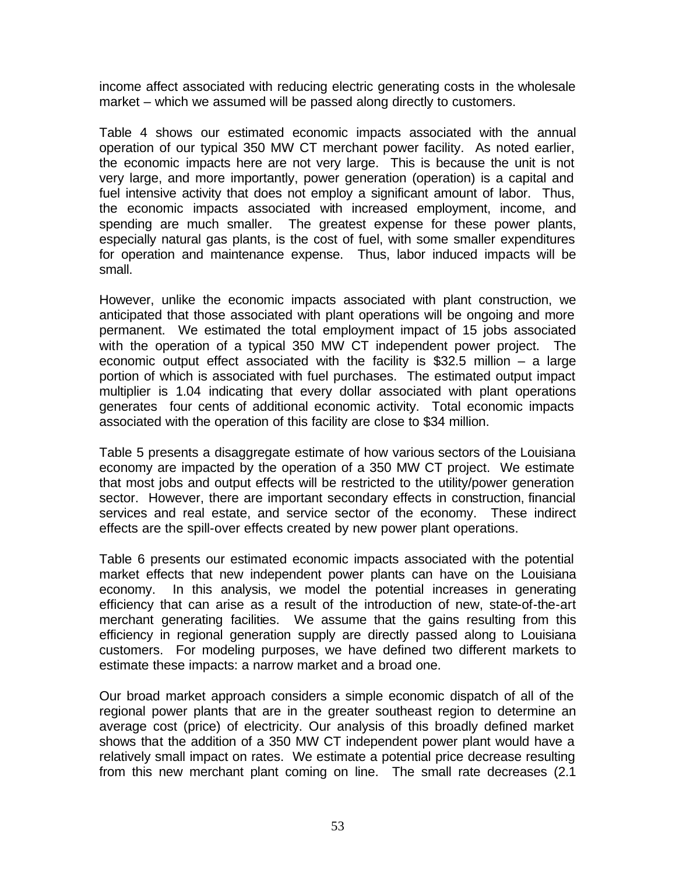income affect associated with reducing electric generating costs in the wholesale market – which we assumed will be passed along directly to customers.

Table 4 shows our estimated economic impacts associated with the annual operation of our typical 350 MW CT merchant power facility. As noted earlier, the economic impacts here are not very large. This is because the unit is not very large, and more importantly, power generation (operation) is a capital and fuel intensive activity that does not employ a significant amount of labor. Thus, the economic impacts associated with increased employment, income, and spending are much smaller. The greatest expense for these power plants, especially natural gas plants, is the cost of fuel, with some smaller expenditures for operation and maintenance expense. Thus, labor induced impacts will be small.

However, unlike the economic impacts associated with plant construction, we anticipated that those associated with plant operations will be ongoing and more permanent. We estimated the total employment impact of 15 jobs associated with the operation of a typical 350 MW CT independent power project. The economic output effect associated with the facility is \$32.5 million – a large portion of which is associated with fuel purchases. The estimated output impact multiplier is 1.04 indicating that every dollar associated with plant operations generates four cents of additional economic activity. Total economic impacts associated with the operation of this facility are close to \$34 million.

Table 5 presents a disaggregate estimate of how various sectors of the Louisiana economy are impacted by the operation of a 350 MW CT project. We estimate that most jobs and output effects will be restricted to the utility/power generation sector. However, there are important secondary effects in construction, financial services and real estate, and service sector of the economy. These indirect effects are the spill-over effects created by new power plant operations.

Table 6 presents our estimated economic impacts associated with the potential market effects that new independent power plants can have on the Louisiana economy. In this analysis, we model the potential increases in generating efficiency that can arise as a result of the introduction of new, state-of-the-art merchant generating facilities. We assume that the gains resulting from this efficiency in regional generation supply are directly passed along to Louisiana customers. For modeling purposes, we have defined two different markets to estimate these impacts: a narrow market and a broad one.

Our broad market approach considers a simple economic dispatch of all of the regional power plants that are in the greater southeast region to determine an average cost (price) of electricity. Our analysis of this broadly defined market shows that the addition of a 350 MW CT independent power plant would have a relatively small impact on rates. We estimate a potential price decrease resulting from this new merchant plant coming on line. The small rate decreases (2.1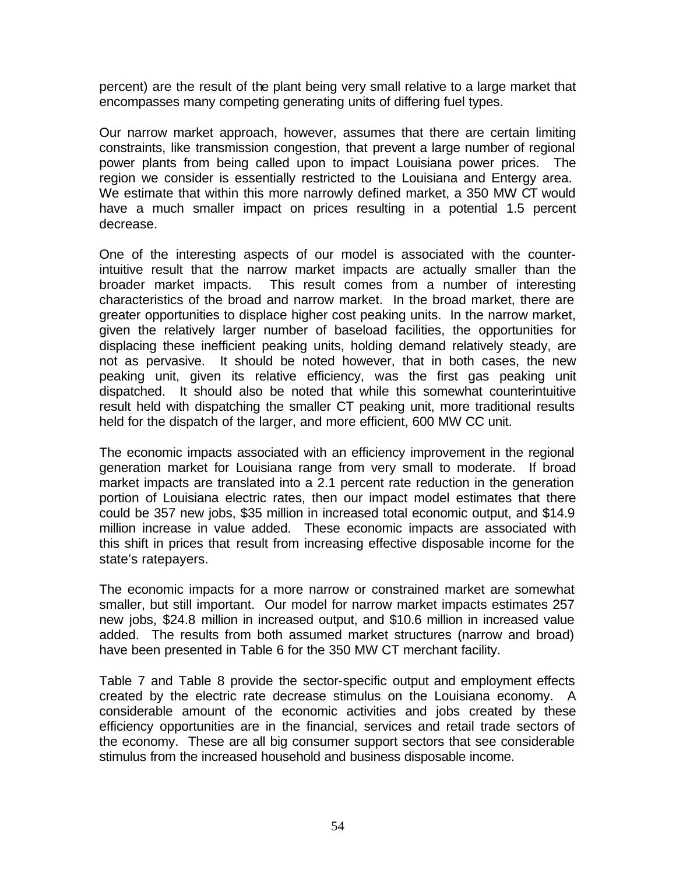percent) are the result of the plant being very small relative to a large market that encompasses many competing generating units of differing fuel types.

Our narrow market approach, however, assumes that there are certain limiting constraints, like transmission congestion, that prevent a large number of regional power plants from being called upon to impact Louisiana power prices. The region we consider is essentially restricted to the Louisiana and Entergy area. We estimate that within this more narrowly defined market, a 350 MW CT would have a much smaller impact on prices resulting in a potential 1.5 percent decrease.

One of the interesting aspects of our model is associated with the counterintuitive result that the narrow market impacts are actually smaller than the broader market impacts. This result comes from a number of interesting characteristics of the broad and narrow market. In the broad market, there are greater opportunities to displace higher cost peaking units. In the narrow market, given the relatively larger number of baseload facilities, the opportunities for displacing these inefficient peaking units, holding demand relatively steady, are not as pervasive. It should be noted however, that in both cases, the new peaking unit, given its relative efficiency, was the first gas peaking unit dispatched. It should also be noted that while this somewhat counterintuitive result held with dispatching the smaller CT peaking unit, more traditional results held for the dispatch of the larger, and more efficient, 600 MW CC unit.

The economic impacts associated with an efficiency improvement in the regional generation market for Louisiana range from very small to moderate. If broad market impacts are translated into a 2.1 percent rate reduction in the generation portion of Louisiana electric rates, then our impact model estimates that there could be 357 new jobs, \$35 million in increased total economic output, and \$14.9 million increase in value added. These economic impacts are associated with this shift in prices that result from increasing effective disposable income for the state's ratepayers.

The economic impacts for a more narrow or constrained market are somewhat smaller, but still important. Our model for narrow market impacts estimates 257 new jobs, \$24.8 million in increased output, and \$10.6 million in increased value added. The results from both assumed market structures (narrow and broad) have been presented in Table 6 for the 350 MW CT merchant facility.

Table 7 and Table 8 provide the sector-specific output and employment effects created by the electric rate decrease stimulus on the Louisiana economy. A considerable amount of the economic activities and jobs created by these efficiency opportunities are in the financial, services and retail trade sectors of the economy. These are all big consumer support sectors that see considerable stimulus from the increased household and business disposable income.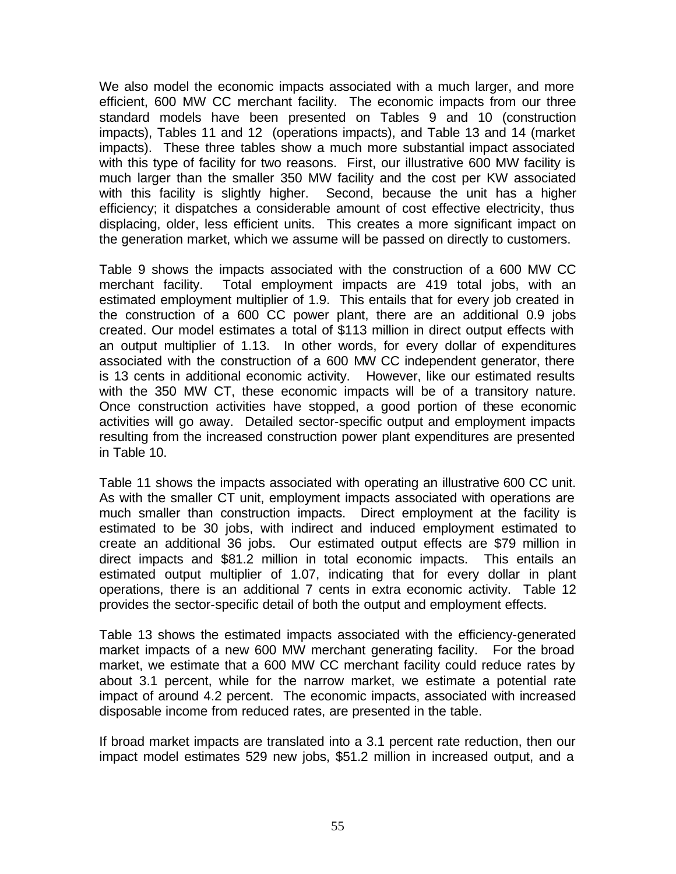We also model the economic impacts associated with a much larger, and more efficient, 600 MW CC merchant facility. The economic impacts from our three standard models have been presented on Tables 9 and 10 (construction impacts), Tables 11 and 12 (operations impacts), and Table 13 and 14 (market impacts). These three tables show a much more substantial impact associated with this type of facility for two reasons. First, our illustrative 600 MW facility is much larger than the smaller 350 MW facility and the cost per KW associated with this facility is slightly higher. Second, because the unit has a higher efficiency; it dispatches a considerable amount of cost effective electricity, thus displacing, older, less efficient units. This creates a more significant impact on the generation market, which we assume will be passed on directly to customers.

Table 9 shows the impacts associated with the construction of a 600 MW CC merchant facility. Total employment impacts are 419 total jobs, with an estimated employment multiplier of 1.9. This entails that for every job created in the construction of a 600 CC power plant, there are an additional 0.9 jobs created. Our model estimates a total of \$113 million in direct output effects with an output multiplier of 1.13. In other words, for every dollar of expenditures associated with the construction of a 600 MW CC independent generator, there is 13 cents in additional economic activity. However, like our estimated results with the 350 MW CT, these economic impacts will be of a transitory nature. Once construction activities have stopped, a good portion of these economic activities will go away. Detailed sector-specific output and employment impacts resulting from the increased construction power plant expenditures are presented in Table 10.

Table 11 shows the impacts associated with operating an illustrative 600 CC unit. As with the smaller CT unit, employment impacts associated with operations are much smaller than construction impacts. Direct employment at the facility is estimated to be 30 jobs, with indirect and induced employment estimated to create an additional 36 jobs. Our estimated output effects are \$79 million in direct impacts and \$81.2 million in total economic impacts. This entails an estimated output multiplier of 1.07, indicating that for every dollar in plant operations, there is an additional 7 cents in extra economic activity. Table 12 provides the sector-specific detail of both the output and employment effects.

Table 13 shows the estimated impacts associated with the efficiency-generated market impacts of a new 600 MW merchant generating facility. For the broad market, we estimate that a 600 MW CC merchant facility could reduce rates by about 3.1 percent, while for the narrow market, we estimate a potential rate impact of around 4.2 percent. The economic impacts, associated with increased disposable income from reduced rates, are presented in the table.

If broad market impacts are translated into a 3.1 percent rate reduction, then our impact model estimates 529 new jobs, \$51.2 million in increased output, and a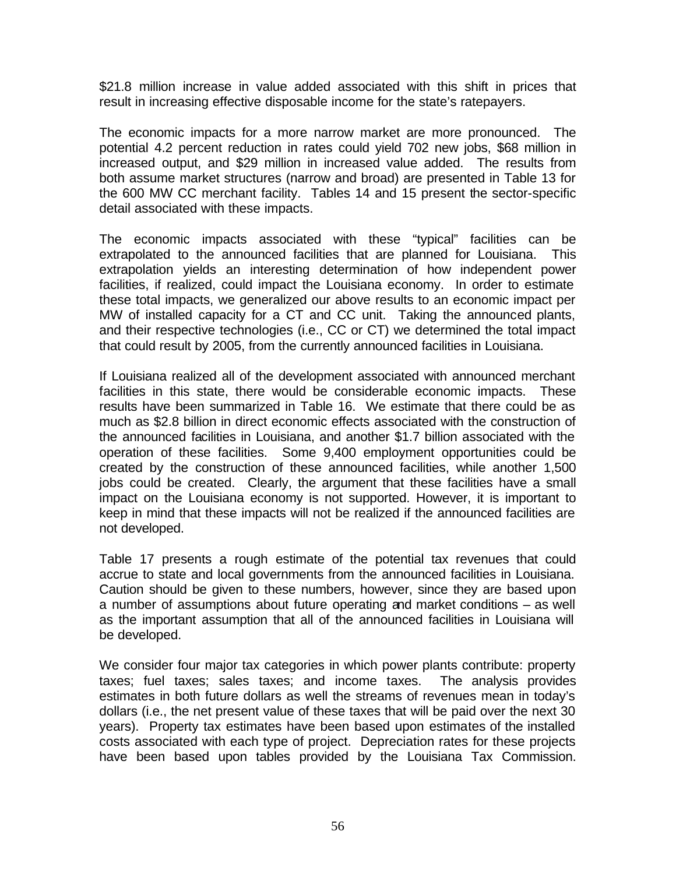\$21.8 million increase in value added associated with this shift in prices that result in increasing effective disposable income for the state's ratepayers.

The economic impacts for a more narrow market are more pronounced. The potential 4.2 percent reduction in rates could yield 702 new jobs, \$68 million in increased output, and \$29 million in increased value added. The results from both assume market structures (narrow and broad) are presented in Table 13 for the 600 MW CC merchant facility. Tables 14 and 15 present the sector-specific detail associated with these impacts.

The economic impacts associated with these "typical" facilities can be extrapolated to the announced facilities that are planned for Louisiana. This extrapolation yields an interesting determination of how independent power facilities, if realized, could impact the Louisiana economy. In order to estimate these total impacts, we generalized our above results to an economic impact per MW of installed capacity for a CT and CC unit. Taking the announced plants, and their respective technologies (i.e., CC or CT) we determined the total impact that could result by 2005, from the currently announced facilities in Louisiana.

If Louisiana realized all of the development associated with announced merchant facilities in this state, there would be considerable economic impacts. These results have been summarized in Table 16. We estimate that there could be as much as \$2.8 billion in direct economic effects associated with the construction of the announced facilities in Louisiana, and another \$1.7 billion associated with the operation of these facilities. Some 9,400 employment opportunities could be created by the construction of these announced facilities, while another 1,500 jobs could be created. Clearly, the argument that these facilities have a small impact on the Louisiana economy is not supported. However, it is important to keep in mind that these impacts will not be realized if the announced facilities are not developed.

Table 17 presents a rough estimate of the potential tax revenues that could accrue to state and local governments from the announced facilities in Louisiana. Caution should be given to these numbers, however, since they are based upon a number of assumptions about future operating and market conditions – as well as the important assumption that all of the announced facilities in Louisiana will be developed.

We consider four major tax categories in which power plants contribute: property taxes; fuel taxes; sales taxes; and income taxes. The analysis provides estimates in both future dollars as well the streams of revenues mean in today's dollars (i.e., the net present value of these taxes that will be paid over the next 30 years). Property tax estimates have been based upon estimates of the installed costs associated with each type of project. Depreciation rates for these projects have been based upon tables provided by the Louisiana Tax Commission.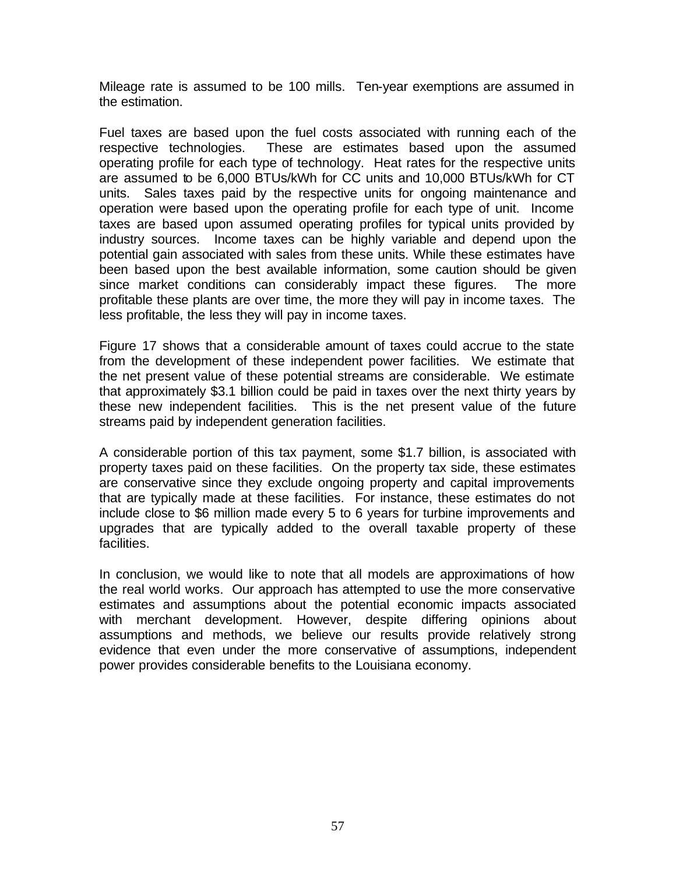Mileage rate is assumed to be 100 mills. Ten-year exemptions are assumed in the estimation.

Fuel taxes are based upon the fuel costs associated with running each of the respective technologies. These are estimates based upon the assumed operating profile for each type of technology. Heat rates for the respective units are assumed to be 6,000 BTUs/kWh for CC units and 10,000 BTUs/kWh for CT units. Sales taxes paid by the respective units for ongoing maintenance and operation were based upon the operating profile for each type of unit. Income taxes are based upon assumed operating profiles for typical units provided by industry sources. Income taxes can be highly variable and depend upon the potential gain associated with sales from these units. While these estimates have been based upon the best available information, some caution should be given since market conditions can considerably impact these figures. The more profitable these plants are over time, the more they will pay in income taxes. The less profitable, the less they will pay in income taxes.

Figure 17 shows that a considerable amount of taxes could accrue to the state from the development of these independent power facilities. We estimate that the net present value of these potential streams are considerable. We estimate that approximately \$3.1 billion could be paid in taxes over the next thirty years by these new independent facilities. This is the net present value of the future streams paid by independent generation facilities.

A considerable portion of this tax payment, some \$1.7 billion, is associated with property taxes paid on these facilities. On the property tax side, these estimates are conservative since they exclude ongoing property and capital improvements that are typically made at these facilities. For instance, these estimates do not include close to \$6 million made every 5 to 6 years for turbine improvements and upgrades that are typically added to the overall taxable property of these facilities.

In conclusion, we would like to note that all models are approximations of how the real world works. Our approach has attempted to use the more conservative estimates and assumptions about the potential economic impacts associated with merchant development. However, despite differing opinions about assumptions and methods, we believe our results provide relatively strong evidence that even under the more conservative of assumptions, independent power provides considerable benefits to the Louisiana economy.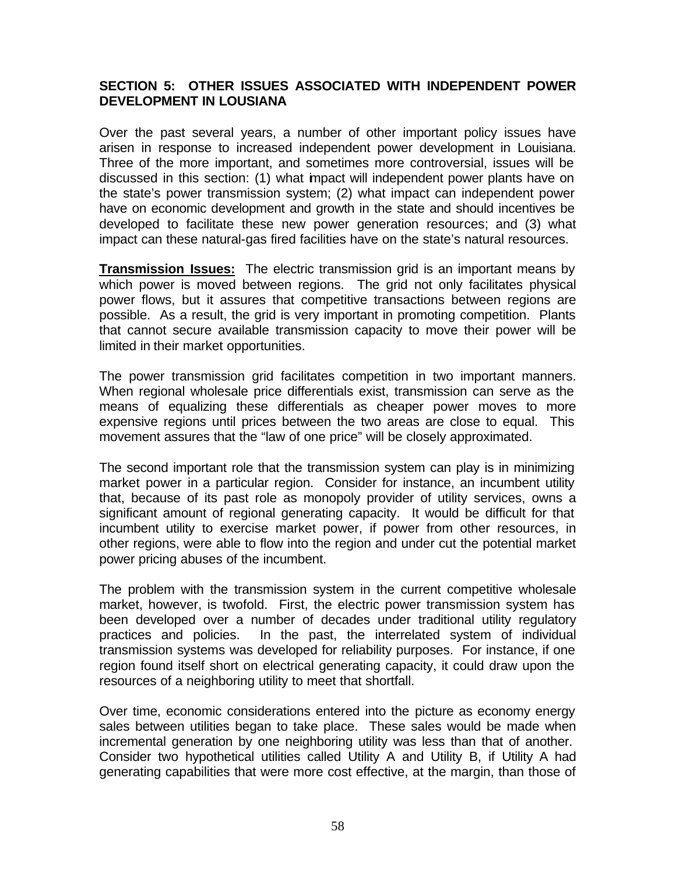### **SECTION 5: OTHER ISSUES ASSOCIATED WITH INDEPENDENT POWER DEVELOPMENT IN LOUSIANA**

Over the past several years, a number of other important policy issues have arisen in response to increased independent power development in Louisiana. Three of the more important, and sometimes more controversial, issues will be discussed in this section: (1) what impact will independent power plants have on the state's power transmission system; (2) what impact can independent power have on economic development and growth in the state and should incentives be developed to facilitate these new power generation resources; and (3) what impact can these natural-gas fired facilities have on the state's natural resources.

**Transmission Issues:** The electric transmission grid is an important means by which power is moved between regions. The grid not only facilitates physical power flows, but it assures that competitive transactions between regions are possible. As a result, the grid is very important in promoting competition. Plants that cannot secure available transmission capacity to move their power will be limited in their market opportunities.

The power transmission grid facilitates competition in two important manners. When regional wholesale price differentials exist, transmission can serve as the means of equalizing these differentials as cheaper power moves to more expensive regions until prices between the two areas are close to equal. This movement assures that the "law of one price" will be closely approximated.

The second important role that the transmission system can play is in minimizing market power in a particular region. Consider for instance, an incumbent utility that, because of its past role as monopoly provider of utility services, owns a significant amount of regional generating capacity. It would be difficult for that incumbent utility to exercise market power, if power from other resources, in other regions, were able to flow into the region and under cut the potential market power pricing abuses of the incumbent.

The problem with the transmission system in the current competitive wholesale market, however, is twofold. First, the electric power transmission system has been developed over a number of decades under traditional utility regulatory practices and policies. In the past, the interrelated system of individual transmission systems was developed for reliability purposes. For instance, if one region found itself short on electrical generating capacity, it could draw upon the resources of a neighboring utility to meet that shortfall.

Over time, economic considerations entered into the picture as economy energy sales between utilities began to take place. These sales would be made when incremental generation by one neighboring utility was less than that of another. Consider two hypothetical utilities called Utility A and Utility B, if Utility A had generating capabilities that were more cost effective, at the margin, than those of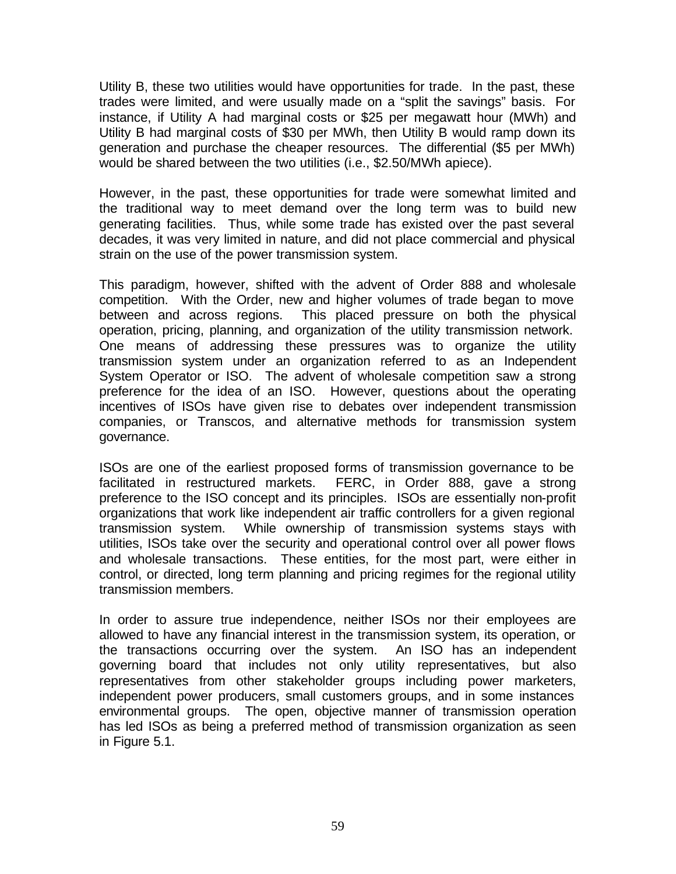Utility B, these two utilities would have opportunities for trade. In the past, these trades were limited, and were usually made on a "split the savings" basis. For instance, if Utility A had marginal costs or \$25 per megawatt hour (MWh) and Utility B had marginal costs of \$30 per MWh, then Utility B would ramp down its generation and purchase the cheaper resources. The differential (\$5 per MWh) would be shared between the two utilities (i.e., \$2.50/MWh apiece).

However, in the past, these opportunities for trade were somewhat limited and the traditional way to meet demand over the long term was to build new generating facilities. Thus, while some trade has existed over the past several decades, it was very limited in nature, and did not place commercial and physical strain on the use of the power transmission system.

This paradigm, however, shifted with the advent of Order 888 and wholesale competition. With the Order, new and higher volumes of trade began to move between and across regions. This placed pressure on both the physical operation, pricing, planning, and organization of the utility transmission network. One means of addressing these pressures was to organize the utility transmission system under an organization referred to as an Independent System Operator or ISO. The advent of wholesale competition saw a strong preference for the idea of an ISO. However, questions about the operating incentives of ISOs have given rise to debates over independent transmission companies, or Transcos, and alternative methods for transmission system governance.

ISOs are one of the earliest proposed forms of transmission governance to be facilitated in restructured markets. FERC, in Order 888, gave a strong preference to the ISO concept and its principles. ISOs are essentially non-profit organizations that work like independent air traffic controllers for a given regional transmission system. While ownership of transmission systems stays with utilities, ISOs take over the security and operational control over all power flows and wholesale transactions. These entities, for the most part, were either in control, or directed, long term planning and pricing regimes for the regional utility transmission members.

In order to assure true independence, neither ISOs nor their employees are allowed to have any financial interest in the transmission system, its operation, or the transactions occurring over the system. An ISO has an independent governing board that includes not only utility representatives, but also representatives from other stakeholder groups including power marketers, independent power producers, small customers groups, and in some instances environmental groups. The open, objective manner of transmission operation has led ISOs as being a preferred method of transmission organization as seen in Figure 5.1.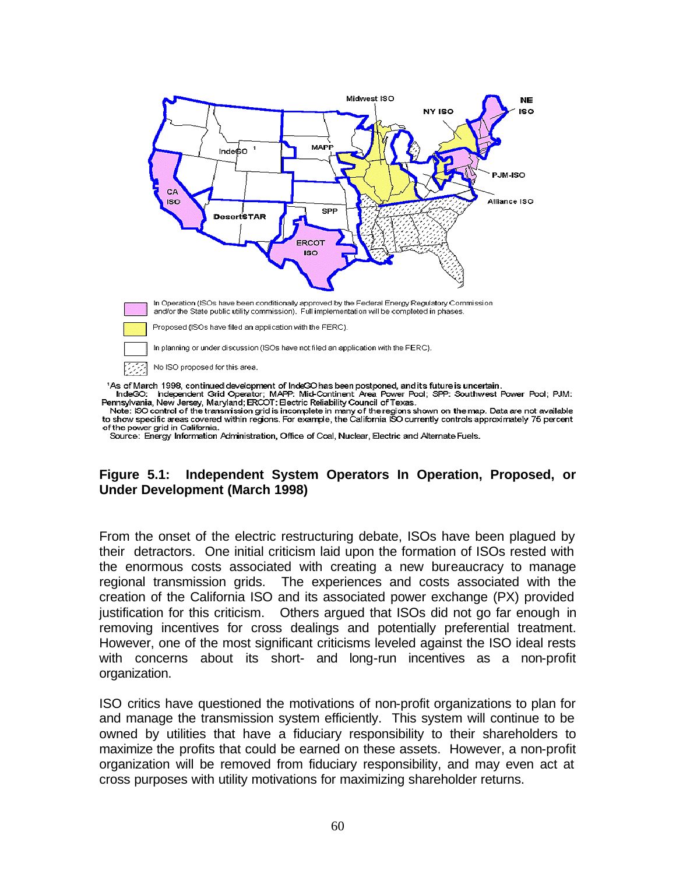

of the power grid in California.

Source: Energy Information Administration, Office of Coal, Nuclear, Electric and Alternate Fuels.

### **Figure 5.1: Independent System Operators In Operation, Proposed, or Under Development (March 1998)**

From the onset of the electric restructuring debate, ISOs have been plagued by their detractors. One initial criticism laid upon the formation of ISOs rested with the enormous costs associated with creating a new bureaucracy to manage regional transmission grids. The experiences and costs associated with the creation of the California ISO and its associated power exchange (PX) provided justification for this criticism. Others argued that ISOs did not go far enough in removing incentives for cross dealings and potentially preferential treatment. However, one of the most significant criticisms leveled against the ISO ideal rests with concerns about its short- and long-run incentives as a non-profit organization.

ISO critics have questioned the motivations of non-profit organizations to plan for and manage the transmission system efficiently. This system will continue to be owned by utilities that have a fiduciary responsibility to their shareholders to maximize the profits that could be earned on these assets. However, a non-profit organization will be removed from fiduciary responsibility, and may even act at cross purposes with utility motivations for maximizing shareholder returns.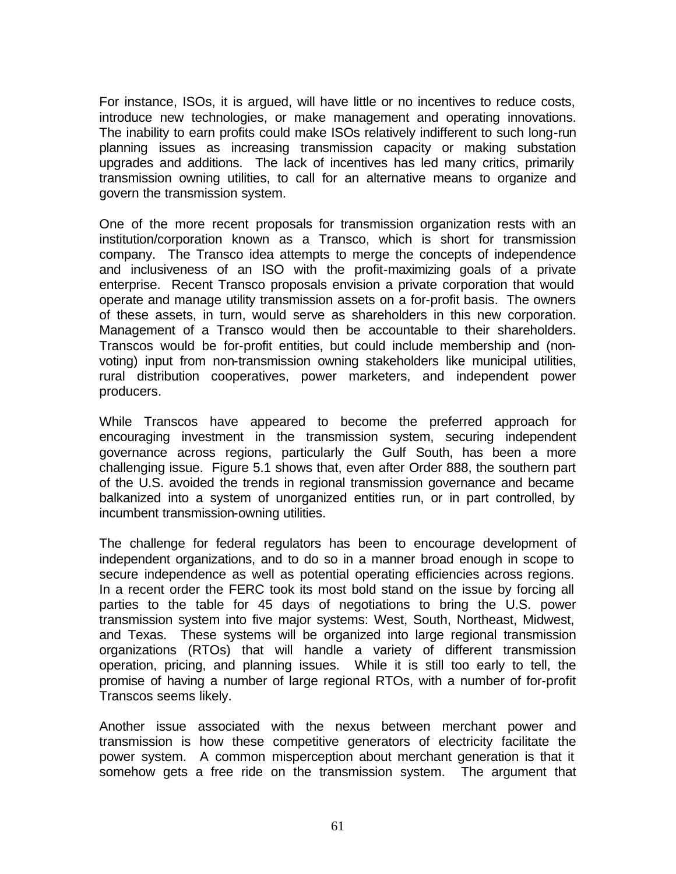For instance, ISOs, it is argued, will have little or no incentives to reduce costs, introduce new technologies, or make management and operating innovations. The inability to earn profits could make ISOs relatively indifferent to such long-run planning issues as increasing transmission capacity or making substation upgrades and additions. The lack of incentives has led many critics, primarily transmission owning utilities, to call for an alternative means to organize and govern the transmission system.

One of the more recent proposals for transmission organization rests with an institution/corporation known as a Transco, which is short for transmission company. The Transco idea attempts to merge the concepts of independence and inclusiveness of an ISO with the profit-maximizing goals of a private enterprise. Recent Transco proposals envision a private corporation that would operate and manage utility transmission assets on a for-profit basis. The owners of these assets, in turn, would serve as shareholders in this new corporation. Management of a Transco would then be accountable to their shareholders. Transcos would be for-profit entities, but could include membership and (nonvoting) input from non-transmission owning stakeholders like municipal utilities, rural distribution cooperatives, power marketers, and independent power producers.

While Transcos have appeared to become the preferred approach for encouraging investment in the transmission system, securing independent governance across regions, particularly the Gulf South, has been a more challenging issue. Figure 5.1 shows that, even after Order 888, the southern part of the U.S. avoided the trends in regional transmission governance and became balkanized into a system of unorganized entities run, or in part controlled, by incumbent transmission-owning utilities.

The challenge for federal regulators has been to encourage development of independent organizations, and to do so in a manner broad enough in scope to secure independence as well as potential operating efficiencies across regions. In a recent order the FERC took its most bold stand on the issue by forcing all parties to the table for 45 days of negotiations to bring the U.S. power transmission system into five major systems: West, South, Northeast, Midwest, and Texas. These systems will be organized into large regional transmission organizations (RTOs) that will handle a variety of different transmission operation, pricing, and planning issues. While it is still too early to tell, the promise of having a number of large regional RTOs, with a number of for-profit Transcos seems likely.

Another issue associated with the nexus between merchant power and transmission is how these competitive generators of electricity facilitate the power system. A common misperception about merchant generation is that it somehow gets a free ride on the transmission system. The argument that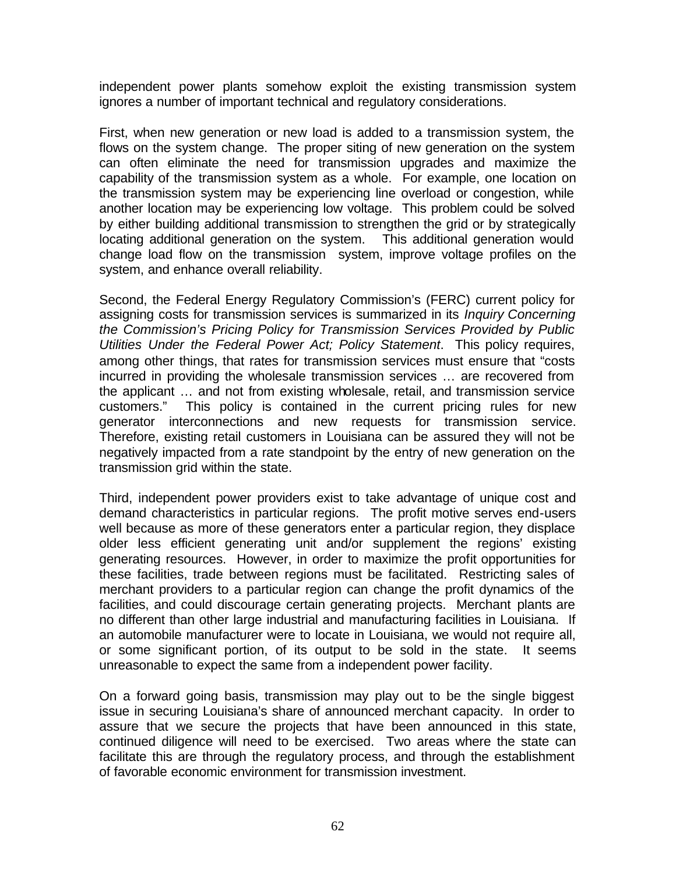independent power plants somehow exploit the existing transmission system ignores a number of important technical and regulatory considerations.

First, when new generation or new load is added to a transmission system, the flows on the system change. The proper siting of new generation on the system can often eliminate the need for transmission upgrades and maximize the capability of the transmission system as a whole. For example, one location on the transmission system may be experiencing line overload or congestion, while another location may be experiencing low voltage. This problem could be solved by either building additional transmission to strengthen the grid or by strategically locating additional generation on the system. This additional generation would change load flow on the transmission system, improve voltage profiles on the system, and enhance overall reliability.

Second, the Federal Energy Regulatory Commission's (FERC) current policy for assigning costs for transmission services is summarized in its *Inquiry Concerning the Commission's Pricing Policy for Transmission Services Provided by Public Utilities Under the Federal Power Act; Policy Statement*. This policy requires, among other things, that rates for transmission services must ensure that "costs incurred in providing the wholesale transmission services … are recovered from the applicant … and not from existing wholesale, retail, and transmission service customers." This policy is contained in the current pricing rules for new generator interconnections and new requests for transmission service. Therefore, existing retail customers in Louisiana can be assured they will not be negatively impacted from a rate standpoint by the entry of new generation on the transmission grid within the state.

Third, independent power providers exist to take advantage of unique cost and demand characteristics in particular regions. The profit motive serves end-users well because as more of these generators enter a particular region, they displace older less efficient generating unit and/or supplement the regions' existing generating resources. However, in order to maximize the profit opportunities for these facilities, trade between regions must be facilitated. Restricting sales of merchant providers to a particular region can change the profit dynamics of the facilities, and could discourage certain generating projects. Merchant plants are no different than other large industrial and manufacturing facilities in Louisiana. If an automobile manufacturer were to locate in Louisiana, we would not require all, or some significant portion, of its output to be sold in the state. It seems unreasonable to expect the same from a independent power facility.

On a forward going basis, transmission may play out to be the single biggest issue in securing Louisiana's share of announced merchant capacity. In order to assure that we secure the projects that have been announced in this state, continued diligence will need to be exercised. Two areas where the state can facilitate this are through the regulatory process, and through the establishment of favorable economic environment for transmission investment.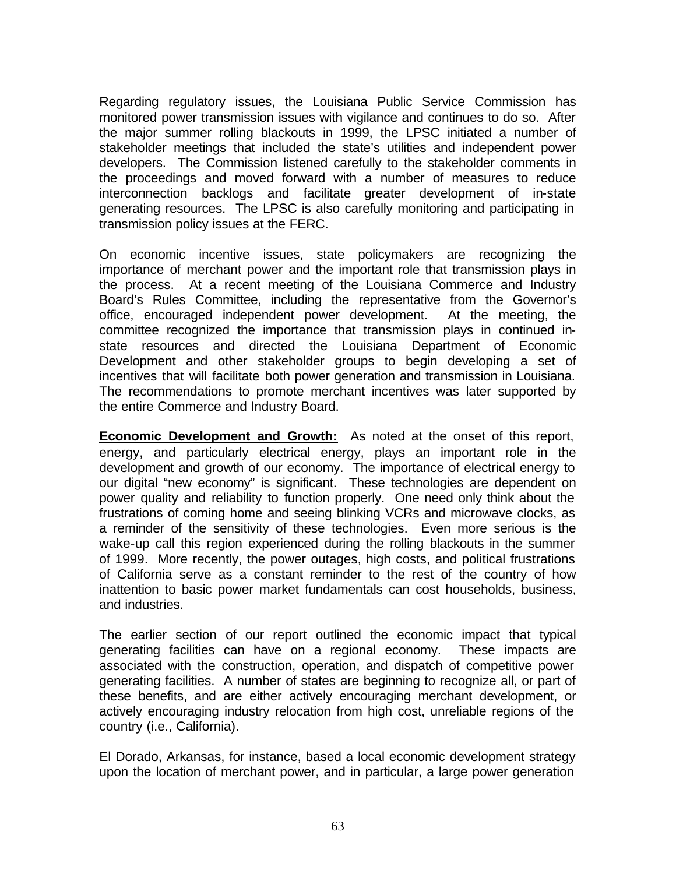Regarding regulatory issues, the Louisiana Public Service Commission has monitored power transmission issues with vigilance and continues to do so. After the major summer rolling blackouts in 1999, the LPSC initiated a number of stakeholder meetings that included the state's utilities and independent power developers. The Commission listened carefully to the stakeholder comments in the proceedings and moved forward with a number of measures to reduce interconnection backlogs and facilitate greater development of in-state generating resources. The LPSC is also carefully monitoring and participating in transmission policy issues at the FERC.

On economic incentive issues, state policymakers are recognizing the importance of merchant power and the important role that transmission plays in the process. At a recent meeting of the Louisiana Commerce and Industry Board's Rules Committee, including the representative from the Governor's office, encouraged independent power development. At the meeting, the committee recognized the importance that transmission plays in continued instate resources and directed the Louisiana Department of Economic Development and other stakeholder groups to begin developing a set of incentives that will facilitate both power generation and transmission in Louisiana. The recommendations to promote merchant incentives was later supported by the entire Commerce and Industry Board.

**Economic Development and Growth:** As noted at the onset of this report, energy, and particularly electrical energy, plays an important role in the development and growth of our economy. The importance of electrical energy to our digital "new economy" is significant. These technologies are dependent on power quality and reliability to function properly. One need only think about the frustrations of coming home and seeing blinking VCRs and microwave clocks, as a reminder of the sensitivity of these technologies. Even more serious is the wake-up call this region experienced during the rolling blackouts in the summer of 1999. More recently, the power outages, high costs, and political frustrations of California serve as a constant reminder to the rest of the country of how inattention to basic power market fundamentals can cost households, business, and industries.

The earlier section of our report outlined the economic impact that typical generating facilities can have on a regional economy. These impacts are associated with the construction, operation, and dispatch of competitive power generating facilities. A number of states are beginning to recognize all, or part of these benefits, and are either actively encouraging merchant development, or actively encouraging industry relocation from high cost, unreliable regions of the country (i.e., California).

El Dorado, Arkansas, for instance, based a local economic development strategy upon the location of merchant power, and in particular, a large power generation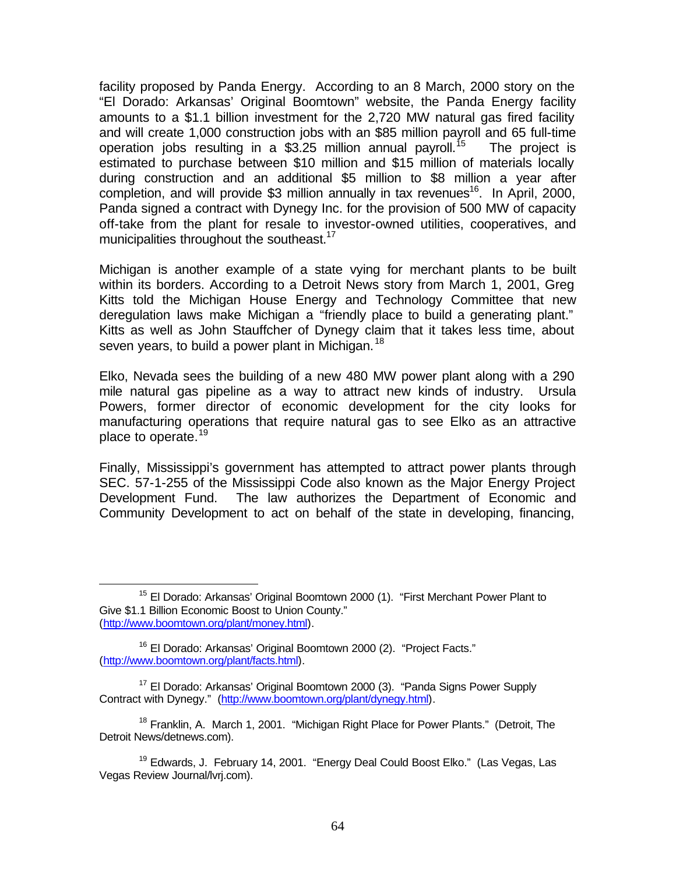facility proposed by Panda Energy. According to an 8 March, 2000 story on the "El Dorado: Arkansas' Original Boomtown" website, the Panda Energy facility amounts to a \$1.1 billion investment for the 2,720 MW natural gas fired facility and will create 1,000 construction jobs with an \$85 million payroll and 65 full-time operation jobs resulting in a \$3.25 million annual payroll.<sup>15</sup> The project is estimated to purchase between \$10 million and \$15 million of materials locally during construction and an additional \$5 million to \$8 million a year after completion, and will provide \$3 million annually in tax revenues<sup>16</sup>. In April, 2000, Panda signed a contract with Dynegy Inc. for the provision of 500 MW of capacity off-take from the plant for resale to investor-owned utilities, cooperatives, and municipalities throughout the southeast.<sup>17</sup>

Michigan is another example of a state vying for merchant plants to be built within its borders. According to a Detroit News story from March 1, 2001, Greg Kitts told the Michigan House Energy and Technology Committee that new deregulation laws make Michigan a "friendly place to build a generating plant." Kitts as well as John Stauffcher of Dynegy claim that it takes less time, about seven years, to build a power plant in Michigan.<sup>18</sup>

Elko, Nevada sees the building of a new 480 MW power plant along with a 290 mile natural gas pipeline as a way to attract new kinds of industry. Ursula Powers, former director of economic development for the city looks for manufacturing operations that require natural gas to see Elko as an attractive place to operate.<sup>19</sup>

Finally, Mississippi's government has attempted to attract power plants through SEC. 57-1-255 of the Mississippi Code also known as the Major Energy Project Development Fund. The law authorizes the Department of Economic and Community Development to act on behalf of the state in developing, financing,

 $\overline{a}$ <sup>15</sup> El Dorado: Arkansas' Original Boomtown 2000 (1). "First Merchant Power Plant to Give \$1.1 Billion Economic Boost to Union County." (http://www.boomtown.org/plant/money.html).

<sup>&</sup>lt;sup>16</sup> El Dorado: Arkansas' Original Boomtown 2000 (2). "Project Facts." (http://www.boomtown.org/plant/facts.html).

<sup>&</sup>lt;sup>17</sup> El Dorado: Arkansas' Original Boomtown 2000 (3). "Panda Signs Power Supply Contract with Dynegy." (http://www.boomtown.org/plant/dynegy.html).

<sup>&</sup>lt;sup>18</sup> Franklin, A. March 1, 2001. "Michigan Right Place for Power Plants." (Detroit, The Detroit News/detnews.com).

<sup>&</sup>lt;sup>19</sup> Edwards, J. February 14, 2001. "Energy Deal Could Boost Elko." (Las Vegas, Las Vegas Review Journal/lvrj.com).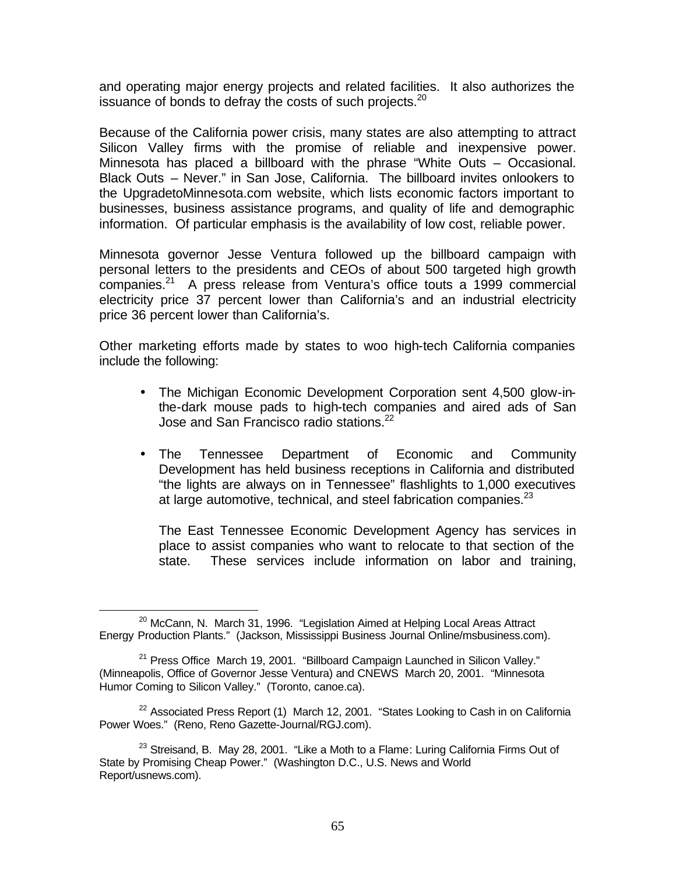and operating major energy projects and related facilities. It also authorizes the issuance of bonds to defray the costs of such projects. $^{20}$ 

Because of the California power crisis, many states are also attempting to attract Silicon Valley firms with the promise of reliable and inexpensive power. Minnesota has placed a billboard with the phrase "White Outs – Occasional. Black Outs – Never." in San Jose, California. The billboard invites onlookers to the UpgradetoMinnesota.com website, which lists economic factors important to businesses, business assistance programs, and quality of life and demographic information. Of particular emphasis is the availability of low cost, reliable power.

Minnesota governor Jesse Ventura followed up the billboard campaign with personal letters to the presidents and CEOs of about 500 targeted high growth companies.<sup>21</sup> A press release from Ventura's office touts a 1999 commercial electricity price 37 percent lower than California's and an industrial electricity price 36 percent lower than California's.

Other marketing efforts made by states to woo high-tech California companies include the following:

- The Michigan Economic Development Corporation sent 4,500 glow-inthe-dark mouse pads to high-tech companies and aired ads of San Jose and San Francisco radio stations.<sup>22</sup>
- The Tennessee Department of Economic and Community Development has held business receptions in California and distributed "the lights are always on in Tennessee" flashlights to 1,000 executives at large automotive, technical, and steel fabrication companies. $^{23}$

The East Tennessee Economic Development Agency has services in place to assist companies who want to relocate to that section of the state. These services include information on labor and training,

 $\overline{a}$ 

<sup>&</sup>lt;sup>20</sup> McCann, N. March 31, 1996. "Legislation Aimed at Helping Local Areas Attract Energy Production Plants." (Jackson, Mississippi Business Journal Online/msbusiness.com).

 $21$  Press Office March 19, 2001. "Billboard Campaign Launched in Silicon Valley." (Minneapolis, Office of Governor Jesse Ventura) and CNEWS March 20, 2001. "Minnesota Humor Coming to Silicon Valley." (Toronto, canoe.ca).

 $22$  Associated Press Report (1) March 12, 2001. "States Looking to Cash in on California Power Woes." (Reno, Reno Gazette-Journal/RGJ.com).

 $^{23}$  Streisand, B. May 28, 2001. "Like a Moth to a Flame: Luring California Firms Out of State by Promising Cheap Power." (Washington D.C., U.S. News and World Report/usnews.com).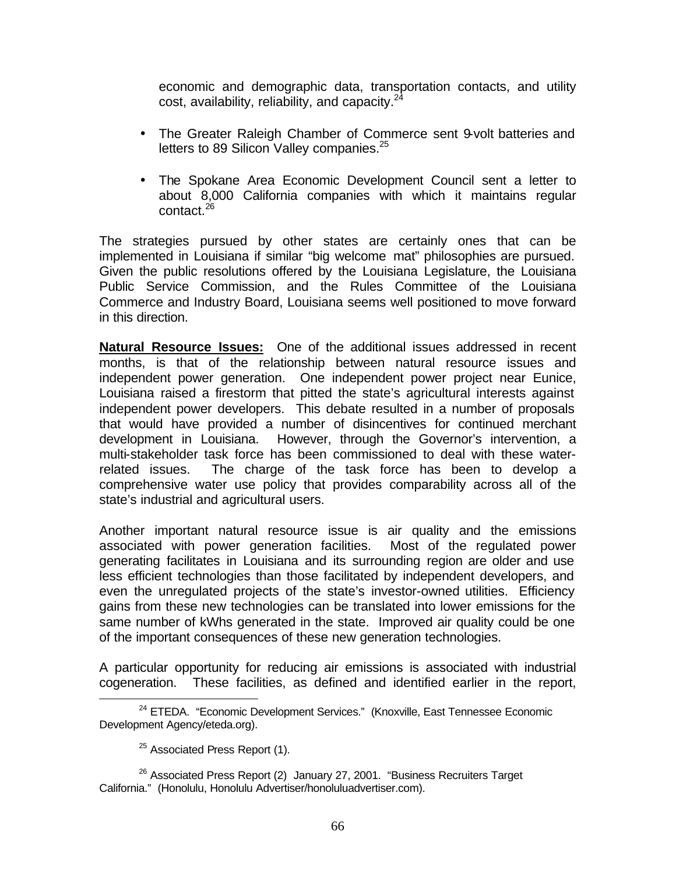economic and demographic data, transportation contacts, and utility cost, availability, reliability, and capacity. $24$ 

- The Greater Raleigh Chamber of Commerce sent 9-volt batteries and letters to 89 Silicon Valley companies.<sup>25</sup>
- The Spokane Area Economic Development Council sent a letter to about 8,000 California companies with which it maintains regular contact.<sup>26</sup>

The strategies pursued by other states are certainly ones that can be implemented in Louisiana if similar "big welcome mat" philosophies are pursued. Given the public resolutions offered by the Louisiana Legislature, the Louisiana Public Service Commission, and the Rules Committee of the Louisiana Commerce and Industry Board, Louisiana seems well positioned to move forward in this direction.

**Natural Resource Issues:** One of the additional issues addressed in recent months, is that of the relationship between natural resource issues and independent power generation. One independent power project near Eunice, Louisiana raised a firestorm that pitted the state's agricultural interests against independent power developers. This debate resulted in a number of proposals that would have provided a number of disincentives for continued merchant development in Louisiana. However, through the Governor's intervention, a multi-stakeholder task force has been commissioned to deal with these waterrelated issues. The charge of the task force has been to develop a comprehensive water use policy that provides comparability across all of the state's industrial and agricultural users.

Another important natural resource issue is air quality and the emissions associated with power generation facilities. Most of the regulated power generating facilitates in Louisiana and its surrounding region are older and use less efficient technologies than those facilitated by independent developers, and even the unregulated projects of the state's investor-owned utilities. Efficiency gains from these new technologies can be translated into lower emissions for the same number of kWhs generated in the state. Improved air quality could be one of the important consequences of these new generation technologies.

A particular opportunity for reducing air emissions is associated with industrial cogeneration. These facilities, as defined and identified earlier in the report,

1

<sup>&</sup>lt;sup>24</sup> ETEDA. "Economic Development Services." (Knoxville, East Tennessee Economic Development Agency/eteda.org).

<sup>&</sup>lt;sup>25</sup> Associated Press Report (1).

<sup>&</sup>lt;sup>26</sup> Associated Press Report (2) January 27, 2001. "Business Recruiters Target California." (Honolulu, Honolulu Advertiser/honoluluadvertiser.com).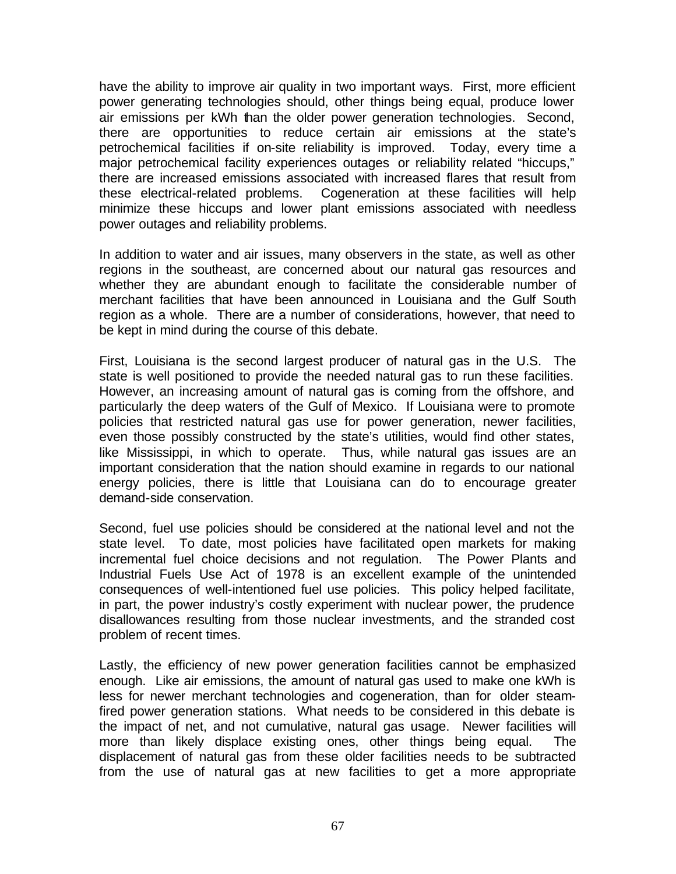have the ability to improve air quality in two important ways. First, more efficient power generating technologies should, other things being equal, produce lower air emissions per kWh than the older power generation technologies. Second, there are opportunities to reduce certain air emissions at the state's petrochemical facilities if on-site reliability is improved. Today, every time a major petrochemical facility experiences outages or reliability related "hiccups," there are increased emissions associated with increased flares that result from these electrical-related problems. Cogeneration at these facilities will help minimize these hiccups and lower plant emissions associated with needless power outages and reliability problems.

In addition to water and air issues, many observers in the state, as well as other regions in the southeast, are concerned about our natural gas resources and whether they are abundant enough to facilitate the considerable number of merchant facilities that have been announced in Louisiana and the Gulf South region as a whole. There are a number of considerations, however, that need to be kept in mind during the course of this debate.

First, Louisiana is the second largest producer of natural gas in the U.S. The state is well positioned to provide the needed natural gas to run these facilities. However, an increasing amount of natural gas is coming from the offshore, and particularly the deep waters of the Gulf of Mexico. If Louisiana were to promote policies that restricted natural gas use for power generation, newer facilities, even those possibly constructed by the state's utilities, would find other states, like Mississippi, in which to operate. Thus, while natural gas issues are an important consideration that the nation should examine in regards to our national energy policies, there is little that Louisiana can do to encourage greater demand-side conservation.

Second, fuel use policies should be considered at the national level and not the state level. To date, most policies have facilitated open markets for making incremental fuel choice decisions and not regulation. The Power Plants and Industrial Fuels Use Act of 1978 is an excellent example of the unintended consequences of well-intentioned fuel use policies. This policy helped facilitate, in part, the power industry's costly experiment with nuclear power, the prudence disallowances resulting from those nuclear investments, and the stranded cost problem of recent times.

Lastly, the efficiency of new power generation facilities cannot be emphasized enough. Like air emissions, the amount of natural gas used to make one kWh is less for newer merchant technologies and cogeneration, than for older steamfired power generation stations. What needs to be considered in this debate is the impact of net, and not cumulative, natural gas usage. Newer facilities will more than likely displace existing ones, other things being equal. The displacement of natural gas from these older facilities needs to be subtracted from the use of natural gas at new facilities to get a more appropriate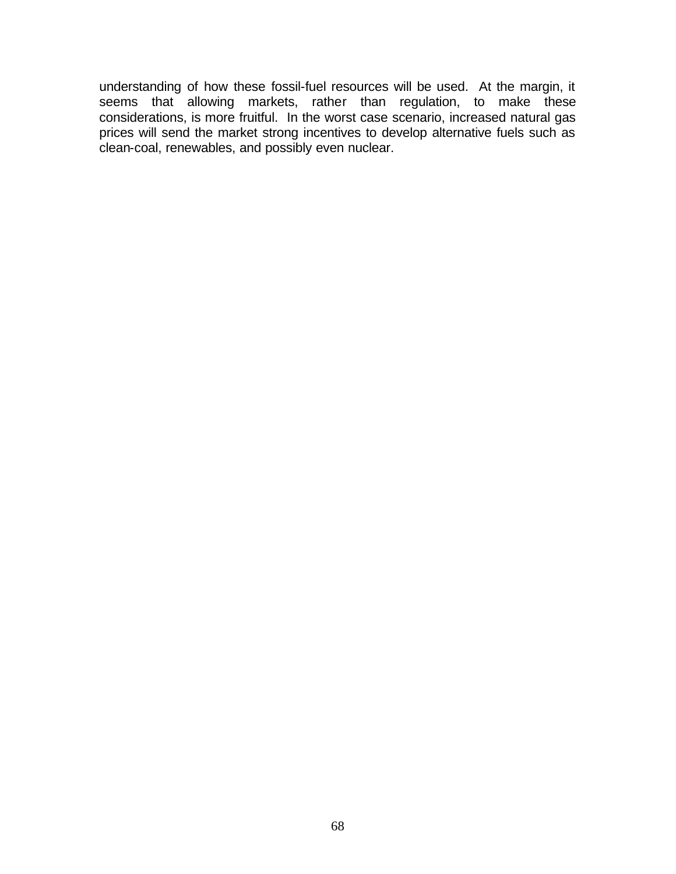understanding of how these fossil-fuel resources will be used. At the margin, it seems that allowing markets, rather than regulation, to make these considerations, is more fruitful. In the worst case scenario, increased natural gas prices will send the market strong incentives to develop alternative fuels such as clean-coal, renewables, and possibly even nuclear.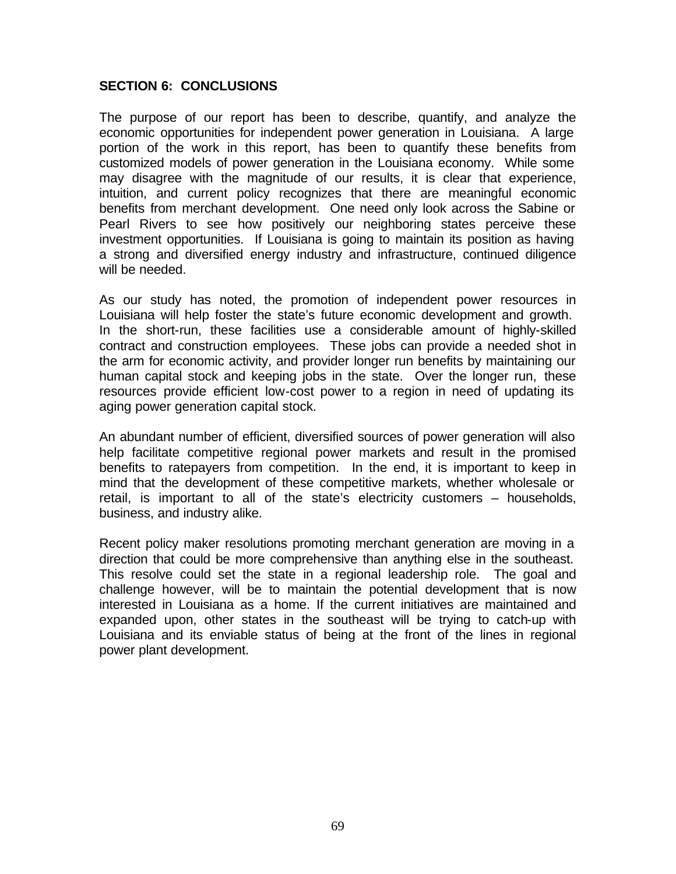### **SECTION 6: CONCLUSIONS**

The purpose of our report has been to describe, quantify, and analyze the economic opportunities for independent power generation in Louisiana. A large portion of the work in this report, has been to quantify these benefits from customized models of power generation in the Louisiana economy. While some may disagree with the magnitude of our results, it is clear that experience, intuition, and current policy recognizes that there are meaningful economic benefits from merchant development. One need only look across the Sabine or Pearl Rivers to see how positively our neighboring states perceive these investment opportunities. If Louisiana is going to maintain its position as having a strong and diversified energy industry and infrastructure, continued diligence will be needed.

As our study has noted, the promotion of independent power resources in Louisiana will help foster the state's future economic development and growth. In the short-run, these facilities use a considerable amount of highly-skilled contract and construction employees. These jobs can provide a needed shot in the arm for economic activity, and provider longer run benefits by maintaining our human capital stock and keeping jobs in the state. Over the longer run, these resources provide efficient low-cost power to a region in need of updating its aging power generation capital stock.

An abundant number of efficient, diversified sources of power generation will also help facilitate competitive regional power markets and result in the promised benefits to ratepayers from competition. In the end, it is important to keep in mind that the development of these competitive markets, whether wholesale or retail, is important to all of the state's electricity customers – households, business, and industry alike.

Recent policy maker resolutions promoting merchant generation are moving in a direction that could be more comprehensive than anything else in the southeast. This resolve could set the state in a regional leadership role. The goal and challenge however, will be to maintain the potential development that is now interested in Louisiana as a home. If the current initiatives are maintained and expanded upon, other states in the southeast will be trying to catch-up with Louisiana and its enviable status of being at the front of the lines in regional power plant development.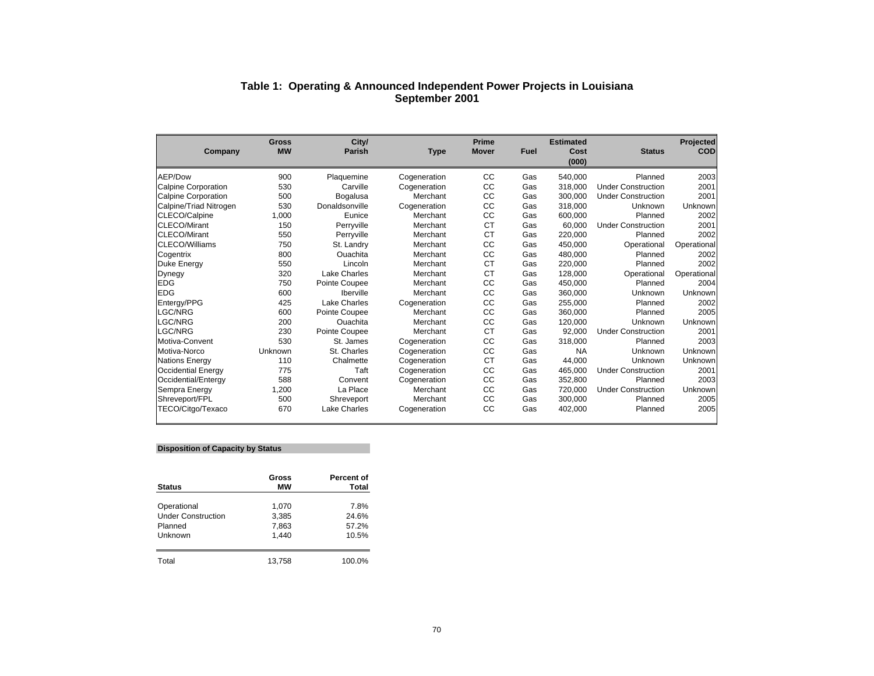#### **Table 1: Operating & Announced Independent Power Projects in Louisiana September 2001**

|                            | Gross     | City/               |              | Prime        |             | <b>Estimated</b> |                           | Projected   |
|----------------------------|-----------|---------------------|--------------|--------------|-------------|------------------|---------------------------|-------------|
| Company                    | <b>MW</b> | <b>Parish</b>       | <b>Type</b>  | <b>Mover</b> | <b>Fuel</b> | Cost             | <b>Status</b>             | <b>COD</b>  |
|                            |           |                     |              |              |             | (000)            |                           |             |
| AEP/Dow                    | 900       | Plaquemine          | Cogeneration | CC           | Gas         | 540,000          | Planned                   | 2003        |
| <b>Calpine Corporation</b> | 530       | Carville            | Cogeneration | CC           | Gas         | 318,000          | <b>Under Construction</b> | 2001        |
| <b>Calpine Corporation</b> | 500       | <b>Bogalusa</b>     | Merchant     | CC           | Gas         | 300.000          | <b>Under Construction</b> | 2001        |
| Calpine/Triad Nitrogen     | 530       | Donaldsonville      | Cogeneration | CC           | Gas         | 318,000          | Unknown                   | Unknown     |
| CLECO/Calpine              | 1,000     | Eunice              | Merchant     | CC           | Gas         | 600,000          | Planned                   | 2002        |
| <b>CLECO/Mirant</b>        | 150       | Perryville          | Merchant     | <b>CT</b>    | Gas         | 60.000           | <b>Under Construction</b> | 2001        |
| <b>CLECO/Mirant</b>        | 550       | Perryville          | Merchant     | СT           | Gas         | 220,000          | Planned                   | 2002        |
| <b>CLECO/Williams</b>      | 750       | St. Landry          | Merchant     | CC           | Gas         | 450.000          | Operational               | Operational |
| Cogentrix                  | 800       | Ouachita            | Merchant     | CC           | Gas         | 480,000          | Planned                   | 2002        |
| Duke Energy                | 550       | Lincoln             | Merchant     | <b>CT</b>    | Gas         | 220,000          | Planned                   | 2002        |
| Dynegy                     | 320       | <b>Lake Charles</b> | Merchant     | <b>CT</b>    | Gas         | 128.000          | Operational               | Operational |
| <b>EDG</b>                 | 750       | Pointe Coupee       | Merchant     | CC           | Gas         | 450,000          | Planned                   | 2004        |
| <b>EDG</b>                 | 600       | Iberville           | Merchant     | CC           | Gas         | 360.000          | Unknown                   | Unknown     |
| Entergy/PPG                | 425       | Lake Charles        | Cogeneration | CC           | Gas         | 255.000          | Planned                   | 2002        |
| LGC/NRG                    | 600       | Pointe Coupee       | Merchant     | CC           | Gas         | 360,000          | Planned                   | 2005        |
| LGC/NRG                    | 200       | <b>Ouachita</b>     | Merchant     | CC           | Gas         | 120,000          | Unknown                   | Unknown     |
| <b>LGC/NRG</b>             | 230       | Pointe Coupee       | Merchant     | <b>CT</b>    | Gas         | 92,000           | <b>Under Construction</b> | 2001        |
| Motiva-Convent             | 530       | St. James           | Cogeneration | CC           | Gas         | 318,000          | Planned                   | 2003        |
| Motiva-Norco               | Unknown   | St. Charles         | Cogeneration | CC           | Gas         | <b>NA</b>        | Unknown                   | Unknown     |
| <b>Nations Energy</b>      | 110       | Chalmette           | Cogeneration | <b>CT</b>    | Gas         | 44,000           | Unknown                   | Unknown     |
| <b>Occidential Energy</b>  | 775       | Taft                | Cogeneration | CC           | Gas         | 465,000          | <b>Under Construction</b> | 2001        |
| Occidential/Entergy        | 588       | Convent             | Cogeneration | CC           | Gas         | 352.800          | Planned                   | 2003        |
| Sempra Energy              | 1,200     | La Place            | Merchant     | CC           | Gas         | 720,000          | <b>Under Construction</b> | Unknown     |
| Shreveport/FPL             | 500       | Shreveport          | Merchant     | CC           | Gas         | 300,000          | Planned                   | 2005        |
| TECO/Citgo/Texaco          | 670       | <b>Lake Charles</b> | Cogeneration | CC           | Gas         | 402,000          | Planned                   | 2005        |
|                            |           |                     |              |              |             |                  |                           |             |

#### **Disposition of Capacity by Status**

| <b>Status</b>             | Gross<br>МW | Percent of<br><b>Total</b> |
|---------------------------|-------------|----------------------------|
| Operational               | 1,070       | 7.8%                       |
| <b>Under Construction</b> | 3,385       | 24.6%                      |
| Planned                   | 7,863       | 57.2%                      |
| Unknown                   | 1.440       | 10.5%                      |
| Total                     | 13.758      | 100.0%                     |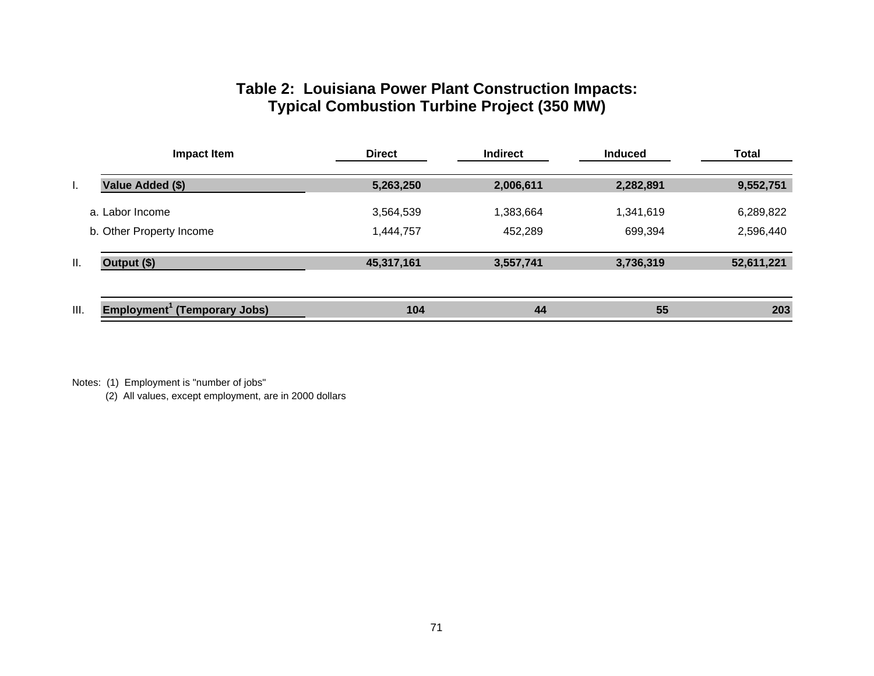# **Table 2: Louisiana Power Plant Construction Impacts: Typical Combustion Turbine Project (350 MW)**

|    | Impact Item                              | <b>Direct</b> | <b>Indirect</b> | <b>Induced</b> | <b>Total</b> |
|----|------------------------------------------|---------------|-----------------|----------------|--------------|
| ι. | Value Added (\$)                         | 5,263,250     | 2,006,611       | 2,282,891      | 9,552,751    |
|    | a. Labor Income                          | 3,564,539     | 1,383,664       | 1,341,619      | 6,289,822    |
|    | b. Other Property Income                 | 1,444,757     | 452,289         | 699,394        | 2,596,440    |
| Ш. | Output (\$)                              | 45,317,161    | 3,557,741       | 3,736,319      | 52,611,221   |
| Ш. | Employment <sup>1</sup> (Temporary Jobs) | 104           | 44              | 55             | 203          |

Notes: (1) Employment is "number of jobs"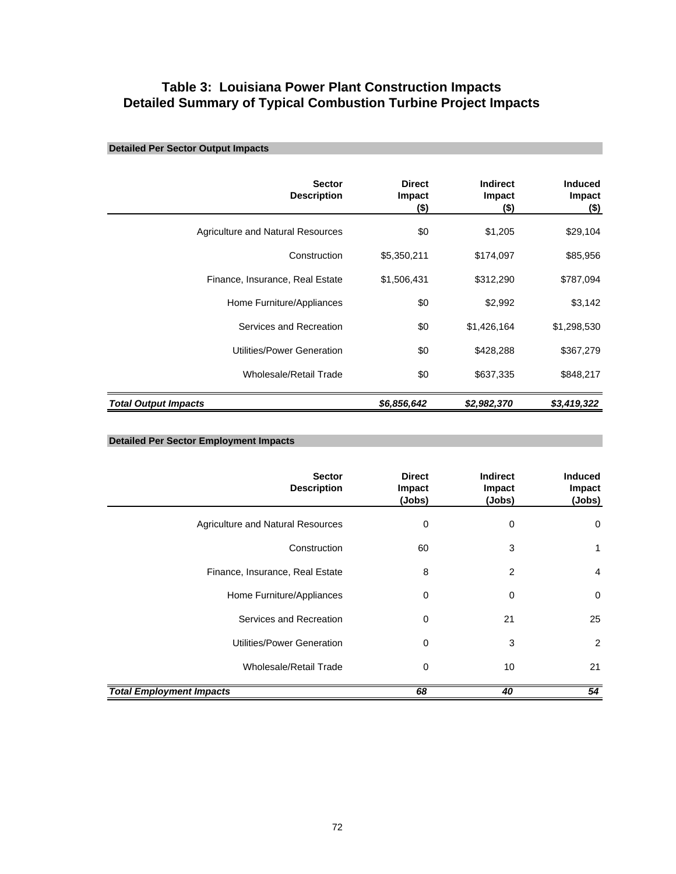## **Table 3: Louisiana Power Plant Construction Impacts Detailed Summary of Typical Combustion Turbine Project Impacts**

| <b>Sector</b><br><b>Description</b>      | <b>Direct</b><br><b>Impact</b><br>$($ \$) | <b>Indirect</b><br>Impact<br>(\$) | <b>Induced</b><br>Impact<br>$($ \$) |
|------------------------------------------|-------------------------------------------|-----------------------------------|-------------------------------------|
| <b>Agriculture and Natural Resources</b> | \$0                                       | \$1,205                           | \$29,104                            |
| Construction                             | \$5,350,211                               | \$174,097                         | \$85,956                            |
| Finance, Insurance, Real Estate          | \$1,506,431                               | \$312,290                         | \$787,094                           |
| Home Furniture/Appliances                | \$0                                       | \$2,992                           | \$3,142                             |
| Services and Recreation                  | \$0                                       | \$1,426,164                       | \$1,298,530                         |
| Utilities/Power Generation               | \$0                                       | \$428,288                         | \$367,279                           |
| Wholesale/Retail Trade                   | \$0                                       | \$637,335                         | \$848,217                           |
| <b>Total Output Impacts</b>              | \$6,856,642                               | \$2,982,370                       | \$3,419,322                         |

### **Detailed Per Sector Output Impacts**

| <b>Sector</b><br><b>Description</b> | <b>Direct</b><br>Impact<br>(Jobs) | <b>Indirect</b><br>Impact<br>(Jobs) | <b>Induced</b><br>Impact<br>(Jobs) |
|-------------------------------------|-----------------------------------|-------------------------------------|------------------------------------|
| Agriculture and Natural Resources   | 0                                 | 0                                   | 0                                  |
| Construction                        | 60                                | 3                                   | 1                                  |
| Finance, Insurance, Real Estate     | 8                                 | 2                                   | $\overline{4}$                     |
| Home Furniture/Appliances           | 0                                 | $\mathbf 0$                         | $\mathbf 0$                        |
| Services and Recreation             | 0                                 | 21                                  | 25                                 |
| Utilities/Power Generation          | 0                                 | 3                                   | 2                                  |
| Wholesale/Retail Trade              | 0                                 | 10                                  | 21                                 |
| <b>Total Employment Impacts</b>     | 68                                | 40                                  | $\overline{54}$                    |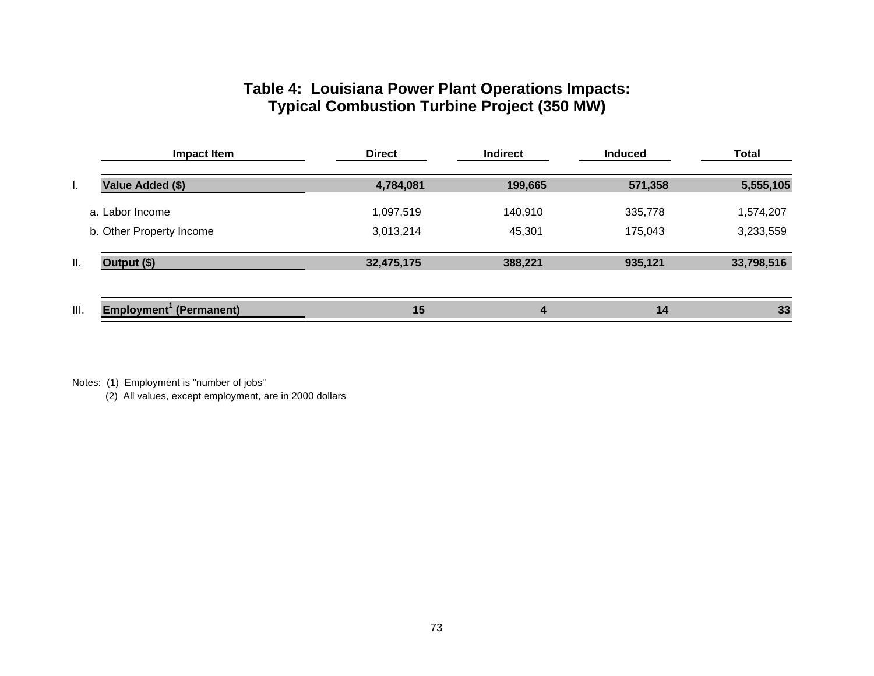# **Table 4: Louisiana Power Plant Operations Impacts: Typical Combustion Turbine Project (350 MW)**

|     | Impact Item                         | <b>Direct</b> | <b>Indirect</b> | <b>Induced</b> | <b>Total</b> |
|-----|-------------------------------------|---------------|-----------------|----------------|--------------|
| ı.  | Value Added (\$)                    | 4,784,081     | 199,665         | 571,358        | 5,555,105    |
|     | a. Labor Income                     | 1,097,519     | 140,910         | 335,778        | 1,574,207    |
|     | b. Other Property Income            | 3,013,214     | 45,301          | 175,043        | 3,233,559    |
| ΙΙ. | Output (\$)                         | 32,475,175    | 388,221         | 935,121        | 33,798,516   |
| Ш.  | Employment <sup>1</sup> (Permanent) | 15            | 4               | 14             | 33           |

Notes: (1) Employment is "number of jobs"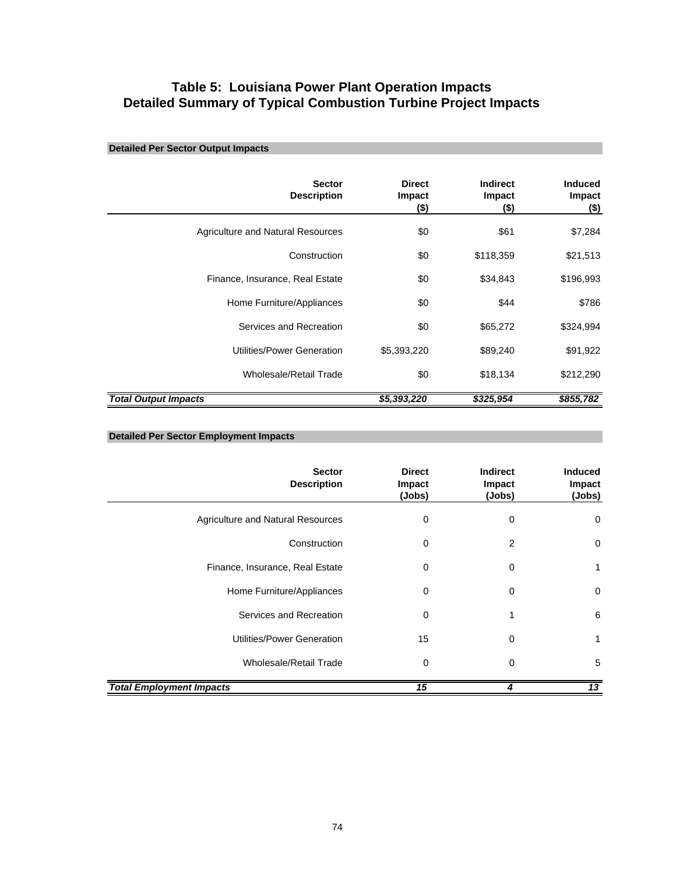## **Table 5: Louisiana Power Plant Operation Impacts Detailed Summary of Typical Combustion Turbine Project Impacts**

| <b>Sector</b><br><b>Description</b> | <b>Direct</b><br>Impact<br>(\$) | <b>Indirect</b><br>Impact<br>$($)$ | <b>Induced</b><br>Impact<br>$($ \$) |
|-------------------------------------|---------------------------------|------------------------------------|-------------------------------------|
| Agriculture and Natural Resources   | \$0                             | \$61                               | \$7,284                             |
| Construction                        | \$0                             | \$118,359                          | \$21,513                            |
| Finance, Insurance, Real Estate     | \$0                             | \$34,843                           | \$196,993                           |
| Home Furniture/Appliances           | \$0                             | \$44                               | \$786                               |
| Services and Recreation             | \$0                             | \$65,272                           | \$324,994                           |
| Utilities/Power Generation          | \$5,393,220                     | \$89,240                           | \$91,922                            |
| Wholesale/Retail Trade              | \$0                             | \$18,134                           | \$212,290                           |
| <b>Total Output Impacts</b>         | \$5,393,220                     | \$325,954                          | \$855,782                           |

# **Detailed Per Sector Output Impacts**

| <b>Sector</b><br><b>Description</b>      | <b>Direct</b><br>Impact<br>(Jobs) | <b>Indirect</b><br>Impact<br>(Jobs) | <b>Induced</b><br>Impact<br>(Jobs) |
|------------------------------------------|-----------------------------------|-------------------------------------|------------------------------------|
| <b>Agriculture and Natural Resources</b> | 0                                 | 0                                   | 0                                  |
| Construction                             | 0                                 | 2                                   | 0                                  |
| Finance, Insurance, Real Estate          | 0                                 | 0                                   | 1                                  |
| Home Furniture/Appliances                | 0                                 | $\Omega$                            | 0                                  |
| Services and Recreation                  | 0                                 |                                     | 6                                  |
| Utilities/Power Generation               | 15                                | $\Omega$                            | 1                                  |
| Wholesale/Retail Trade                   | 0                                 | $\mathbf 0$                         | 5                                  |
| <b>Total Employment Impacts</b>          | 15                                | 4                                   | 13                                 |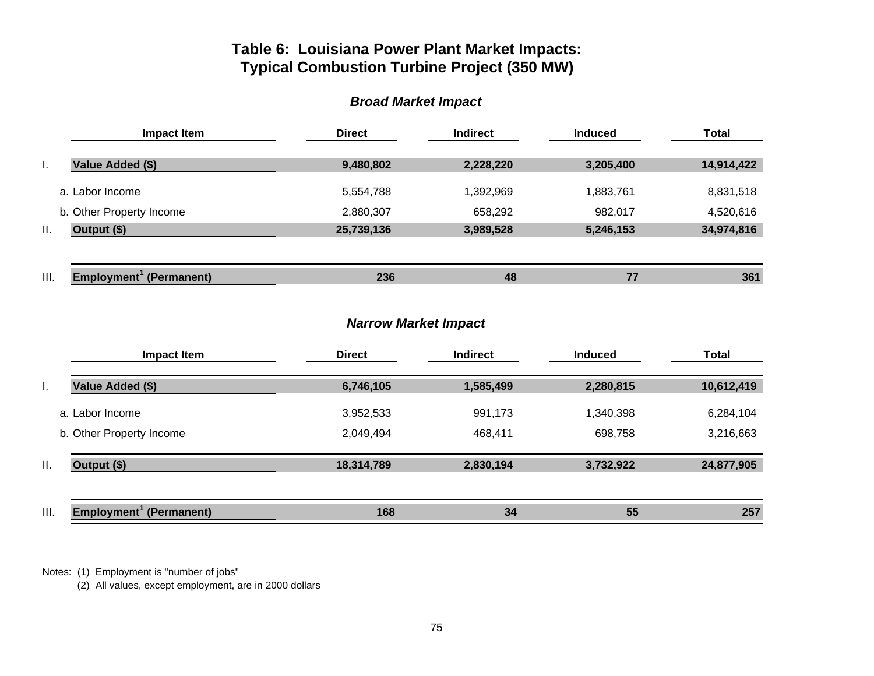# **Table 6: Louisiana Power Plant Market Impacts: Typical Combustion Turbine Project (350 MW)**

### *Broad Market Impact*

|    | Impact Item                         | <b>Direct</b> | <b>Indirect</b> | <b>Induced</b> | <b>Total</b> |
|----|-------------------------------------|---------------|-----------------|----------------|--------------|
| Ъ. | Value Added (\$)                    | 9,480,802     | 2,228,220       | 3,205,400      | 14,914,422   |
|    | a. Labor Income                     | 5,554,788     | 1,392,969       | 1,883,761      | 8,831,518    |
|    | b. Other Property Income            | 2,880,307     | 658,292         | 982,017        | 4,520,616    |
| Ш. | Output (\$)                         | 25,739,136    | 3,989,528       | 5,246,153      | 34,974,816   |
|    |                                     |               |                 |                |              |
| Ш. | Employment <sup>1</sup> (Permanent) | 236           | 48              | 77             | 361          |

## *Narrow Market Impact*

|    | Impact Item                         | <b>Direct</b> | <b>Indirect</b> | <b>Induced</b> | <b>Total</b> |
|----|-------------------------------------|---------------|-----------------|----------------|--------------|
| I. | Value Added (\$)                    | 6,746,105     | 1,585,499       | 2,280,815      | 10,612,419   |
|    | a. Labor Income                     | 3,952,533     | 991,173         | 1,340,398      | 6,284,104    |
|    | b. Other Property Income            | 2,049,494     | 468,411         | 698,758        | 3,216,663    |
| Ш. | Output (\$)                         | 18,314,789    | 2,830,194       | 3,732,922      | 24,877,905   |
| Ш. | Employment <sup>1</sup> (Permanent) | 168           | 34              | 55             | 257          |

Notes: (1) Employment is "number of jobs"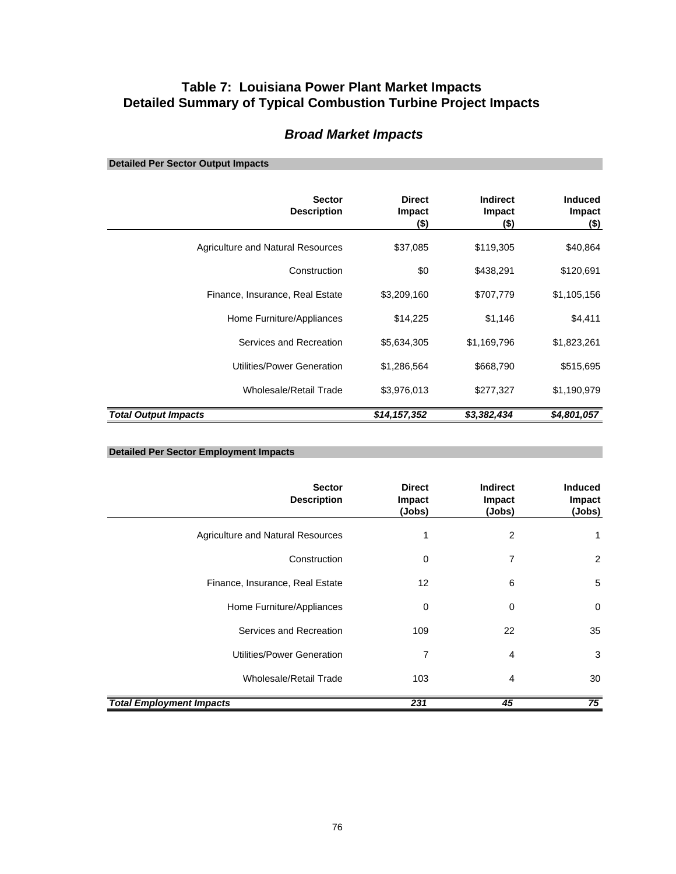## **Table 7: Louisiana Power Plant Market Impacts Detailed Summary of Typical Combustion Turbine Project Impacts**

## *Broad Market Impacts*

| <b>Sector</b><br><b>Description</b>      | <b>Direct</b><br>Impact<br>(\$) | <b>Indirect</b><br>Impact<br>(\$) | <b>Induced</b><br>Impact<br>$($ \$) |
|------------------------------------------|---------------------------------|-----------------------------------|-------------------------------------|
| <b>Agriculture and Natural Resources</b> | \$37,085                        | \$119,305                         | \$40,864                            |
| Construction                             | \$0                             | \$438,291                         | \$120,691                           |
| Finance, Insurance, Real Estate          | \$3,209,160                     | \$707,779                         | \$1,105,156                         |
| Home Furniture/Appliances                | \$14,225                        | \$1,146                           | \$4,411                             |
| Services and Recreation                  | \$5,634,305                     | \$1,169,796                       | \$1,823,261                         |
| Utilities/Power Generation               | \$1,286,564                     | \$668,790                         | \$515,695                           |
| Wholesale/Retail Trade                   | \$3,976,013                     | \$277,327                         | \$1,190,979                         |
| <b>Total Output Impacts</b>              | \$14,157,352                    | \$3,382,434                       | \$4,801,057                         |

### **Detailed Per Sector Output Impacts**

| <b>Sector</b><br><b>Description</b> | <b>Direct</b><br>Impact<br>(Jobs) | <b>Indirect</b><br>Impact<br>(Jobs) | <b>Induced</b><br>Impact<br>(Jobs) |
|-------------------------------------|-----------------------------------|-------------------------------------|------------------------------------|
| Agriculture and Natural Resources   |                                   | 2                                   | 1                                  |
| Construction                        | 0                                 | 7                                   | 2                                  |
| Finance, Insurance, Real Estate     | 12                                | 6                                   | 5                                  |
| Home Furniture/Appliances           | 0                                 | 0                                   | 0                                  |
| Services and Recreation             | 109                               | 22                                  | 35                                 |
| Utilities/Power Generation          | 7                                 | 4                                   | 3                                  |
| <b>Wholesale/Retail Trade</b>       | 103                               | 4                                   | 30                                 |
| <b>Total Employment Impacts</b>     | 231                               | 45                                  | 75                                 |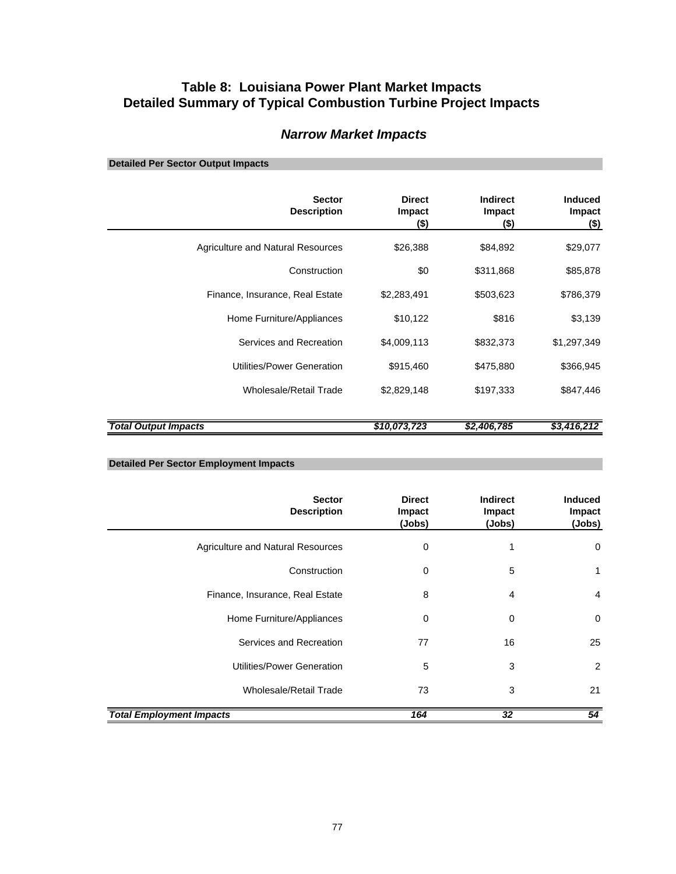## **Table 8: Louisiana Power Plant Market Impacts Detailed Summary of Typical Combustion Turbine Project Impacts**

## *Narrow Market Impacts*

| <b>Sector</b><br><b>Description</b> | <b>Direct</b><br>Impact<br>$($ \$) | <b>Indirect</b><br>Impact<br>$($ \$) | <b>Induced</b><br>Impact<br>$($ \$) |
|-------------------------------------|------------------------------------|--------------------------------------|-------------------------------------|
| Agriculture and Natural Resources   | \$26,388                           | \$84,892                             | \$29,077                            |
| Construction                        | \$0                                | \$311,868                            | \$85,878                            |
| Finance, Insurance, Real Estate     | \$2,283,491                        | \$503,623                            | \$786,379                           |
| Home Furniture/Appliances           | \$10,122                           | \$816                                | \$3,139                             |
| Services and Recreation             | \$4,009,113                        | \$832,373                            | \$1,297,349                         |
| Utilities/Power Generation          | \$915,460                          | \$475,880                            | \$366,945                           |
| Wholesale/Retail Trade              | \$2,829,148                        | \$197,333                            | \$847,446                           |
| <b>Total Output Impacts</b>         | \$10,073,723                       | \$2,406,785                          | \$3,416,212                         |

### **Detailed Per Sector Output Impacts**

| <b>Sector</b><br><b>Description</b> | <b>Direct</b><br>Impact<br>(Jobs) | <b>Indirect</b><br>Impact<br>(Jobs) | <b>Induced</b><br>Impact<br>(Jobs) |
|-------------------------------------|-----------------------------------|-------------------------------------|------------------------------------|
| Agriculture and Natural Resources   | 0                                 |                                     | 0                                  |
| Construction                        | 0                                 | 5                                   | 1                                  |
| Finance, Insurance, Real Estate     | 8                                 | 4                                   | $\overline{4}$                     |
| Home Furniture/Appliances           | 0                                 | $\mathbf 0$                         | $\mathbf 0$                        |
| Services and Recreation             | 77                                | 16                                  | 25                                 |
| Utilities/Power Generation          | 5                                 | 3                                   | 2                                  |
| <b>Wholesale/Retail Trade</b>       | 73                                | 3                                   | 21                                 |
| <b>Total Employment Impacts</b>     | 164                               | $\overline{32}$                     | 54                                 |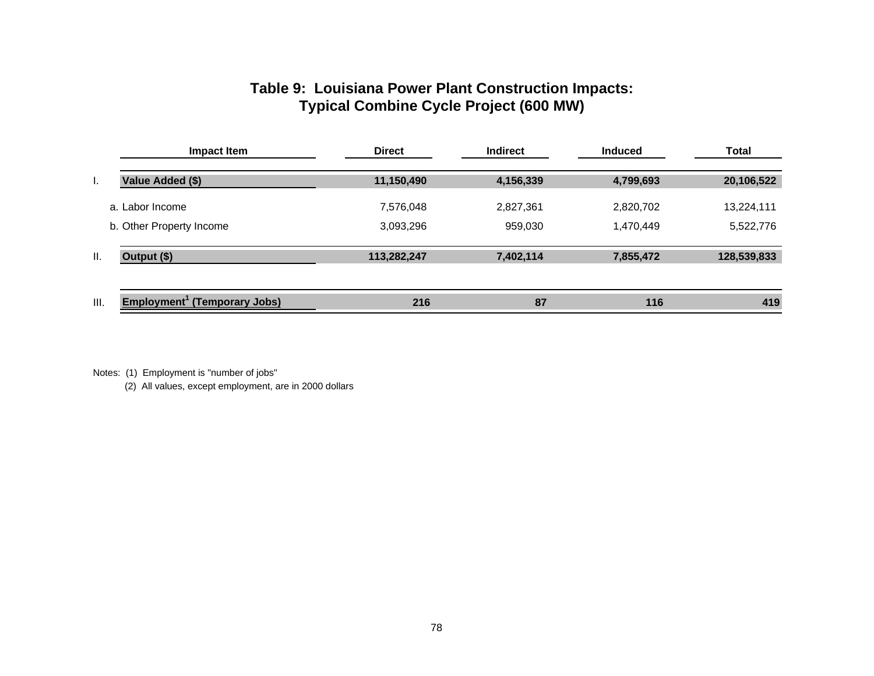# **Table 9: Louisiana Power Plant Construction Impacts: Typical Combine Cycle Project (600 MW)**

| Impact Item                                            | <b>Direct</b> | <b>Indirect</b> | <b>Induced</b> | <b>Total</b> |
|--------------------------------------------------------|---------------|-----------------|----------------|--------------|
| Value Added (\$)<br>ι.                                 | 11,150,490    | 4,156,339       | 4,799,693      | 20,106,522   |
| a. Labor Income                                        | 7,576,048     | 2,827,361       | 2,820,702      | 13,224,111   |
| b. Other Property Income                               | 3,093,296     | 959,030         | 1,470,449      | 5,522,776    |
| П.<br>Output (\$)                                      | 113,282,247   | 7,402,114       | 7,855,472      | 128,539,833  |
| <b>Employment<sup>1</sup></b> (Temporary Jobs)<br>III. | 216           | 87              | 116            | 419          |

Notes: (1) Employment is "number of jobs"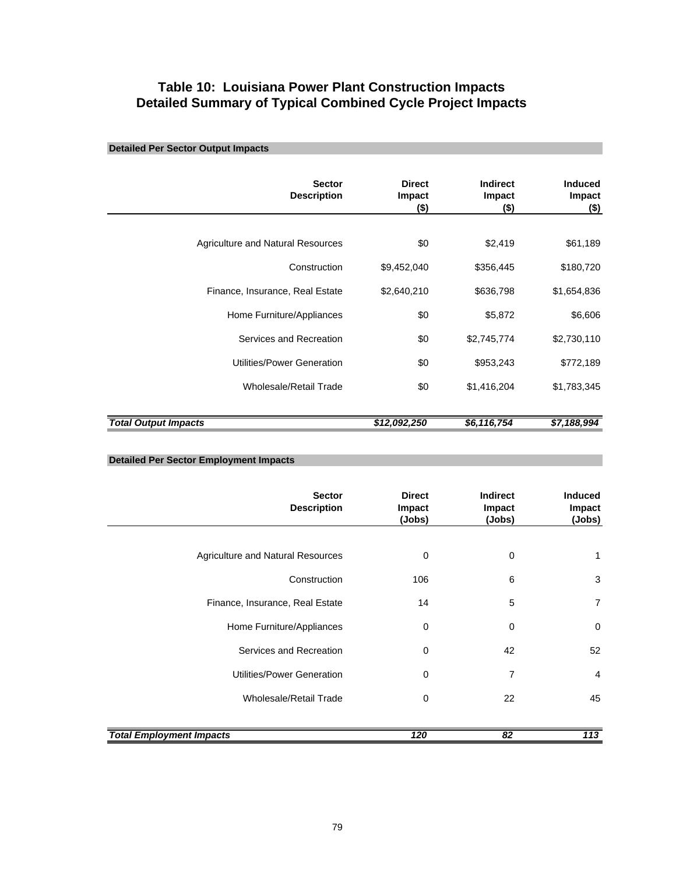## **Table 10: Louisiana Power Plant Construction Impacts Detailed Summary of Typical Combined Cycle Project Impacts**

**Detailed Per Sector Output Impacts**

| <b>Sector</b><br><b>Description</b> | <b>Direct</b><br>Impact<br>$($ \$) | <b>Indirect</b><br>Impact<br>$($)$ | Induced<br><b>Impact</b><br>$($)$ |
|-------------------------------------|------------------------------------|------------------------------------|-----------------------------------|
| Agriculture and Natural Resources   | \$0                                | \$2,419                            | \$61,189                          |
|                                     |                                    |                                    |                                   |
| Construction                        | \$9,452,040                        | \$356,445                          | \$180,720                         |
| Finance, Insurance, Real Estate     | \$2,640,210                        | \$636,798                          | \$1,654,836                       |
| Home Furniture/Appliances           | \$0                                | \$5,872                            | \$6,606                           |
| Services and Recreation             | \$0                                | \$2,745,774                        | \$2,730,110                       |
| Utilities/Power Generation          | \$0                                | \$953,243                          | \$772,189                         |
| Wholesale/Retail Trade              | \$0                                | \$1,416,204                        | \$1,783,345                       |
| <b>Total Output Impacts</b>         | \$12,092,250                       | \$6,116,754                        | \$7,188,994                       |

| <b>Sector</b><br><b>Description</b> | <b>Direct</b><br>Impact<br>(Jobs) | <b>Indirect</b><br>Impact<br>(Jobs) | <b>Induced</b><br>Impact<br>(Jobs) |
|-------------------------------------|-----------------------------------|-------------------------------------|------------------------------------|
|                                     |                                   |                                     |                                    |
| Agriculture and Natural Resources   | 0                                 | $\mathbf 0$                         | 1                                  |
| Construction                        | 106                               | 6                                   | 3                                  |
| Finance, Insurance, Real Estate     | 14                                | 5                                   | $\overline{7}$                     |
| Home Furniture/Appliances           | 0                                 | $\mathbf 0$                         | $\mathbf 0$                        |
| Services and Recreation             | 0                                 | 42                                  | 52                                 |
| <b>Utilities/Power Generation</b>   | 0                                 | 7                                   | $\overline{4}$                     |
| Wholesale/Retail Trade              | 0                                 | 22                                  | 45                                 |
| <b>Total Employment Impacts</b>     | 120                               | 82                                  | 113                                |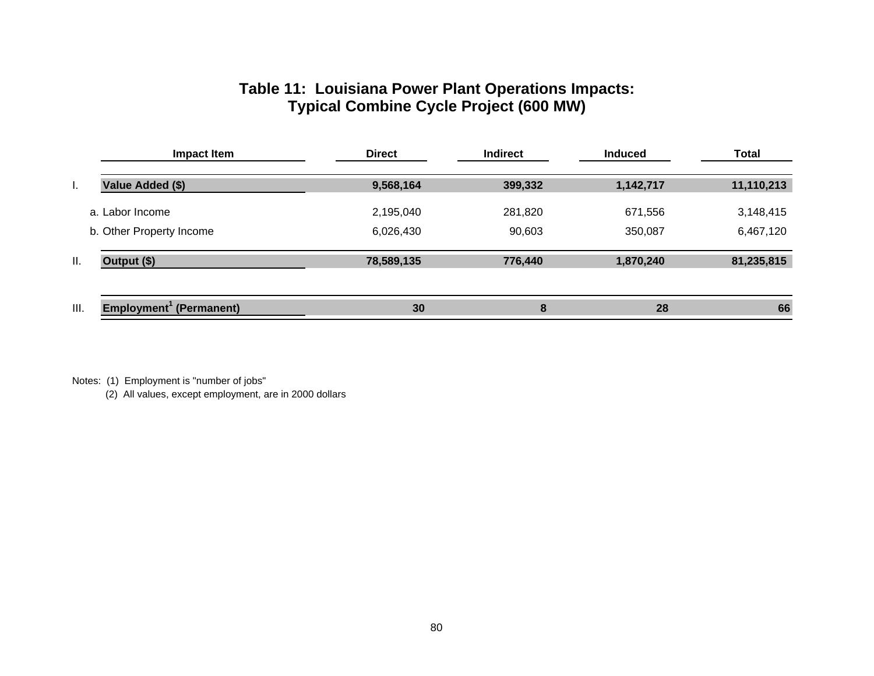# **Table 11: Louisiana Power Plant Operations Impacts: Typical Combine Cycle Project (600 MW)**

|     | Impact Item                         | <b>Direct</b> | <b>Indirect</b> | <b>Induced</b> | <b>Total</b> |
|-----|-------------------------------------|---------------|-----------------|----------------|--------------|
| ı.  | Value Added (\$)                    | 9,568,164     | 399,332         | 1,142,717      | 11,110,213   |
|     | a. Labor Income                     | 2,195,040     | 281,820         | 671,556        | 3,148,415    |
|     | b. Other Property Income            | 6,026,430     | 90,603          | 350,087        | 6,467,120    |
| ΙΙ. | Output (\$)                         | 78,589,135    | 776,440         | 1,870,240      | 81,235,815   |
|     |                                     |               |                 |                |              |
| Ш.  | Employment <sup>1</sup> (Permanent) | 30            | 8               | 28             | 66           |

Notes: (1) Employment is "number of jobs"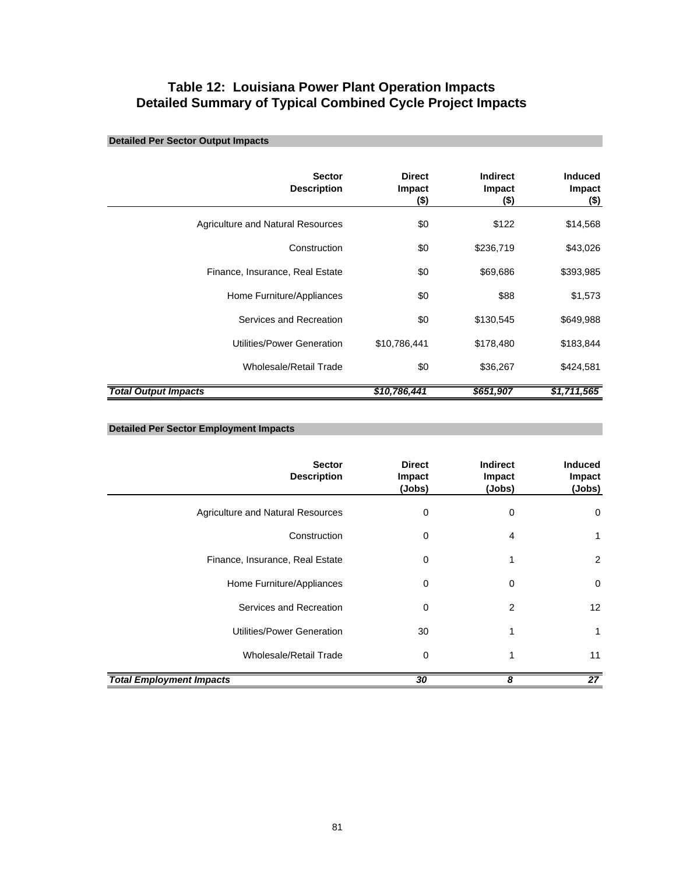## **Table 12: Louisiana Power Plant Operation Impacts Detailed Summary of Typical Combined Cycle Project Impacts**

| <b>Sector</b><br><b>Description</b>      | <b>Direct</b><br>Impact<br>$($ \$) | <b>Indirect</b><br>Impact<br>$($ \$) | <b>Induced</b><br>Impact<br>$($ \$) |
|------------------------------------------|------------------------------------|--------------------------------------|-------------------------------------|
| <b>Agriculture and Natural Resources</b> | \$0                                | \$122                                | \$14,568                            |
| Construction                             | \$0                                | \$236,719                            | \$43,026                            |
| Finance, Insurance, Real Estate          | \$0                                | \$69,686                             | \$393,985                           |
| Home Furniture/Appliances                | \$0                                | \$88                                 | \$1,573                             |
| Services and Recreation                  | \$0                                | \$130,545                            | \$649,988                           |
| Utilities/Power Generation               | \$10,786,441                       | \$178,480                            | \$183,844                           |
| Wholesale/Retail Trade                   | \$0                                | \$36,267                             | \$424,581                           |
| <b>Total Output Impacts</b>              | \$10,786,441                       | \$651,907                            | \$1,711,565                         |

### **Detailed Per Sector Output Impacts**

| <b>Sector</b><br><b>Description</b> | <b>Direct</b><br>Impact<br>(Jobs) | <b>Indirect</b><br>Impact<br>(Jobs) | <b>Induced</b><br>Impact<br>(Jobs) |
|-------------------------------------|-----------------------------------|-------------------------------------|------------------------------------|
| Agriculture and Natural Resources   | 0                                 | 0                                   | $\mathbf 0$                        |
| Construction                        | 0                                 | 4                                   | 1                                  |
| Finance, Insurance, Real Estate     | 0                                 | 1                                   | 2                                  |
| Home Furniture/Appliances           | 0                                 | $\Omega$                            | 0                                  |
| Services and Recreation             | 0                                 | 2                                   | $12 \overline{ }$                  |
| Utilities/Power Generation          | 30                                | 1                                   | 1                                  |
| <b>Wholesale/Retail Trade</b>       | 0                                 | 1                                   | 11                                 |
| <b>Total Employment Impacts</b>     | 30                                | 8                                   | 27                                 |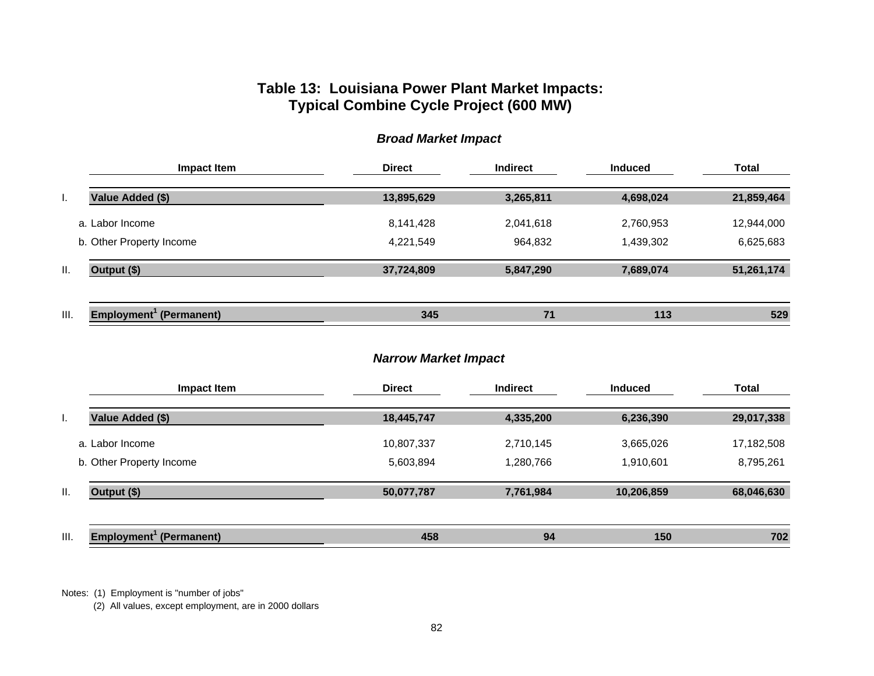## **Table 13: Louisiana Power Plant Market Impacts: Typical Combine Cycle Project (600 MW)**

### *Broad Market Impact*

|      | Impact Item                         | <b>Direct</b> | <b>Indirect</b> | <b>Induced</b> | <b>Total</b> |
|------|-------------------------------------|---------------|-----------------|----------------|--------------|
| ь.   | Value Added (\$)                    | 13,895,629    | 3,265,811       | 4,698,024      | 21,859,464   |
|      | a. Labor Income                     | 8,141,428     | 2,041,618       | 2,760,953      | 12,944,000   |
|      | b. Other Property Income            | 4,221,549     | 964,832         | 1,439,302      | 6,625,683    |
| Ш.   | Output (\$)                         | 37,724,809    | 5,847,290       | 7,689,074      | 51,261,174   |
| III. | Employment <sup>1</sup> (Permanent) | 345           | 71              | 113            | 529          |

### *Narrow Market Impact*

|     | Impact Item                         | <b>Direct</b> | <b>Indirect</b> | <b>Induced</b> | Total      |
|-----|-------------------------------------|---------------|-----------------|----------------|------------|
|     | Value Added (\$)                    | 18,445,747    | 4,335,200       | 6,236,390      | 29,017,338 |
|     | a. Labor Income                     | 10,807,337    | 2,710,145       | 3,665,026      | 17,182,508 |
|     | b. Other Property Income            | 5,603,894     | 1,280,766       | 1,910,601      | 8,795,261  |
| II. | Output (\$)                         | 50,077,787    | 7,761,984       | 10,206,859     | 68,046,630 |
|     |                                     |               |                 |                |            |
| Ш.  | Employment <sup>1</sup> (Permanent) | 458           | 94              | 150            | 702        |

Notes: (1) Employment is "number of jobs"

(2) All values, except employment, are in 2000 dollars

 **(Permanent) 458 94 150 702**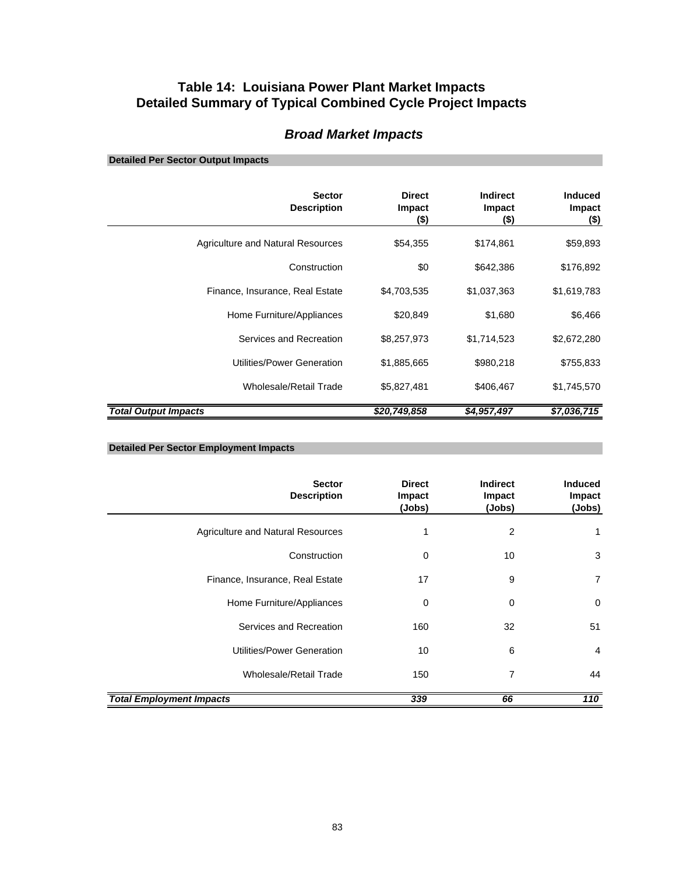## **Table 14: Louisiana Power Plant Market Impacts Detailed Summary of Typical Combined Cycle Project Impacts**

## *Broad Market Impacts*

| <b>Sector</b><br><b>Description</b> | <b>Direct</b><br><b>Impact</b><br>$($ \$) | <b>Indirect</b><br>Impact<br>$($ \$) | <b>Induced</b><br>Impact<br>$($)$ |
|-------------------------------------|-------------------------------------------|--------------------------------------|-----------------------------------|
| Agriculture and Natural Resources   | \$54,355                                  | \$174,861                            | \$59,893                          |
| Construction                        | \$0                                       | \$642,386                            | \$176,892                         |
| Finance, Insurance, Real Estate     | \$4,703,535                               | \$1,037,363                          | \$1,619,783                       |
| Home Furniture/Appliances           | \$20,849                                  | \$1,680                              | \$6,466                           |
| Services and Recreation             | \$8,257,973                               | \$1,714,523                          | \$2,672,280                       |
| Utilities/Power Generation          | \$1,885,665                               | \$980,218                            | \$755,833                         |
| <b>Wholesale/Retail Trade</b>       | \$5,827,481                               | \$406,467                            | \$1,745,570                       |
| <b>Total Output Impacts</b>         | \$20,749,858                              | \$4,957,497                          | \$7,036,715                       |

#### **Detailed Per Sector Output Impacts**

| <b>Sector</b><br><b>Description</b> | <b>Direct</b><br>Impact<br>(Jobs) | <b>Indirect</b><br>Impact<br>(Jobs) | <b>Induced</b><br>Impact<br>(Jobs) |
|-------------------------------------|-----------------------------------|-------------------------------------|------------------------------------|
| Agriculture and Natural Resources   | 1                                 | 2                                   | 1                                  |
| Construction                        | 0                                 | 10                                  | 3                                  |
| Finance, Insurance, Real Estate     | 17                                | 9                                   | $\overline{7}$                     |
| Home Furniture/Appliances           | 0                                 | $\mathbf 0$                         | 0                                  |
| Services and Recreation             | 160                               | 32                                  | 51                                 |
| Utilities/Power Generation          | 10                                | 6                                   | $\overline{4}$                     |
| <b>Wholesale/Retail Trade</b>       | 150                               | 7                                   | 44                                 |
| <b>Total Employment Impacts</b>     | 339                               | 66                                  | 110                                |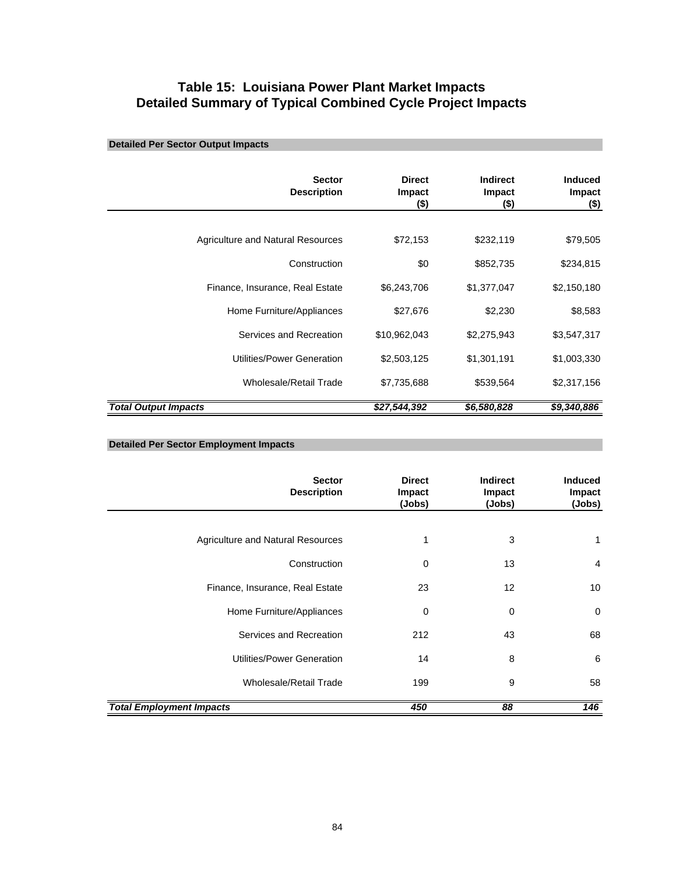## **Table 15: Louisiana Power Plant Market Impacts Detailed Summary of Typical Combined Cycle Project Impacts**

| <b>Sector</b><br><b>Description</b>      | <b>Direct</b><br>Impact<br>$($ \$) | <b>Indirect</b><br>Impact<br>(\$) | <b>Induced</b><br>Impact<br>$($ \$) |
|------------------------------------------|------------------------------------|-----------------------------------|-------------------------------------|
| <b>Agriculture and Natural Resources</b> | \$72,153                           | \$232,119                         | \$79,505                            |
| Construction                             | \$0                                | \$852,735                         | \$234,815                           |
| Finance, Insurance, Real Estate          | \$6,243,706                        | \$1,377,047                       | \$2,150,180                         |
| Home Furniture/Appliances                | \$27,676                           | \$2,230                           | \$8,583                             |
| Services and Recreation                  | \$10,962,043                       | \$2,275,943                       | \$3,547,317                         |
| Utilities/Power Generation               | \$2,503,125                        | \$1,301,191                       | \$1,003,330                         |
| <b>Wholesale/Retail Trade</b>            | \$7,735,688                        | \$539,564                         | \$2,317,156                         |
| <b>Total Output Impacts</b>              | \$27,544,392                       | \$6,580,828                       | \$9,340,886                         |

#### **Detailed Per Sector Employment Impacts**

**Detailed Per Sector Output Impacts**

| <b>Sector</b><br><b>Description</b>      | <b>Direct</b><br>Impact<br>(Jobs) | <b>Indirect</b><br>Impact<br>(Jobs) | <b>Induced</b><br>Impact<br>(Jobs) |
|------------------------------------------|-----------------------------------|-------------------------------------|------------------------------------|
|                                          |                                   |                                     |                                    |
| <b>Agriculture and Natural Resources</b> | $\mathbf{1}$                      | 3                                   | 1                                  |
| Construction                             | 0                                 | 13                                  | $\overline{4}$                     |
| Finance, Insurance, Real Estate          | 23                                | 12                                  | 10                                 |
| Home Furniture/Appliances                | 0                                 | 0                                   | $\mathbf 0$                        |
| Services and Recreation                  | 212                               | 43                                  | 68                                 |
| Utilities/Power Generation               | 14                                | 8                                   | 6                                  |
| Wholesale/Retail Trade                   | 199                               | 9                                   | 58                                 |
| <b>Total Employment Impacts</b>          | 450                               | 88                                  | 146                                |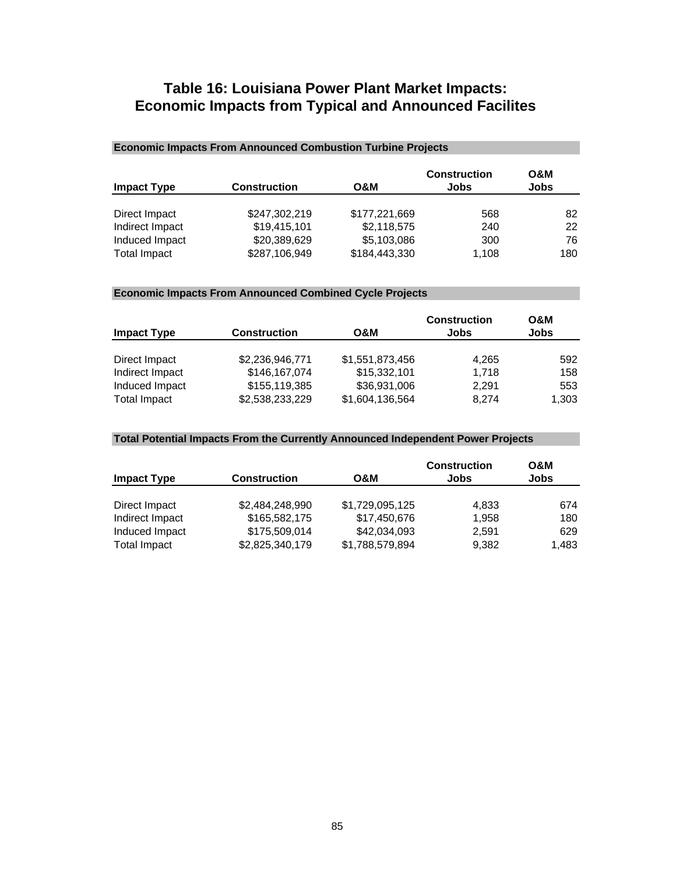## **Table 16: Louisiana Power Plant Market Impacts: Economic Impacts from Typical and Announced Facilites**

| <b>Impact Type</b>  | <b>Construction</b> | O&M           | <b>Construction</b><br>Jobs | O&M<br><b>Jobs</b> |
|---------------------|---------------------|---------------|-----------------------------|--------------------|
| Direct Impact       | \$247,302,219       | \$177,221,669 | 568                         | 82                 |
| Indirect Impact     | \$19,415,101        | \$2,118,575   | 240                         | 22                 |
| Induced Impact      | \$20,389,629        | \$5,103,086   | 300                         | 76                 |
| <b>Total Impact</b> | \$287,106,949       | \$184,443,330 | 1,108                       | 180                |

### **Economic Impacts From Announced Combustion Turbine Projects**

#### **Economic Impacts From Announced Combined Cycle Projects**

| <b>Impact Type</b>  | <b>Construction</b> | O&M             | <b>Construction</b><br>Jobs | O&M<br>Jobs |
|---------------------|---------------------|-----------------|-----------------------------|-------------|
|                     |                     |                 |                             |             |
| Direct Impact       | \$2,236,946,771     | \$1,551,873,456 | 4.265                       | 592         |
| Indirect Impact     | \$146,167,074       | \$15,332,101    | 1.718                       | 158         |
| Induced Impact      | \$155,119,385       | \$36,931,006    | 2.291                       | 553         |
| <b>Total Impact</b> | \$2,538,233,229     | \$1,604,136,564 | 8.274                       | 1,303       |

#### **Total Potential Impacts From the Currently Announced Independent Power Projects**

| <b>Impact Type</b>  | Construction    | O&M             | <b>Construction</b><br>Jobs | O&M<br>Jobs |
|---------------------|-----------------|-----------------|-----------------------------|-------------|
| Direct Impact       | \$2,484,248,990 | \$1,729,095,125 | 4,833                       | 674         |
| Indirect Impact     | \$165,582,175   | \$17,450,676    | 1,958                       | 180         |
| Induced Impact      | \$175,509,014   | \$42,034,093    | 2.591                       | 629         |
| <b>Total Impact</b> | \$2,825,340,179 | \$1,788,579,894 | 9,382                       | 1,483       |